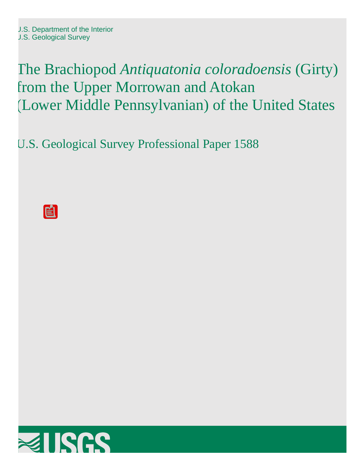The Brachiopod *Antiquatonia coloradoensis* (Girty) from the Upper Morrowan and Atokan (Lower Middle Pennsylvanian) of the United States

U.S. Geological Survey Professional Paper 1588

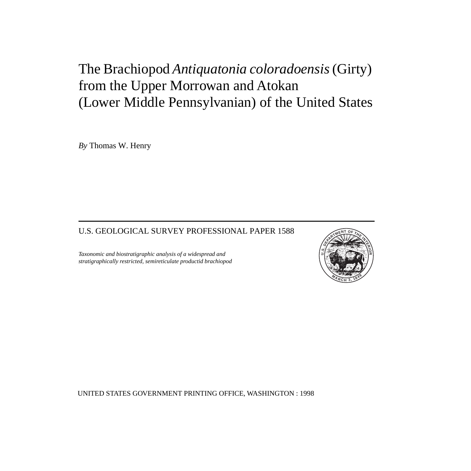# The Brachiopod *Antiquatonia coloradoensis* (Girty) from the Upper Morrowan and Atokan (Lower Middle Pennsylvanian) of the United States

*By* Thomas W. Henry

# U.S. GEOLOGICAL SURVEY PROFESSIONAL PAPER 1588

*Taxonomic and biostratigraphic analysis of a widespread and stratigraphically restricted, semireticulate productid brachiopod*



UNITED STATES GOVERNMENT PRINTING OFFICE, WASHINGTON : 1998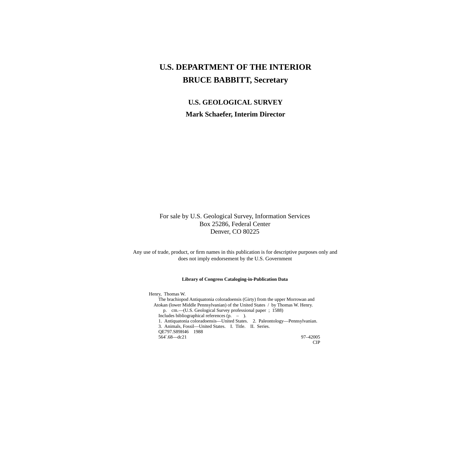# **U.S. DEPARTMENT OF THE INTERIOR BRUCE BABBITT, Secretary**

# **U.S. GEOLOGICAL SURVEY Mark Schaefer, Interim Director**

### For sale by U.S. Geological Survey, Information Services Box 25286, Federal Center Denver, CO 80225

Any use of trade, product, or firm names in this publication is for descriptive purposes only and does not imply endorsement by the U.S. Government

#### **Library of Congress Cataloging-in-Publication Data**

Henry, Thomas W. The brachiopod Antiquatonia coloradoensis (Girty) from the upper Morrowan and Atokan (lower Middle Pennsylvanian) of the United States / by Thomas W. Henry. p. cm.—(U.S. Geological Survey professional paper ; 1588) Includes bibliographical references (p. – ). 1. Antiquatonia coloradoensis—United States. 2. Paleontology—Pennsylvanian. 3. Animals, Fossil—United States. I. Title. II. Series. QE797.S89H46 1988 564′.68—dc21 97–42005 CIP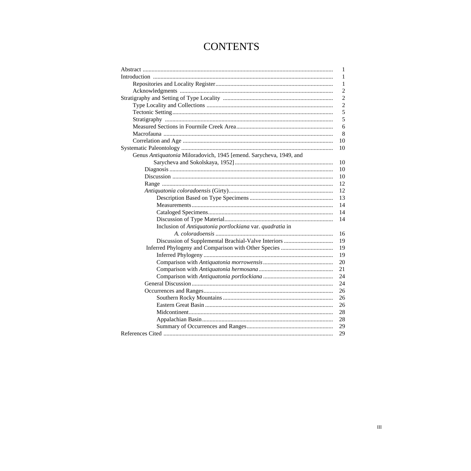# **CONTENTS**

|                                                                    | 1              |
|--------------------------------------------------------------------|----------------|
|                                                                    | 1              |
|                                                                    | 1              |
|                                                                    | $\overline{2}$ |
|                                                                    | $\overline{2}$ |
|                                                                    | $\overline{2}$ |
|                                                                    | 5              |
|                                                                    | 5              |
|                                                                    | 6              |
|                                                                    | 8              |
|                                                                    | 10             |
|                                                                    | 10             |
| Genus Antiquatonia Miloradovich, 1945 [emend. Sarycheva, 1949, and |                |
|                                                                    | 10             |
|                                                                    | 10             |
|                                                                    | 10             |
|                                                                    | 12             |
|                                                                    | 12             |
|                                                                    | 13             |
|                                                                    | 14             |
|                                                                    | 14             |
|                                                                    | 14             |
| Inclusion of Antiquatonia portlockiana var. quadratia in           |                |
|                                                                    | 16             |
|                                                                    | 19             |
|                                                                    | 19             |
|                                                                    | 19             |
|                                                                    | 20             |
|                                                                    | 21             |
|                                                                    | 24             |
|                                                                    | 24             |
|                                                                    | 26             |
|                                                                    | 26             |
|                                                                    | 26             |
|                                                                    | 28             |
|                                                                    | 28             |
|                                                                    | 29             |
|                                                                    | 29             |
|                                                                    |                |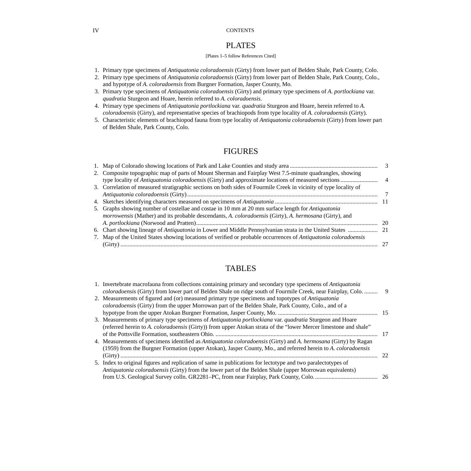#### IV CONTENTS

## PLATES

#### [Plates 1–5 follow References Cited]

- 1. Primary type specimens of *Antiquatonia coloradoensis* [\(Girty\) from lower part of Belden Shale, Park County, Colo.](#page-39-0)
- 2. Primary type specimens of *Antiquatonia coloradoensis* [\(Girty\) from lower part of Belden Shale, Park County, Colo.,](#page-41-0)  and hypotype of *A. coloradoensis* from Burgner Formation, Jasper County, Mo.
- 3. Primary type specimens of *Antiquatonia coloradoensis* (Girty) and primary type specimens of *A. portlockiana* var. *quadratia* [Sturgeon and Hoare, herein referred to](#page-43-0) *A. coloradoensis.*
- 4. Primary type specimens of *Antiquatonia portlockiana* var. *quadratia* Sturgeon and Hoare, herein referred to *A. coloradoensis* [\(Girty\), and representative species of brachiopods from type locality of](#page-45-0) *A. coloradoensis* (Girty).
- [5. Characteristic elements of brachiopod fauna from type locality of](#page-47-0) *Antiquatonia coloradoensis* (Girty) from lower part of Belden Shale, Park County, Colo.

### FIGURES

| 2. Composite topographic map of parts of Mount Sherman and Fairplay West 7.5-minute quadrangles, showing                    |     |
|-----------------------------------------------------------------------------------------------------------------------------|-----|
|                                                                                                                             |     |
| 3. Correlation of measured stratigraphic sections on both sides of Fourmile Creek in vicinity of type locality of           |     |
|                                                                                                                             |     |
|                                                                                                                             |     |
| 5. Graphs showing number of costellae and costae in 10 mm at 20 mm surface length for <i>Antiquatonia</i>                   |     |
| <i>morrowensis</i> (Mather) and its probable descendants, A. <i>coloradoensis</i> (Girty), A. <i>hermosana</i> (Girty), and |     |
|                                                                                                                             | -20 |
|                                                                                                                             |     |
| 7. Map of the United States showing locations of verified or probable occurrences of Antiquatonia coloradoensis             |     |
|                                                                                                                             |     |
|                                                                                                                             |     |

## TABLES

| 1. Invertebrate macrofauna from collections containing primary and secondary type specimens of <i>Antiquatonia</i> |      |
|--------------------------------------------------------------------------------------------------------------------|------|
| coloradoensis (Girty) from lower part of Belden Shale on ridge south of Fourmile Creek, near Fairplay, Colo.       | -9   |
| 2. Measurements of figured and (or) measured primary type specimens and topotypes of Antiquatonia                  |      |
| coloradoensis (Girty) from the upper Morrowan part of the Belden Shale, Park County, Colo., and of a               |      |
|                                                                                                                    |      |
| 3. Measurements of primary type specimens of Antiquatonia portlockiana var. quadratia Sturgeon and Hoare           |      |
| (referred herein to A. coloradoensis (Girty)) from upper Atokan strata of the "lower Mercer limestone and shale"   |      |
|                                                                                                                    | - 17 |
| 4. Measurements of specimens identified as Antiquatonia coloradoensis (Girty) and A. hermosana (Girty) by Ragan    |      |
| (1959) from the Burgner Formation (upper Atokan), Jasper County, Mo., and referred herein to A. coloradoensis      |      |
|                                                                                                                    | 22   |
| 5. Index to original figures and replication of same in publications for lectotype and two paralectotypes of       |      |
| Antiquatonia coloradoensis (Girty) from the lower part of the Belden Shale (upper Morrowan equivalents)            |      |
|                                                                                                                    |      |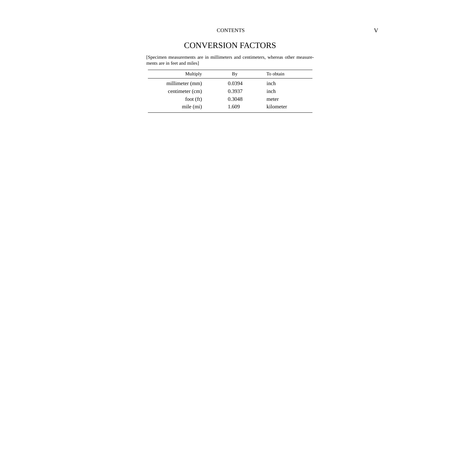# CONVERSION FACTORS

[Specimen measurements are in millimeters and centimeters, whereas other measurements are in feet and miles]

| Multiply        | By     | To obtain |  |
|-----------------|--------|-----------|--|
| millimeter (mm) | 0.0394 | inch      |  |
| centimeter (cm) | 0.3937 | inch      |  |
| foot $(ft)$     | 0.3048 | meter     |  |
| mile (mi)       | 1.609  | kilometer |  |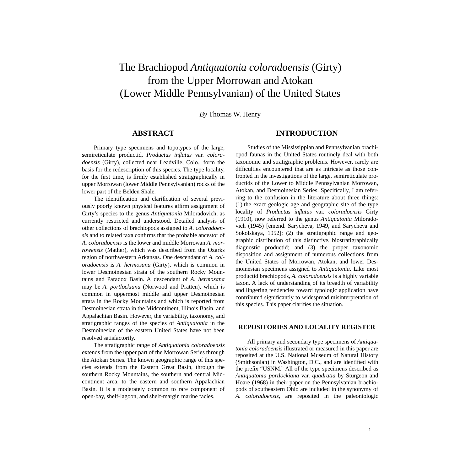# <span id="page-6-0"></span>The Brachiopod *Antiquatonia coloradoensis* (Girty) from the Upper Morrowan and Atokan (Lower Middle Pennsylvanian) of the United States

*By* Thomas W. Henry

#### **ABSTRACT**

Primary type specimens and topotypes of the large, semireticulate productid, *Productus inflatus* var. *coloradoensis* (Girty), collected near Leadville, Colo., form the basis for the redescription of this species. The type locality, for the first time, is firmly established stratigraphically in upper Morrowan (lower Middle Pennsylvanian) rocks of the lower part of the Belden Shale.

The identification and clarification of several previously poorly known physical features affirm assignment of Girty's species to the genus *Antiquatonia* Miloradovich, as currently restricted and understood. Detailed analysis of other collections of brachiopods assigned to *A. coloradoensis* and to related taxa confirms that the probable ancestor of *A. coloradoensis* is the lower and middle Morrowan *A. morrowensis* (Mather), which was described from the Ozarks region of northwestern Arkansas. One descendant of *A. coloradoensis* is *A. hermosana* (Girty), which is common in lower Desmoinesian strata of the southern Rocky Mountains and Paradox Basin. A descendant of *A*. *hermosana* may be *A. portlockiana* (Norwood and Pratten), which is common in uppermost middle and upper Desmoinesian strata in the Rocky Mountains and which is reported from Desmoinesian strata in the Midcontinent, Illinois Basin, and Appalachian Basin. However, the variability, taxonomy, and stratigraphic ranges of the species of *Antiquatonia* in the Desmoinesian of the eastern United States have not been resolved satisfactorily.

The stratigraphic range of *Antiquatonia coloradoensis* extends from the upper part of the Morrowan Series through the Atokan Series. The known geographic range of this species extends from the Eastern Great Basin, through the southern Rocky Mountains, the southern and central Midcontinent area, to the eastern and southern Appalachian Basin. It is a moderately common to rare component of open-bay, shelf-lagoon, and shelf-margin marine facies.

#### **INTRODUCTION**

Studies of the Mississippian and Pennsylvanian brachiopod faunas in the United States routinely deal with both taxonomic and stratigraphic problems. However, rarely are difficulties encountered that are as intricate as those confronted in the investigations of the large, semireticulate productids of the Lower to Middle Pennsylvanian Morrowan, Atokan, and Desmoinesian Series. Specifically, I am referring to the confusion in the literature about three things: (1) the exact geologic age and geographic site of the type locality of *Productus inflatus* var. *coloradoensis* Girty (1910), now referred to the genus *Antiquatonia* Miloradovich (1945) [emend. Sarycheva, 1949, and Sarycheva and Sokolskaya, 1952]; (2) the stratigraphic range and geographic distribution of this distinctive, biostratigraphically diagnostic productid; and (3) the proper taxonomic disposition and assignment of numerous collections from the United States of Morrowan, Atokan, and lower Desmoinesian specimens assigned to *Antiquatonia*. Like most productid brachiopods, *A. coloradoensis* is a highly variable taxon. A lack of understanding of its breadth of variability and lingering tendencies toward typologic application have contributed significantly to widespread misinterpretation of this species. This paper clarifies the situation.

#### **REPOSITORIES AND LOCALITY REGISTER**

All primary and secondary type specimens of *Antiquatonia coloradoensis* illustrated or measured in this paper are reposited at the U.S. National Museum of Natural History (Smithsonian) in Washington, D.C., and are identified with the prefix "USNM." All of the type specimens described as *Antiquatonia portlockiana* var. *quadratia* by Sturgeon and Hoare (1968) in their paper on the Pennsylvanian brachiopods of southeastern Ohio are included in the synonymy of *A. coloradoensis*, are reposited in the paleontologic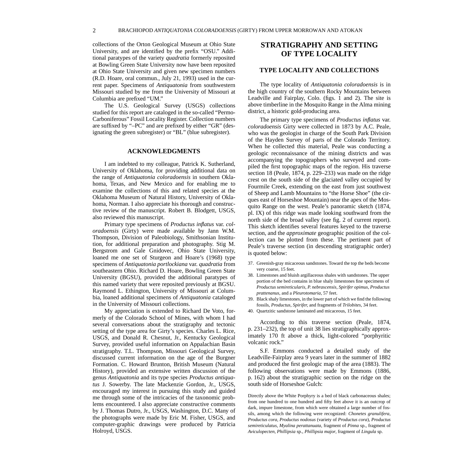<span id="page-7-0"></span>collections of the Orton Geological Museum at Ohio State University, and are identified by the prefix "OSU." Additional paratypes of the variety *quadratia* formerly reposited at Bowling Green State University now have been reposited at Ohio State University and given new specimen numbers (R.D. Hoare, oral commun., July 21, 1993) used in the current paper. Specimens of *Antiquatonia* from southwestern Missouri studied by me from the University of Missouri at Columbia are prefixed "UM."

The U.S. Geological Survey (USGS) collections studied for this report are cataloged in the so-called "Permo-Carboniferous" Fossil Locality Register. Collection numbers are suffixed by "–PC" and are prefixed by either "GR" (designating the green subregister) or "BL" (blue subregister).

#### **ACKNOWLEDGMENTS**

I am indebted to my colleague, Patrick K. Sutherland, University of Oklahoma, for providing additional data on the range of *Antiquatonia coloradoensis* in southern Oklahoma, Texas, and New Mexico and for enabling me to examine the collections of this and related species at the Oklahoma Museum of Natural History, University of Oklahoma, Norman. I also appreciate his thorough and constructive review of the manuscript. Robert B. Blodgett, USGS, also reviewed this manuscript.

Primary type specimens of *Productus inflatus* var. *coloradoensis* (Girty) were made available by Jann W.M. Thompson, Division of Paleobiology, Smithsonian Institution, for additional preparation and photography. Stig M. Bergstrom and Gale Gnidovec, Ohio State University, loaned me one set of Sturgeon and Hoare's (1968) type specimens of *Antiquatonia portlockiana* var. *quadratia* from southeastern Ohio. Richard D. Hoare, Bowling Green State University (BGSU), provided the additional paratypes of this named variety that were reposited previously at BGSU. Raymond L. Ethington, University of Missouri at Columbia, loaned additional specimens of *Antiquatonia* cataloged in the University of Missouri collections.

My appreciation is extended to Richard De Voto, formerly of the Colorado School of Mines, with whom I had several conversations about the stratigraphy and tectonic setting of the type area for Girty's species. Charles L. Rice, USGS, and Donald R. Chesnut, Jr., Kentucky Geological Survey, provided useful information on Appalachian Basin stratigraphy. T.L. Thompson, Missouri Geological Survey, discussed current information on the age of the Burgner Formation. C. Howard Brunton, British Museum (Natural History), provided an extensive written discussion of the genus *Antiquatonia* and its type species *Productus antiquatus* J. Sowerby. The late Mackenzie Gordon, Jr., USGS, encouraged my interest in pursuing this study and guided me through some of the intricacies of the taxonomic problems encountered. I also appreciate constructive comments by J. Thomas Dutro, Jr., USGS, Washington, D.C. Many of the photographs were made by Eric M. Fisher, USGS, and computer-graphic drawings were produced by Patricia Holroyd, USGS.

### **STRATIGRAPHY AND SETTING OF TYPE LOCALITY**

#### **TYPE LOCALITY AND COLLECTIONS**

The type locality of *Antiquatonia coloradoensis* is in the high country of the southern Rocky Mountains between Leadville and Fairplay, Colo. (figs. 1 and 2). The site is above timberline in the Mosquito Range in the Alma mining district, a historic gold-producing area.

The primary type specimens of *Productus inflatus* var. *coloradoensis* Girty were collected in 1873 by A.C. Peale, who was the geologist in charge of the South Park Division of the Hayden Survey of parts of the Colorado Territory. When he collected this material, Peale was conducting a geologic reconnaissance of the mining districts and was accompanying the topographers who surveyed and compiled the first topographic maps of the region. His traverse section 18 (Peale, 1874, p. 229–233) was made on the ridge crest on the south side of the glaciated valley occupied by Fourmile Creek, extending on the east from just southwest of Sheep and Lamb Mountains to "the Horse Shoe" (the cirques east of Horseshoe Mountain) near the apex of the Mosquito Range on the west. Peale's panoramic sketch (1874, pl. IX) of this ridge was made looking southward from the north side of the broad valley (see fig. 2 of current report). This sketch identifies several features keyed to the traverse section, and the *approximate* geographic position of the collection can be plotted from these. The pertinent part of Peale's traverse section (in descending stratigraphic order) is quoted below:

- 37. Greenish-gray micaceous sandstones. Toward the top the beds become very coarse, 15 feet.
- 38. Limestones and bluish argillaceous shales with sandstones. The upper portion of the bed contains in blue shaly limestones fine specimens of *Productus semireticularis, P. nebrascensis, Spirifer opimus, Productus prattenanus*, and a *Pleurotomaria*, 57 feet.
- 39. Black shaly limestones, in the lower part of which we find the following fossils, *Productus, Spirifer,* and fragments of *Trilobites*, 34 feet.
- 40. Quartzitic sandstone laminated and micaceous, 15 feet.

According to this traverse section (Peale, 1874, p. 231–232), the top of unit 38 lies stratigraphically approximately 170 ft above a thick, light-colored "porphyritic volcanic rock."

S.F. Emmons conducted a detailed study of the Leadville-Fairplay area 9 years later in the summer of 1882 and produced the first geologic map of the area (1883). The following observations were made by Emmons (1886, p. 162) about the stratigraphic section on the ridge on the south side of Horseshoe Gulch:

Directly above the White Porphyry is a bed of black carbonaceous shales; from one hundred to one hundred and fifty feet above it is an outcrop of dark, impure limestone, from which were obtained a large number of fossils, among which the following were recognized: *Chonetes granulifera, Productus cora, Productus nodosus* (variety of *Productus cora*)*, Productus semireticulatus, Myalina perattanuata*, fragment of *Pinna* sp., fragment of *Aviculopecten, Phillipsia* sp., *Phillipsia major*, fragment of *Lingula* sp.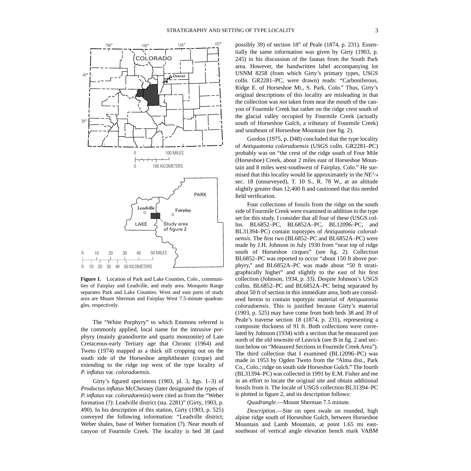<span id="page-8-0"></span>

**Figure 1.** Location of Park and Lake Counties, Colo., communities of Fairplay and Leadville, and study area. Mosquito Range separates Park and Lake Counties. West and east parts of study area are Mount Sherman and Fairplay West 7.5-minute quadrangles, respectively.

The "White Porphyry" to which Emmons referred is the commonly applied, local name for the intrusive porphyry (mainly granodiorite and quartz monzonite) of Late Cretaceous-early Tertiary age that Chronic (1964) and Tweto (1974) mapped as a thick sill cropping out on the south side of the Horseshoe amphitheater (cirque) and extending to the ridge top west of the type locality of *P. inflatus* var. *coloradoensis*.

Girty's figured specimens (1903, pl. 3, figs. 1–3) of *Productus inflatus* McChesney (later designated the types of *P. inflatus* var. *coloradoensis*) were cited as from the "Weber formation (?): Leadville district (sta. 2281)" (Girty, 1903, p. 490). In his description of this station, Girty (1903, p. 525) conveyed the following information: "Leadville district; Weber shales, base of Weber formation (?). Near mouth of canyon of Fourmile Creek. The locality is bed 38 (and

possibly 39) of section 18" of Peale (1874, p. 231). Essentially the same information was given by Girty (1903, p. 245) in his discussion of the faunas from the South Park area. However, the handwritten label accompanying lot USNM 8258 (from which Girty's primary types, USGS colln. GR2281–PC, were drawn) reads: "Carboniferous, Ridge E. of Horseshoe Mt., S. Park, Colo." Thus, Girty's original descriptions of this locality are misleading in that the collection was *not* taken from near the mouth of the canyon of Fourmile Creek but rather on the ridge crest south of the glacial valley occupied by Fourmile Creek (actually south of Horseshoe Gulch, a tributary of Fourmile Creek) and southeast of Horseshoe Mountain (see fig. 2).

Gordon (1975, p. D48) concluded that the type locality of *Antiquatonia coloradoensis* (USGS colln. GR2281–PC) probably was on "the crest of the ridge south of Four Mile (Horseshoe) Creek, about 2 miles east of Horseshoe Mountain and 8 miles west-southwest of Fairplay, Colo." He surmised that this locality would lie approximately in the  $NE<sup>1/4</sup>$ sec. 18 (unsurveyed), T. 10 S., R. 78 W., at an altitude slightly greater than 12,400 ft and cautioned that this needed field verification.

Four collections of fossils from the ridge on the south side of Fourmile Creek were examined in addition to the type set for this study. I consider that all four of these (USGS collns. BL6852–PC, BL6852A–PC, BL12096–PC, and BL31394–PC) contain topotypes of *Antiquatonia coloradoensis*. The first two (BL6852–PC and BL6852A–PC) were made by J.H. Johnson in July 1930 from "near top of ridge south of Horseshoe cirques" (see fig. 2). Collection BL6852–PC was reported to occur "about 150 ft above porphyry," and BL6852A–PC was made about "50 ft stratigraphically higher" and slightly to the east of his first collection (Johnson, 1934, p. 33). Despite Johnson's USGS collns. BL6852–PC and BL6852A–PC being separated by about 50 ft of section in this immediate area, both are considered herein to contain topotypic material of *Antiquatonia coloradoensis*. This is justified because Girty's material (1903, p. 525) may have come from both beds 38 and 39 of Peale's traverse section 18 (1874, p. 231), representing a composite thickness of 91 ft. Both collections were correlated by Johnson (1934) with a section that he measured just north of the old townsite of Leavick (see B in fig. 2 and section below on "Measured Sections in Fourmile Creek Area"). The third collection that I examined (BL12096–PC) was made in 1953 by Ogden Tweto from the "Alma dist., Park Co., Colo.; ridge on south side Horseshoe Gulch." The fourth (BL31394–PC) was collected in 1991 by E.M. Fisher and me in an effort to locate the original site and obtain additional fossils from it. The locale of USGS collection BL31394–PC is plotted in figure 2, and its description follows:

*Quadrangle*.—Mount Sherman 7.5 minute.

*Description*.—Site on open swale on rounded, high alpine ridge south of Horseshoe Gulch, between Horseshoe Mountain and Lamb Mountain, at point 1.65 mi eastsoutheast of vertical angle elevation bench mark VABM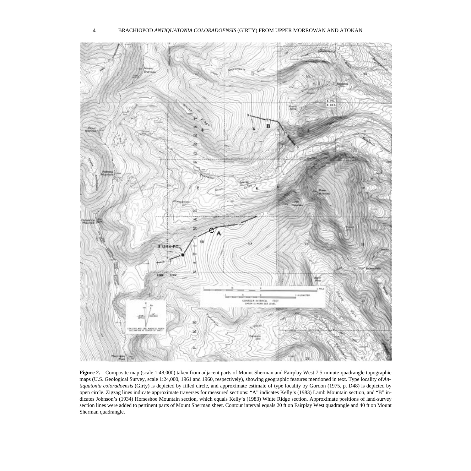<span id="page-9-0"></span>

**Figure 2.** Composite map (scale 1:48,000) taken from adjacent parts of Mount Sherman and Fairplay West 7.5-minute-quadrangle topographic maps (U.S. Geological Survey, scale 1:24,000, 1961 and 1960, respectively), showing geographic features mentioned in text. Type locality of *Antiquatonia coloradoensis* (Girty) is depicted by filled circle, and approximate estimate of type locality by Gordon (1975, p. D48) is depicted by open circle. Zigzag lines indicate approximate traverses for measured sections: "A" indicates Kelly's (1983) Lamb Mountain section, and "B" indicates Johnson's (1934) Horseshoe Mountain section, which equals Kelly's (1983) White Ridge section. Approximate positions of land-survey section lines were added to pertinent parts of Mount Sherman sheet. Contour interval equals 20 ft on Fairplay West quadrangle and 40 ft on Mount Sherman quadrangle.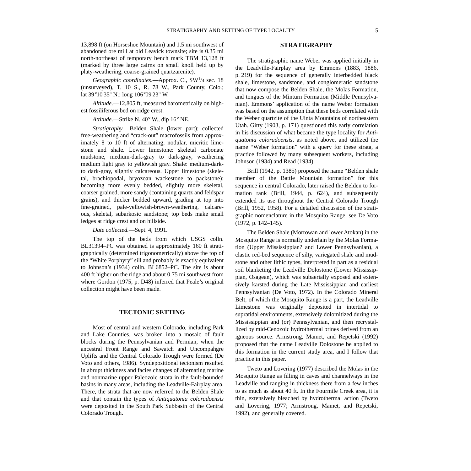<span id="page-10-0"></span>13,898 ft (on Horseshoe Mountain) and 1.5 mi southwest of abandoned ore mill at old Leavick townsite; site is 0.35 mi north-northeast of temporary bench mark TBM 13,128 ft (marked by three large cairns on small knoll held up by platy-weathering, coarse-grained quartzarenite).

*Geographic coordinates.*—Approx. C., SW<sup>1</sup>/4 sec. 18 (unsurveyed), T. 10 S., R. 78 W., Park County, Colo.; lat 39°10'35'' N.; long 106°09'23" W.

*Altitude*.—12,805 ft, measured barometrically on highest fossiliferous bed on ridge crest.

*Attitude*.—Strike N. 40° W., dip 16° NE.

*Stratigraphy*.—Belden Shale (lower part); collected free-weathering and "crack-out" macrofossils from approximately 8 to 10 ft of alternating, nodular, micritic limestone and shale. Lower limestone: skeletal carbonate mudstone, medium-dark-gray to dark-gray, weathering medium light gray to yellowish gray. Shale: medium-darkto dark-gray, slightly calcareous. Upper limestone (skeletal, brachiopodal, bryozoan wackestone to packstone): becoming more evenly bedded, slightly more skeletal, coarser grained, more sandy (containing quartz and feldspar grains), and thicker bedded upward, grading at top into fine-grained, pale-yellowish-brown-weathering, calcareous, skeletal, subarkosic sandstone; top beds make small ledges at ridge crest and on hillside.

*Date collected.*—Sept. 4, 1991.

The top of the beds from which USGS colln. BL31394–PC was obtained is approximately 160 ft stratigraphically (determined trigonometrically) above the top of the "White Porphyry" sill and probably is exactly equivalent to Johnson's (1934) colln. BL6852–PC. The site is about 400 ft higher on the ridge and about 0.75 mi southwest from where Gordon (1975, p. D48) inferred that Peale's original collection might have been made.

#### **TECTONIC SETTING**

Most of central and western Colorado, including Park and Lake Counties, was broken into a mosaic of fault blocks during the Pennsylvanian and Permian, when the ancestral Front Range and Sawatch and Uncompahgre Uplifts and the Central Colorado Trough were formed (De Voto and others, 1986). Syndepositional tectonism resulted in abrupt thickness and facies changes of alternating marine and nonmarine upper Paleozoic strata in the fault-bounded basins in many areas, including the Leadville-Fairplay area. There, the strata that are now referred to the Belden Shale and that contain the types of *Antiquatonia coloradoensis* were deposited in the South Park Subbasin of the Central Colorado Trough.

#### **STRATIGRAPHY**

The stratigraphic name Weber was applied initially in the Leadville-Fairplay area by Emmons (1883, 1886, p. 219) for the sequence of generally interbedded black shale, limestone, sandstone, and conglomeratic sandstone that now compose the Belden Shale, the Molas Formation, and tongues of the Minturn Formation (Middle Pennsylvanian). Emmons' application of the name Weber formation was based on the assumption that these beds correlated with the Weber quartzite of the Uinta Mountains of northeastern Utah. Girty (1903, p. 171) questioned this early correlation in his discussion of what became the type locality for *Antiquatonia coloradoensis*, as noted above, and utilized the name "Weber formation" with a query for these strata, a practice followed by many subsequent workers, including Johnson (1934) and Read (1934).

Brill (1942, p. 1385) proposed the name "Belden shale member of the Battle Mountain formation" for this sequence in central Colorado, later raised the Belden to formation rank (Brill, 1944, p. 624), and subsequently extended its use throughout the Central Colorado Trough (Brill, 1952, 1958). For a detailed discussion of the stratigraphic nomenclature in the Mosquito Range, see De Voto (1972, p. 142–145).

The Belden Shale (Morrowan and lower Atokan) in the Mosquito Range is normally underlain by the Molas Formation (Upper Mississippian? and Lower Pennsylvanian), a clastic red-bed sequence of silty, variegated shale and mudstone and other lithic types, interpreted in part as a residual soil blanketing the Leadville Dolostone (Lower Mississippian, Osagean), which was subaerially exposed and extensively karsted during the Late Mississippian and earliest Pennsylvanian (De Voto, 1972). In the Colorado Mineral Belt, of which the Mosquito Range is a part, the Leadville Limestone was originally deposited in intertidal to supratidal environments, extensively dolomitized during the Mississippian and (or) Pennsylvanian, and then recrystallized by mid-Cenozoic hydrothermal brines derived from an igneous source. Armstrong, Mamet, and Repetski (1992) proposed that the name Leadville Dolostone be applied to this formation in the current study area, and I follow that practice in this paper.

Tweto and Lovering (1977) described the Molas in the Mosquito Range as filling in caves and channelways in the Leadville and ranging in thickness there from a few inches to as much as about 40 ft. In the Fourmile Creek area, it is thin, extensively bleached by hydrothermal action (Tweto and Lovering, 1977; Armstrong, Mamet, and Repetski, 1992), and generally covered.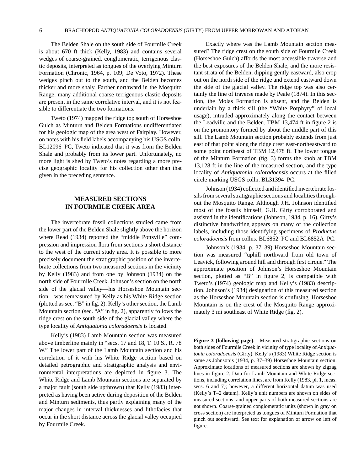<span id="page-11-0"></span>The Belden Shale on the south side of Fourmile Creek is about 670 ft thick (Kelly, 1983) and contains several wedges of coarse-grained, conglomeratic, terrigenous clastic deposits, interpreted as tongues of the overlying Minturn Formation (Chronic, 1964, p. 109; De Voto, 1972). These wedges pinch out to the south, and the Belden becomes thicker and more shaly. Farther northward in the Mosquito Range, many additional coarse terrigenous clastic deposits are present in the same correlative interval, and it is not feasible to differentiate the two formations.

Tweto (1974) mapped the ridge top south of Horseshoe Gulch as Minturn and Belden Formations undifferentiated for his geologic map of the area west of Fairplay. However, on notes with his field labels accompanying his USGS colln. BL12096–PC, Tweto indicated that it was from the Belden Shale and probably from its lower part. Unfortunately, no more light is shed by Tweto's notes regarding a more precise geographic locality for his collection other than that given in the preceding sentence.

### **MEASURED SECTIONS IN FOURMILE CREEK AREA**

The invertebrate fossil collections studied came from the lower part of the Belden Shale slightly above the horizon where Read (1934) reported the "middle Pottsville" compression and impression flora from sections a short distance to the west of the current study area. It is possible to more precisely document the stratigraphic position of the invertebrate collections from two measured sections in the vicinity by Kelly (1983) and from one by Johnson (1934) on the north side of Fourmile Creek. Johnson's section on the north side of the glacial valley—his Horseshoe Mountain section—was remeasured by Kelly as his White Ridge section (plotted as sec. "B" in fig. 2). Kelly's other section, the Lamb Mountain section (sec. "A" in fig. 2), apparently follows the ridge crest on the south side of the glacial valley where the type locality of *Antiquatonia coloradoensis* is located.

Kelly's (1983) Lamb Mountain section was measured above timberline mainly in "secs. 17 and 18, T. 10 S., R. 78 W." The lower part of the Lamb Mountain section and his correlation of it with his White Ridge section based on detailed petrographic and stratigraphic analysis and environmental interpretations are depicted in figure 3. The White Ridge and Lamb Mountain sections are separated by a major fault (south side upthrown) that Kelly (1983) interpreted as having been active during deposition of the Belden and Minturn sediments, thus partly explaining many of the major changes in interval thicknesses and lithofacies that occur in the short distance across the glacial valley occupied by Fourmile Creek.

Exactly where was the Lamb Mountain section measured? The ridge crest on the south side of Fourmile Creek (Horseshoe Gulch) affords the most accessible traverse and the best exposures of the Belden Shale, and the more resistant strata of the Belden, dipping gently eastward, also crop out on the north side of the ridge and extend eastward down the side of the glacial valley. The ridge top was also certainly the line of traverse made by Peale (1874). In this section, the Molas Formation is absent, and the Belden is underlain by a thick sill (the "White Porphyry" of local usage), intruded approximately along the contact between the Leadville and the Belden. TBM 13,474 ft in figure 2 is on the promontory formed by about the middle part of this sill. The Lamb Mountain section probably extends from just east of that point along the ridge crest east-northeastward to some point northeast of TBM 12,478 ft. The lower tongue of the Minturn Formation (fig. 3) forms the knob at TBM 13,128 ft in the line of the measured section, and the type locality of *Antiquatonia coloradoensis* occurs at the filled circle marking USGS colln. BL31394–PC.

Johnson (1934) collected and identified invertebrate fossils from several stratigraphic sections and localities throughout the Mosquito Range. Although J.H. Johnson identified most of the fossils himself, G.H. Girty corroborated and assisted in the identifications (Johnson, 1934, p. 16). Girty's distinctive handwriting appears on many of the collection labels, including those identifying specimens of *Productus coloradoensis* from collns. BL6852–PC and BL6852A–PC.

Johnson's (1934, p. 37–39) Horseshoe Mountain section was measured "uphill northward from old town of Leavick, following around hill and through first cirque." The approximate position of Johnson's Horseshoe Mountain section, plotted as "B" in figure 2, is compatible with Tweto's (1974) geologic map and Kelly's (1983) description. Johnson's (1934) designation of this measured section as the Horseshoe Mountain section is confusing. Horseshoe Mountain is on the crest of the Mosquito Range approximately 3 mi southeast of White Ridge (fig. 2).

**Figure 3 (following page).** Measured stratigraphic sections on both sides of Fourmile Creek in vicinity of type locality of *Antiquatonia coloradoensis* (Girty). Kelly's (1983) White Ridge section is same as Johnson's (1934, p. 37–39) Horseshoe Mountain section. Approximate locations of measured sections are shown by zigzag lines in figure 2. Data for Lamb Mountain and White Ridge sections, including correlation lines, are from Kelly (1983, pl. 1, meas. secs. 6 and 7); however, a different horizontal datum was used (Kelly's T–2 datum). Kelly's unit numbers are shown on sides of measured sections, and upper parts of both measured sections are not shown. Coarse-grained conglomeratic units (shown in gray on cross section) are interpreted as tongues of Minturn Formation that pinch out southward. See text for explanation of arrow on left of figure.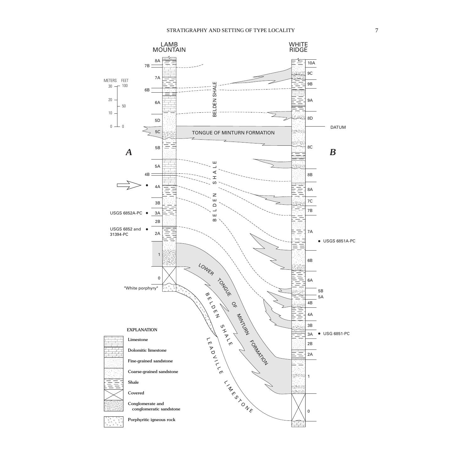<span id="page-12-0"></span>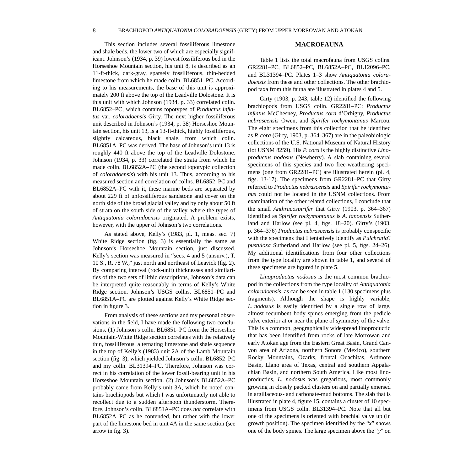<span id="page-13-0"></span>This section includes several fossiliferous limestone and shale beds, the lower two of which are especially significant. Johnson's (1934, p. 39) lowest fossiliferous bed in the Horseshoe Mountain section, his unit 8, is described as an 11-ft-thick, dark-gray, sparsely fossiliferous, thin-bedded limestone from which he made colln. BL6851–PC. According to his measurements, the base of this unit is approximately 200 ft above the top of the Leadville Dolostone. It is this unit with which Johnson (1934, p. 33) correlated colln. BL6852–PC, which contains topotypes of *Productus inflatus* var. *coloradoensis* Girty. The next higher fossiliferous unit described in Johnson's (1934, p. 38) Horseshoe Mountain section, his unit 13, is a 13-ft-thick, highly fossiliferous, slightly calcareous, black shale, from which colln. BL6851A–PC was derived. The base of Johnson's unit 13 is roughly 440 ft above the top of the Leadville Dolostone. Johnson (1934, p. 33) correlated the strata from which he made colln. BL6852A–PC (the second topotypic collection of *coloradoensis*) with his unit 13. Thus, according to his measured section and correlation of collns. BL6852–PC and BL6852A–PC with it, these marine beds are separated by about 229 ft of unfossiliferous sandstone and cover on the north side of the broad glacial valley and by only about 50 ft of strata on the south side of the valley, where the types of *Antiquatonia coloradoensis* originated. A problem exists, however, with the upper of Johnson's two correlations.

As stated above, Kelly's (1983, pl. 1, meas. sec. 7) White Ridge section (fig. 3) is essentially the same as Johnson's Horseshoe Mountain section, just discussed. Kelly's section was measured in "secs. 4 and 5 (unsurv.), T. 10 S., R. 78 W.," just north and northeast of Leavick (fig. 2). By comparing interval (rock-unit) thicknesses and similarities of the two sets of lithic descriptions, Johnson's data can be interpreted quite reasonably in terms of Kelly's White Ridge section. Johnson's USGS collns. BL6851–PC and BL6851A–PC are plotted against Kelly's White Ridge section in figure 3.

From analysis of these sections and my personal observations in the field, I have made the following two conclusions. (1) Johnson's colln. BL6851–PC from the Horseshoe Mountain-White Ridge section correlates with the relatively thin, fossiliferous, alternating limestone and shale sequence in the top of Kelly's (1983) unit 2A of the Lamb Mountain section (fig. 3), which yielded Johnson's colln. BL6852–PC and my colln. BL31394–PC. Therefore, Johnson was correct in his correlation of the lower fossil-bearing unit in his Horseshoe Mountain section. (2) Johnson's BL6852A–PC probably came from Kelly's unit 3A, which he noted contains brachiopods but which I was unfortunately not able to recollect due to a sudden afternoon thunderstorm. Therefore, Johnson's colln. BL6851A–PC does *not* correlate with BL6852A–PC as he contended, but rather with the lower part of the limestone bed in unit 4A in the same section (see arrow in fig. 3).

#### **MACROFAUNA**

Table 1 lists the total macrofauna from USGS collns. GR2281–PC, BL6852–PC, BL6852A–PC, BL12096–PC, and BL31394–PC. Plates 1–3 show *Antiquatonia coloradoensis* from these and other collections. The other brachiopod taxa from this fauna are illustrated in plates 4 and 5.

Girty (1903, p. 243, table 12) identified the following brachiopods from USGS colln. GR2281–PC: *Productus inflatus* McChesney, *Productus cora* d'Orbigny, *Productus nebrascensis* Owen, and *Spirifer rockymontanus* Marcou. The eight specimens from this collection that he identified as *P. cora* (Girty, 1903, p. 364–367) are in the paleobiologic collections of the U.S. National Museum of Natural History (lot USNM 8259). His *P. cora* is the highly distinctive *Linoproductus nodosus* (Newberry). A slab containing several specimens of this species and two free-weathering specimens (one from GR2281–PC) are illustrated herein (pl. 4, figs. 13-17). The specimens from GR2281–PC that Girty referred to *Productus nebrascensis* and *Spirifer rockymontanus* could not be located in the USNM collections. From examination of the other related collections, I conclude that the small *Anthracospirifer* that Girty (1903, p. 364–367) identified as *Spirifer rockymontanus* is *A. tanoensis* Sutherland and Harlow (see pl. 4, figs. 18–20). Girty's (1903, p. 364–376) *Productus nebrascensis* is probably conspecific with the specimens that I tentatively identify as *Pulchratia*? *pustulosa* Sutherland and Harlow (see pl. 5, figs. 24–26). My additional identifications from four other collections from the type locality are shown in table 1, and several of these specimens are figured in plate 5.

*Linoproductus nodosus* is the most common brachiopod in the collections from the type locality of *Antiquatonia coloradoensis*, as can be seen in table 1 (130 specimens plus fragments). Although the shape is highly variable, *L. nodosus* is easily identified by a single row of large, almost recumbent body spines emerging from the pedicle valve exterior at or near the plane of symmetry of the valve. This is a common, geographically widespread linoproductid that has been identified from rocks of late Morrowan and early Atokan age from the Eastern Great Basin, Grand Canyon area of Arizona, northern Sonora (Mexico), southern Rocky Mountains, Ozarks, frontal Ouachitas, Ardmore Basin, Llano area of Texas, central and southern Appalachian Basin, and northern South America. Like most linoproductids, *L. nodosus* was gregarious, most commonly growing in closely packed clusters on and partially emersed in argillaceous- and carbonate-mud bottoms. The slab that is illustrated in plate 4, figure 15, contains a cluster of 10 specimens from USGS colln. BL31394–PC. Note that all but one of the specimens is oriented with brachial valve up (in growth position). The specimen identified by the "*x*" shows one of the body spines. The large specimen above the "*y*" on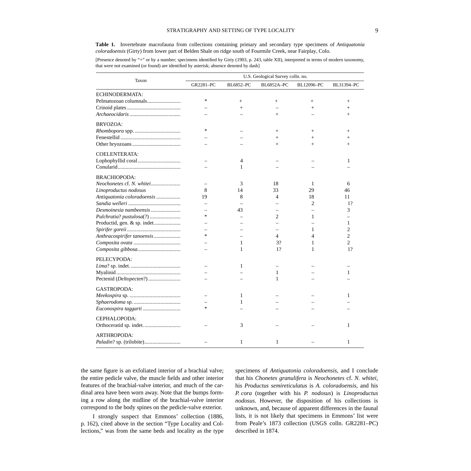<span id="page-14-0"></span>**Table 1.** Invertebrate macrofauna from collections containing primary and secondary type specimens of *Antiquatonia coloradoensis* (Girty) from lower part of Belden Shale on ridge south of Fourmile Creek, near Fairplay, Colo.

[Presence denoted by "+" or by a number; specimens identified by Girty (1903, p. 243, table XII), interpreted in terms of modern taxonomy, that were not examined (or found) are identified by asterisk; absence denoted by dash]

|                            | U.S. Geological Survey colln. no. |                  |                   |                |                |  |  |  |  |  |  |  |
|----------------------------|-----------------------------------|------------------|-------------------|----------------|----------------|--|--|--|--|--|--|--|
| Taxon                      | GR2281-PC                         | <b>BL6852-PC</b> | <b>BL6852A-PC</b> | BL12096-PC     | BL31394-PC     |  |  |  |  |  |  |  |
| <b>ECHINODERMATA:</b>      |                                   |                  |                   |                |                |  |  |  |  |  |  |  |
|                            | ∗                                 | $^{+}$           | $^{+}$            | $^{+}$         | $^{+}$         |  |  |  |  |  |  |  |
|                            |                                   | $\! + \!\!\!\!$  |                   | $^{+}$         | $^{+}$         |  |  |  |  |  |  |  |
|                            |                                   |                  | $^{+}$            |                | $^{+}$         |  |  |  |  |  |  |  |
| BRYOZOA:                   |                                   |                  |                   |                |                |  |  |  |  |  |  |  |
|                            | *                                 |                  | $^{+}$            | $^{+}$         | $^{+}$         |  |  |  |  |  |  |  |
|                            |                                   |                  | $^{+}$            | $^{+}$         | $^{+}$         |  |  |  |  |  |  |  |
|                            |                                   |                  | $^{+}$            | $+$            | $^{+}$         |  |  |  |  |  |  |  |
| <b>COELENTERATA:</b>       |                                   |                  |                   |                |                |  |  |  |  |  |  |  |
|                            |                                   | 4                |                   |                | 1              |  |  |  |  |  |  |  |
|                            |                                   | 1                |                   |                |                |  |  |  |  |  |  |  |
| <b>BRACHIOPODA:</b>        |                                   |                  |                   |                |                |  |  |  |  |  |  |  |
|                            | $\overline{\phantom{0}}$          | 3                | 18                | 1              | 6              |  |  |  |  |  |  |  |
| Linoproductus nodosus      | 8                                 | 14               | 33                | 29             | 46             |  |  |  |  |  |  |  |
| Antiquatonia coloradoensis | 19                                | 8                | 4                 | 18             | 11             |  |  |  |  |  |  |  |
|                            |                                   |                  |                   | $\mathfrak{D}$ | 1?             |  |  |  |  |  |  |  |
| Desmoinesia nambeensis     |                                   | 43               |                   |                | 3              |  |  |  |  |  |  |  |
| Pulchratia? pustulosa(?)   | $\ast$                            |                  | 2                 | 1              |                |  |  |  |  |  |  |  |
|                            |                                   |                  |                   |                | 1              |  |  |  |  |  |  |  |
|                            |                                   |                  |                   | 1              | $\overline{c}$ |  |  |  |  |  |  |  |
| Anthracospirifer tanoensis | $\ast$                            |                  | 4                 | 4              | 2              |  |  |  |  |  |  |  |
|                            |                                   | 1                | 3?                | 1              | 2              |  |  |  |  |  |  |  |
|                            |                                   | 1                | 1?                | 1              | 1?             |  |  |  |  |  |  |  |
| PELECYPODA:                |                                   |                  |                   |                |                |  |  |  |  |  |  |  |
|                            |                                   | 1                |                   |                |                |  |  |  |  |  |  |  |
|                            |                                   |                  | 1                 |                | 1              |  |  |  |  |  |  |  |
|                            |                                   |                  | 1                 |                |                |  |  |  |  |  |  |  |
| GASTROPODA:                |                                   |                  |                   |                |                |  |  |  |  |  |  |  |
|                            |                                   | 1                |                   |                | 1              |  |  |  |  |  |  |  |
|                            |                                   | 1                |                   |                |                |  |  |  |  |  |  |  |
|                            | $\ast$                            |                  |                   |                |                |  |  |  |  |  |  |  |
| CEPHALOPODA:               |                                   |                  |                   |                |                |  |  |  |  |  |  |  |
|                            |                                   | 3                |                   |                | 1              |  |  |  |  |  |  |  |
| <b>ARTHROPODA:</b>         |                                   |                  |                   |                |                |  |  |  |  |  |  |  |
|                            |                                   | 1                | 1                 |                | 1              |  |  |  |  |  |  |  |

the same figure is an exfoliated interior of a brachial valve; the entire pedicle valve, the muscle fields and other interior features of the brachial-valve interior, and much of the cardinal area have been worn away. Note that the bumps forming a row along the midline of the brachial-valve interior correspond to the body spines on the pedicle-valve exterior.

I strongly suspect that Emmons' collection (1886, p. 162), cited above in the section "Type Locality and Collections," was from the same beds and locality as the type specimens of *Antiquatonia coloradoensis*, and I conclude that his *Chonetes granulifera* is *Neochonetes* cf. *N. whitei*, his *Productus semireticulatus* is *A. coloradoensis*, and his *P. cora* (together with his *P. nodosus*) is *Linoproductus nodosus*. However, the disposition of his collections is unknown, and, because of apparent differences in the faunal lists, it is not likely that specimens in Emmons' list were from Peale's 1873 collection (USGS colln. GR2281–PC) described in 1874.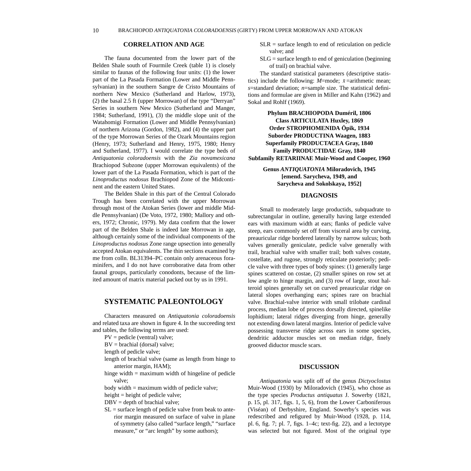<span id="page-15-0"></span>

#### **CORRELATION AND AGE**

The fauna documented from the lower part of the Belden Shale south of Fourmile Creek (table 1) is closely similar to faunas of the following four units: (1) the lower part of the La Pasada Formation (Lower and Middle Pennsylvanian) in the southern Sangre de Cristo Mountains of northern New Mexico (Sutherland and Harlow, 1973), (2) the basal 2.5 ft (upper Morrowan) of the type "Derryan" Series in southern New Mexico (Sutherland and Manger, 1984; Sutherland, 1991), (3) the middle slope unit of the Watahomigi Formation (Lower and Middle Pennsylvanian) of northern Arizona (Gordon, 1982), and (4) the upper part of the type Morrowan Series of the Ozark Mountains region (Henry, 1973; Sutherland and Henry, 1975, 1980; Henry and Sutherland, 1977). I would correlate the type beds of *Antiquatonia coloradoensis* with the *Zia novamexicana* Brachiopod Subzone (upper Morrowan equivalents) of the lower part of the La Pasada Formation, which is part of the *Linoproductus nodosus* Brachiopod Zone of the Midcontinent and the eastern United States.

The Belden Shale in this part of the Central Colorado Trough has been correlated with the upper Morrowan through most of the Atokan Series (lower and middle Middle Pennsylvanian) (De Voto, 1972, 1980; Mallory and others, 1972; Chronic, 1979). My data confirm that the lower part of the Belden Shale is indeed late Morrowan in age, although certainly some of the individual components of the *Linoproductus nodosus* Zone range upsection into generally accepted Atokan equivalents. The thin sections examined by me from colln. BL31394–PC contain only arenaceous foraminifers, and I do not have corroborative data from other faunal groups, particularly conodonts, because of the limited amount of matrix material packed out by us in 1991.

### **SYSTEMATIC PALEONTOLOGY**

Characters measured on *Antiquatonia coloradoensis* and related taxa are shown in figure 4. In the succeeding text and tables, the following terms are used:

- PV = pedicle (ventral) valve;
- BV = brachial (dorsal) valve;
- length of pedicle valve;
- length of brachial valve (same as length from hinge to anterior margin, HAM);
- hinge width = maximum width of hingeline of pedicle valve;
- body width = maximum width of pedicle valve;
- height = height of pedicle valve;
- $DBV = depth of brachial value;$
- $SL =$  surface length of pedicle valve from beak to anterior margin measured on surface of valve in plane of symmetry (also called "surface length," "surface measure," or "arc length" by some authors);
- $SLR$  = surface length to end of reticulation on pedicle valve; and
- $SLG$  = surface length to end of geniculation (beginning of trail) on brachial valve.

The standard statistical parameters (descriptive statistics) include the following:  $M$ =mode;  $\bar{x}$ =arithmetic mean; *s*=standard deviation; *n*=sample size. The statistical definitions and formulae are given in Miller and Kahn (1962) and Sokal and Rohlf (1969).

**Phylum BRACHIOPODA Duméril, 1806 Class ARTICULATA Huxley, 1869 Order STROPHOMENIDA Öpik, 1934 Suborder PRODUCTINA Waagen, 1883 Superfamily PRODUCTACEA Gray, 1840 Family PRODUCTIDAE Gray, 1840 Subfamily RETARIINAE Muir-Wood and Cooper, 1960**

#### **Genus** *ANTIQUATONIA* **Miloradovich, 1945 [emend. Sarycheva, 1949, and Sarycheva and Sokolskaya, 1952]**

#### **DIAGNOSIS**

Small to moderately large productids, subquadrate to subrectangular in outline, generally having large extended ears with maximum width at ears; flanks of pedicle valve steep, ears commonly set off from visceral area by curving, preauricular ridge bordered laterally by narrow sulcus; both valves generally geniculate, pedicle valve generally with trail, brachial valve with smaller trail; both valves costate, costellate, and rugose, strongly reticulate posteriorly; pedicle valve with three types of body spines: (1) generally large spines scattered on costae, (2) smaller spines on row set at low angle to hinge margin, and (3) row of large, stout halteroid spines generally set on curved preauricular ridge on lateral slopes overhanging ears; spines rare on brachial valve. Brachial-valve interior with small trilobate cardinal process, median lobe of process dorsally directed, spinelike lophidium; lateral ridges diverging from hinge, generally not extending down lateral margins. Interior of pedicle valve possessing transverse ridge across ears in some species, dendritic adductor muscles set on median ridge, finely grooved diductor muscle scars.

#### **DISCUSSION**

*Antiquatonia* was split off of the genus *Dictyoclostus* Muir-Wood (1930) by Miloradovich (1945), who chose as the type species *Productus antiquatus* J. Sowerby (1821, p. 15, pl. 317, figs. 1, 5, 6), from the Lower Carboniferous (Viséan) of Derbyshire, England. Sowerby's species was redescribed and refigured by Muir-Wood (1928, p. 114, pl. 6, fig. 7; pl. 7, figs. 1–4c; text-fig. 22), and a lectotype was selected but not figured. Most of the original type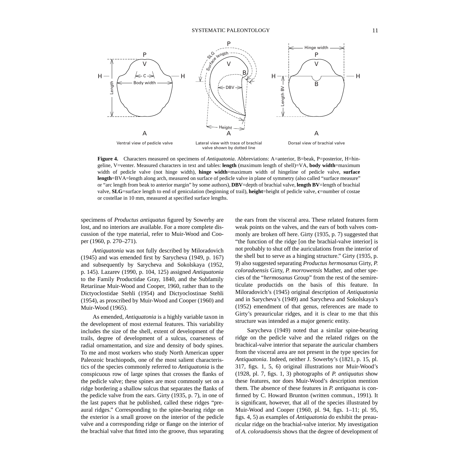<span id="page-16-0"></span>

**Figure 4.** Characters measured on specimens of *Antiquatonia*. Abbreviations: A=anterior, B=beak, P=posterior, H=hingeline, V=venter. Measured characters in text and tables: **length** (maximum length of shell)=VA, **body width**=maximum width of pedicle valve (not hinge width), **hinge width**=maximum width of hingeline of pedicle valve, **surface length**=BVA=length along arch, measured on surface of pedicle valve in plane of symmetry (also called "surface measure" or "arc length from beak to anterior margin" by some authors), **DBV**=depth of brachial valve, **length BV**=length of brachial valve, **SLG**=surface length to end of geniculation (beginning of trail), **height**=height of pedicle valve, **c**=number of costae or costellae in 10 mm, measured at specified surface lengths.

specimens of *Productus antiquatus* figured by Sowerby are lost, and no interiors are available. For a more complete discussion of the type material, refer to Muir-Wood and Cooper (1960, p. 270–271).

*Antiquatonia* was not fully described by Miloradovich (1945) and was emended first by Sarycheva (1949, p. 167) and subsequently by Sarycheva and Sokolskaya (1952, p. 145). Lazarev (1990, p. 104, 125) assigned *Antiquatonia* to the Family Productidae Gray, 1840, and the Subfamily Retariinae Muir-Wood and Cooper, 1960, rather than to the Dictyoclostidae Stehli (1954) and Dictyoclostinae Stehli (1954), as proscribed by Muir-Wood and Cooper (1960) and Muir-Wood (1965).

As emended, *Antiquatonia* is a highly variable taxon in the development of most external features. This variability includes the size of the shell, extent of development of the trails, degree of development of a sulcus, coarseness of radial ornamentation, and size and density of body spines. To me and most workers who study North American upper Paleozoic brachiopods, one of the most salient characteristics of the species commonly referred to *Antiquatonia* is the conspicuous row of large spines that crosses the flanks of the pedicle valve; these spines are most commonly set on a ridge bordering a shallow sulcus that separates the flanks of the pedicle valve from the ears. Girty (1935, p. 7), in one of the last papers that he published, called these ridges "preaural ridges." Corresponding to the spine-bearing ridge on the exterior is a small groove on the interior of the pedicle valve and a corresponding ridge or flange on the interior of the brachial valve that fitted into the groove, thus separating the ears from the visceral area. These related features form weak points on the valves, and the ears of both valves commonly are broken off here. Girty (1935, p. 7) suggested that "the function of the ridge [on the brachial-valve interior] is not probably to shut off the auriculations from the interior of the shell but to serve as a hinging structure." Girty (1935, p. 9) also suggested separating *Productus hermosanus* Girty, *P. coloradoensis* Girty, *P. morrowensis* Mather, and other species of the "*hermosanus* Group" from the rest of the semireticulate productids on the basis of this feature. In Miloradovich's (1945) original description of *Antiquatonia* and in Sarycheva's (1949) and Sarycheva and Sokolskaya's (1952) emendment of that genus, references are made to Girty's preauricular ridges, and it is clear to me that this structure was intended as a major generic entity.

Sarycheva (1949) noted that a similar spine-bearing ridge on the pedicle valve and the related ridges on the brachical-valve interior that separate the auricular chambers from the visceral area are not present in the type species for *Antiquatonia*. Indeed, neither J. Sowerby's (1821, p. 15, pl. 317, figs. 1, 5, 6) original illustrations nor Muir-Wood's (1928, pl. 7, figs. 1, 3) photographs of *P. antiquatus* show these features, nor does Muir-Wood's description mention them. The absence of these features in *P. antiquatus* is confirmed by C. Howard Brunton (written commun., 1991). It is significant, however, that all of the species illustrated by Muir-Wood and Cooper (1960, pl. 94, figs. 1–11; pl. 95, figs. 4, 5) as examples of *Antiquatonia* do exhibit the preauricular ridge on the brachial-valve interior. My investigation of *A. coloradoensis* shows that the degree of development of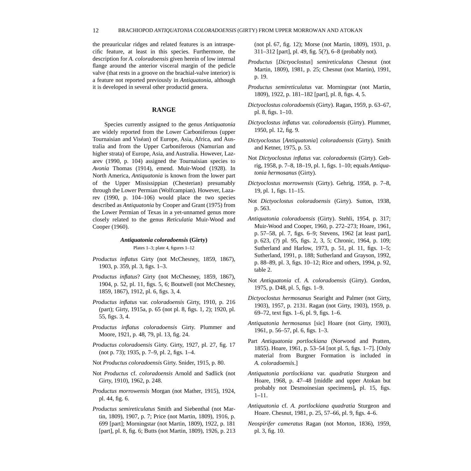<span id="page-17-0"></span>the preauricular ridges and related features is an intraspecific feature, at least in this species. Furthermore, the description for *A. coloradoensis* given herein of low internal flange around the anterior visceral margin of the pedicle valve (that rests in a groove on the brachial-valve interior) is a feature not reported previously in *Antiquatonia*, although it is developed in several other productid genera.

#### **RANGE**

Species currently assigned to the genus *Antiquatonia* are widely reported from the Lower Carboniferous (upper Tournaisian and Viséan) of Europe, Asia, Africa, and Australia and from the Upper Carboniferous (Namurian and higher strata) of Europe, Asia, and Australia. However, Lazarev (1990, p. 104) assigned the Tournaisian species to *Avonia* Thomas (1914), emend. Muir-Wood (1928). In North America, *Antiquatonia* is known from the lower part of the Upper Mississippian (Chesterian) presumably through the Lower Permian (Wolfcampian). However, Lazarev (1990, p. 104–106) would place the two species described as *Antiquatonia* by Cooper and Grant (1975) from the Lower Permian of Texas in a yet-unnamed genus more closely related to the genus *Reticulatia* Muir-Wood and Cooper (1960).

#### *Antiquatonia coloradoensis* **(Girty)** Plates 1–3; plate 4, figures 1–12

*Productus inflatus* Girty (not McChesney, 1859, 1867),

1903, p. 359, pl. 3, figs. 1–3.

- *Productus inflatus*? Girty (not McChesney, 1859, 1867), 1904, p. 52, pl. 11, figs. 5, 6; Boutwell (not McChesney, 1859, 1867), 1912, pl. 6, figs. 3, 4.
- *Productus inflatus* var. *coloradoensis* Girty, 1910, p. 216 (part); Girty, 1915a, p. 65 (not pl. 8, figs. 1, 2); 1920, pl. 55, figs. 3, 4.
- *Productus inflatus coloradoensis* Girty. Plummer and Moore, 1921, p. 48, 79, pl. 13, fig. 24.
- *Productus coloradoensis* Girty. Girty, 1927, pl. 27, fig. 17 (not p. 73); 1935, p. 7–9, pl. 2, figs. 1–4.
- Not *Productus coloradoensis* Girty. Snider, 1915, p. 80.
- Not *Productus* cf. *coloradoensis* Arnold and Sadlick (not Girty, 1910), 1962, p. 248.
- *Productus morrowensis* Morgan (not Mather, 1915), 1924, pl. 44, fig. 6.
- *Productus semireticulatus* Smith and Siebenthal (not Martin, 1809), 1907, p. 7; Price (not Martin, 1809), 1916, p. 699 [part]; Morningstar (not Martin, 1809), 1922, p. 181 [part], pl. 8, fig. 6; Butts (not Martin, 1809), 1926, p. 213

(not pl. 67, fig. 12); Morse (not Martin, 1809), 1931, p. 311–312 [part], pl. 49, fig. 5(?), 6–8 (probably not).

- *Productus* [*Dictyoclostus*] *semireticulatus* Chesnut (not Martin, 1809), 1981, p. 25; Chesnut (not Martin), 1991, p. 19.
- *Productus semireticulatus* var. Morningstar (not Martin, 1809), 1922, p. 181–182 [part], pl. 8, figs. 4, 5.
- *Dictyoclostus coloradoensis* (Girty). Ragan, 1959, p. 63–67, pl. 8, figs. 1–10.
- *Dictyoclostus inflatus* var. *coloradoensis* (Girty). Plummer, 1950, pl. 12, fig. 9.
- *Dictyoclostus* [*Antiquatonia*] *coloradoensis* (Girty). Smith and Ketner, 1975, p. 53.
- Not *Dictyoclostus inflatus* var. *coloradoensis* (Girty). Gehrig, 1958, p. 7–8, 18–19, pl. 1, figs. 1–10; equals *Antiquatonia hermosanus* (Girty).
- *Dictyoclostus morrowensis* (Girty). Gehrig, 1958, p. 7–8, 19, pl. 1, figs. 11–15.
- Not *Dictyoclostus coloradoensis* (Girty). Sutton, 1938, p. 563.
- *Antiquatonia coloradoensis* (Girty). Stehli, 1954, p. 317; Muir-Wood and Cooper, 1960, p. 272–273; Hoare, 1961, p. 57–58, pl. 7, figs. 6–9; Stevens, 1962 [at least part], p. 623, (?) pl. 95, figs. 2, 3, 5; Chronic, 1964, p. 109; Sutherland and Harlow, 1973, p. 51, pl. 11, figs. 1–5; Sutherland, 1991, p. 188; Sutherland and Grayson, 1992, p. 88–89, pl. 3, figs. 10–12; Rice and others, 1994, p. 92, table 2.
- Not *Antiquatonia* cf. *A. coloradoensis* (Girty). Gordon, 1975, p. D48, pl. 5, figs. 1–9.
- *Dictyoclostus hermosanus* Searight and Palmer (not Girty, 1903), 1957, p. 2131. Ragan (not Girty, 1903), 1959, p. 69–72, text figs. 1–6, pl. 9, figs. 1–6.
- *Antiquatonia hermosanus* [sic] Hoare (not Girty, 1903), 1961, p. 56–57, pl. 6, figs. 1–3.
- Part *Antiquatonia portlockiana* (Norwood and Pratten, 1855). Hoare, 1961, p. 53–54 [not pl. 5, figs. 1–7]. [Only material from Burgner Formation is included in *A. coloradoensis*.]
- *Antiquatonia portlockiana* var. *quadratia* Sturgeon and Hoare, 1968, p. 47–48 [middle and upper Atokan but probably not Desmoinesian specimens]**,** pl. 15, figs. 1–11.
- *Antiquatonia* cf. *A. portlockiana quadratia* Sturgeon and Hoare. Chesnut, 1981, p. 25, 57–66, pl. 9, figs. 4–6.
- *Neospirifer cameratus* Ragan (not Morton, 1836), 1959, pl. 3, fig. 10.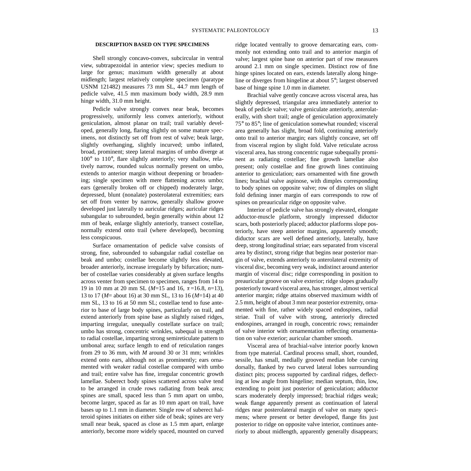#### <span id="page-18-0"></span>**DESCRIPTION BASED ON TYPE SPECIMENS**

Shell strongly concavo-convex, subcircular in ventral view, subtrapezoidal in anterior view; species medium to large for genus; maximum width generally at about midlength; largest relatively complete specimen (paratype USNM 121482) measures 73 mm SL, 44.7 mm length of pedicle valve, 41.5 mm maximum body width, 28.9 mm hinge width, 31.0 mm height.

Pedicle valve strongly convex near beak, becomes progressively, uniformly less convex anteriorly, without geniculation, almost planar on trail; trail variably developed, generally long, flaring slightly on some mature specimens, not distinctly set off from rest of valve; beak large, slightly overhanging, slightly incurved; umbo inflated, broad, prominent; steep lateral margins of umbo diverge at 100° to 110°, flare slightly anteriorly; very shallow, relatively narrow, rounded sulcus normally present on umbo, extends to anterior margin without deepening or broadening; single specimen with mere flattening across umbo; ears (generally broken off or chipped) moderately large, depressed, blunt (nonalate) posterolateral extremities; ears set off from venter by narrow, generally shallow groove developed just laterally to auricular ridges; auricular ridges subangular to subrounded, begin generally within about 12 mm of beak, enlarge slightly anteriorly, transect costellae, normally extend onto trail (where developed), becoming less conspicuous.

Surface ornamentation of pedicle valve consists of strong, fine, subrounded to subangular radial costellae on beak and umbo; costellae become slightly less elevated, broader anteriorly, increase irregularly by bifurcation; number of costellae varies considerably at given surface lengths across venter from specimen to specimen, ranges from 14 to 19 in 10 mm at 20 mm SL ( $M=15$  and 16,  $\bar{x} = 16.8$ ,  $n=13$ ), 13 to 17 (*M*= about 16) at 30 mm SL, 13 to 16 (*M*=14) at 40 mm SL, 13 to 16 at 50 mm SL; costellae tend to fuse anterior to base of large body spines, particularly on trail, and extend anteriorly from spine base as slightly raised ridges, imparting irregular, unequally costellate surface on trail; umbo has strong, concentric wrinkles, subequal in strength to radial costellae, imparting strong semireticulate pattern to umbonal area; surface length to end of reticulation ranges from 29 to 36 mm, with *M* around 30 or 31 mm; wrinkles extend onto ears, although not as prominently; ears ornamented with weaker radial costellae compared with umbo and trail; entire valve has fine, irregular concentric growth lamellae. Suberect body spines scattered across valve tend to be arranged in crude rows radiating from beak area; spines are small, spaced less than 5 mm apart on umbo, become larger, spaced as far as 10 mm apart on trail, have bases up to 1.1 mm in diameter. Single row of suberect halteroid spines initiates on either side of beak; spines are very small near beak, spaced as close as 1.5 mm apart, enlarge anteriorly, become more widely spaced, mounted on curved

ridge located ventrally to groove demarcating ears, commonly not extending onto trail and to anterior margin of valve; largest spine base on anterior part of row measures around 2.1 mm on single specimen. Distinct row of fine hinge spines located on ears, extends laterally along hingeline or diverges from hingeline at about 5°; largest observed base of hinge spine 1.0 mm in diameter.

Brachial valve gently concave across visceral area, has slightly depressed, triangular area immediately anterior to beak of pedicle valve; valve geniculate anteriorly, anterolaterally, with short trail; angle of geniculation approximately 75° to 85°; line of geniculation somewhat rounded; visceral area generally has slight, broad fold, continuing anteriorly onto trail to anterior margin; ears slightly concave, set off from visceral region by slight fold. Valve reticulate across visceral area, has strong concentric rugae subequally prominent as radiating costellae; fine growth lamellae also present; only costellae and fine growth lines continuing anterior to geniculation; ears ornamented with fine growth lines; brachial valve aspinose, with dimples corresponding to body spines on opposite valve; row of dimples on slight fold defining inner margin of ears corresponds to row of spines on preauricular ridge on opposite valve.

Interior of pedicle valve has strongly elevated, elongate adductor-muscle platform, strongly impressed diductor scars, both posteriorly placed; adductor platforms slope posteriorly, have steep anterior margins, apparently smooth; diductor scars are well defined anteriorly, laterally, have deep, strong longitudinal striae; ears separated from visceral area by distinct, strong ridge that begins near posterior margin of valve, extends anteriorly to anterolateral extremity of visceral disc, becoming very weak, indistinct around anterior margin of visceral disc; ridge corresponding in position to preauricular groove on valve exterior; ridge slopes gradually posteriorly toward visceral area, has stronger, almost vertical anterior margin; ridge attains observed maximum width of 2.5 mm, height of about 3 mm near posterior extremity, ornamented with fine, rather widely spaced endospines, radial striae. Trail of valve with strong, anteriorly directed endospines, arranged in rough, concentric rows; remainder of valve interior with ornamentation reflecting ornamentation on valve exterior; auricular chamber smooth.

Visceral area of brachial-valve interior poorly known from type material. Cardinal process small, short, rounded, sessile, has small, medially grooved median lobe curving dorsally, flanked by two curved lateral lobes surrounding distinct pits; process supported by cardinal ridges, deflecting at low angle from hingeline; median septum, thin, low, extending to point just posterior of geniculation; adductor scars moderately deeply impressed; brachial ridges weak; weak flange apparently present as continuation of lateral ridges near posterolateral margin of valve on many specimens; where present or better developed, flange fits just posterior to ridge on opposite valve interior, continues anteriorly to about midlength, apparently generally disappears;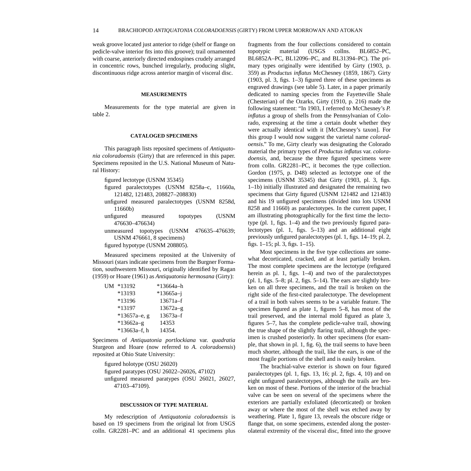<span id="page-19-0"></span>weak groove located just anterior to ridge (shelf or flange on pedicle-valve interior fits into this groove); trail ornamented with coarse, anteriorly directed endospines crudely arranged in concentric rows, bunched irregularly, producing slight, discontinuous ridge across anterior margin of visceral disc.

#### **MEASUREMENTS**

Measurements for the type material are given in table 2.

#### **CATALOGED SPECIMENS**

This paragraph lists reposited specimens of *Antiquatonia coloradoensis* (Girty) that are referenced in this paper. Specimens reposited in the U.S. National Museum of Natural History:

figured lectotype (USNM 35345)

- figured paralectotypes (USNM 8258a–c, 11660a, 121482, 121483, 208827–208830)
- unfigured measured paralectotypes (USNM 8258d, 11660b)
- unfigured measured topotypes (USNM 476630–476634)
- unmeasured topotypes (USNM 476635–476639; USNM 476661, 8 specimens)

figured hypotype (USNM 208805).

Measured specimens reposited at the University of Missouri (stars indicate specimens from the Burgner Formation, southwestern Missouri, originally identified by Ragan (1959) or Hoare (1961) as *Antiquatonia hermosana* (Girty):

| UМ | *13192         | *13664a–h     |
|----|----------------|---------------|
|    | *13193         | $*13665a - i$ |
|    | *13196         | 13671a-f      |
|    | *13197         | $13672a-g$    |
|    | $*13657a-e, g$ | $13673a-f$    |
|    | $*13662a-g$    | 14353         |
|    | $*13663a-f, h$ | 14354.        |

Specimens of *Antiquatonia portlockiana* var. *quadratia* Sturgeon and Hoare (now referred to *A. coloradoensis*) reposited at Ohio State University:

figured holotype (OSU 26020) figured paratypes (OSU 26022–26026, 47102) unfigured measured paratypes (OSU 26021, 26027, 47103–47109).

#### **DISCUSSION OF TYPE MATERIAL**

My redescription of *Antiquatonia coloradoensis* is based on 19 specimens from the original lot from USGS colln. GR2281–PC and an additional 41 specimens plus fragments from the four collections considered to contain topotypic material (USGS collns. BL6852–PC, BL6852A–PC, BL12096–PC, and BL31394–PC). The primary types originally were identified by Girty (1903, p. 359) as *Productus inflatus* McChesney (1859, 1867). Girty (1903, pl. 3, figs. 1–3) figured three of these specimens as engraved drawings (see table 5). Later, in a paper primarily dedicated to naming species from the Fayetteville Shale (Chesterian) of the Ozarks, Girty (1910, p. 216) made the following statement: "In 1903, I referred to McChesney's *P. inflatus* a group of shells from the Pennsylvanian of Colorado, expressing at the time a certain doubt whether they were actually identical with it [McChesney's taxon]. For this group I would now suggest the varietal name *coloradoensis*." To me, Girty clearly was designating the Colorado material the primary types of *Productus inflatus* var. *coloradoensis*, and, because the three figured specimens were from colln. GR2281–PC, it becomes the type collection. Gordon (1975, p. D48) selected as lectotype one of the specimens (USNM 35345) that Girty (1903, pl. 3, figs. 1–1b) initially illustrated and designated the remaining two specimens that Girty figured (USNM 121482 and 121483) and his 19 unfigured specimens (divided into lots USNM 8258 and 11660) as paralectotypes. In the current paper, I am illustrating photographically for the first time the lectotype (pl. 1, figs. 1–4) and the two previously figured paralectotypes (pl. 1, figs. 5–13) and an additional eight previously unfigured paralectotypes (pl. 1, figs. 14–19; pl. 2, figs. 1–15; pl. 3, figs. 1–15).

Most specimens in the five type collections are somewhat decorticated, cracked, and at least partially broken. The most complete specimens are the lectotype (refigured herein as pl. 1, figs. 1–4) and two of the paralectotypes (pl. 1, figs. 5–8; pl. 2, figs. 5–14). The ears are slightly broken on all three specimens, and the trail is broken on the right side of the first-cited paralectotype. The development of a trail in both valves seems to be a variable feature. The specimen figured as plate 1, figures 5–8, has most of the trail preserved, and the internal mold figured as plate 3, figures 5–7, has the complete pedicle-valve trail, showing the true shape of the slightly flaring trail, although the specimen is crushed posteriorly. In other specimens (for example, that shown in pl. 1, fig. 6), the trail seems to have been much shorter, although the trail, like the ears, is one of the most fragile portions of the shell and is easily broken.

The brachial-valve exterior is shown on four figured paralectotypes (pl. 1, figs. 13, 16; pl. 2, figs. 4, 10) and on eight unfigured paralectotypes, although the trails are broken on most of these. Portions of the interior of the brachial valve can be seen on several of the specimens where the exteriors are partially exfoliated (decorticated) or broken away or where the most of the shell was etched away by weathering. Plate 1, figure 13, reveals the obscure ridge or flange that, on some specimens, extended along the posterolateral extremity of the visceral disc, fitted into the groove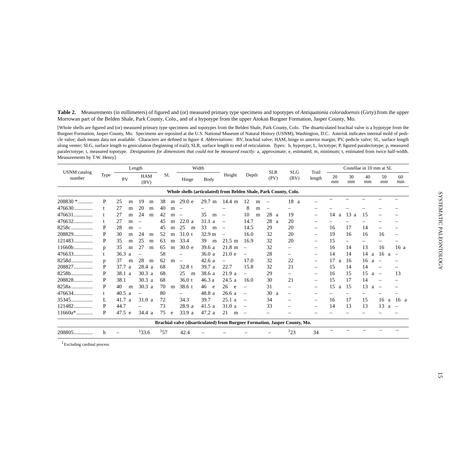<span id="page-20-0"></span>**Table 2.** Measurements (in millimeters) of figured and (or) measured primary type specimens and topotypes of *Antiquatonia coloradoensis* (Girty) from the upper Morrowan part of the Belden Shale, Park County, Colo., and of a hypotype from the upper Atokan Burgner Formation, Jasper County, Mo.

[Whole shells are figured and (or) measured primary type specimens and topotypes from the Belden Shale, Park County, Colo. The disarticulated brachial valve is a hypotype from the Burgner Formation, Jasper County, Mo. Specimens are reposited at the U.S. National Museum of Natural History (USNM), Washington, D.C. Asterisk indicates internal mold of pedicle valve; dash means data not available. Characters are defined in figure 4. *Abbreviations:* BV, brachial valve; HAM, hinge to anterior margin; PV, pedicle valve; SL, surface length along venter; SLG, surface length to geniculation (beginning of trail); SLR, surface length to end of reticulation. *Types:* h, hypotype; L, lectotype; P, figured paralectotype; p, measured paralectotype; t, measured topotype. *Designations for dimensions that could not be measured exactly:* a, approximate; e, estimated; m, minimum; t, estimated from twice half-width. Measurements by T.W. Henry]

| <b>USNM</b> catalog |      |           | Length                   |           |                          | Width     |                          |                          | <b>SLR</b>                                                                 | <b>SLG</b>               | Trail                    | Costellae in 10 mm at SL |                          |          |                          |                          |
|---------------------|------|-----------|--------------------------|-----------|--------------------------|-----------|--------------------------|--------------------------|----------------------------------------------------------------------------|--------------------------|--------------------------|--------------------------|--------------------------|----------|--------------------------|--------------------------|
| number              | Type | PV        | <b>HAM</b><br>(BV)       | <b>SL</b> | Hinge                    | Body      | Height                   | Depth                    | (PV)                                                                       | (BV)                     | length                   | 20<br>mm                 | 30<br>mm                 | 40<br>mm | 50<br>mm                 | 60<br>mm                 |
|                     |      |           |                          |           |                          |           |                          |                          | Whole shells (articulated) from Belden Shale, Park County, Colo.           |                          |                          |                          |                          |          |                          |                          |
| 208830 *            | P    | 25<br>m   | 19<br>m                  | 38<br>m   | 29.0 e                   | 29.7<br>m | $14.4 \;{\rm m}$         | 12<br>m                  | $\overline{\phantom{m}}$                                                   | 18<br>a                  |                          |                          |                          |          |                          |                          |
| $476630$            |      | 27<br>m   | 20<br>m                  | 40<br>m   |                          |           |                          | 8<br>m                   |                                                                            | -                        |                          |                          |                          |          |                          |                          |
| $476631$            |      | 27<br>m   | 24<br>m                  | 42<br>m   | $\overline{\phantom{m}}$ | 35<br>m   | $\overline{\phantom{m}}$ | 10<br>m                  | 28<br>a                                                                    | 19                       | $\qquad \qquad -$        | 14<br>a                  | 13a                      | 15       | $\qquad \qquad -$        |                          |
| $476632$            |      | 27<br>m   | $\overline{\phantom{m}}$ | 45<br>m   | 22.0a                    | 31.1<br>a | $\overline{\phantom{m}}$ | 14.7                     | 28<br>$\overline{a}$                                                       | 20                       |                          |                          |                          |          |                          |                          |
| 8258c               | P    | 28<br>m   |                          | 45<br>m   | 25<br>m                  | 33<br>m   | $\overline{\phantom{m}}$ | 14.5                     | 29                                                                         | 20                       | $\qquad \qquad -$        | 16                       | 17                       | 14       |                          |                          |
| 208829              | P    | 30<br>m   | 24<br>m                  | 52<br>m   | 31.0 t                   | 32.9 m    | $\overline{\phantom{m}}$ | 16.0                     | 32                                                                         | 20                       | $\overline{\phantom{m}}$ | 19                       | 16                       | 16       | 16                       | $\qquad \qquad$          |
| $121483$            | P    | 35<br>m   | 25<br>m                  | 63<br>m   | 33.4                     | 39<br>m   | $21.5 \; \text{m}$       | 16.9                     | 32                                                                         | 20                       | $\overline{\phantom{0}}$ | 15                       | $\overline{\phantom{0}}$ |          |                          |                          |
| $11660b$            | p    | 35<br>m   | 27<br>m                  | 65<br>m   | 30.0 e                   | 39.6 a    | $21.8 \; m$              | $\overline{\phantom{m}}$ | 32                                                                         | —                        | $\overline{\phantom{m}}$ | 16                       | 14                       | 13       | 16                       | 16a                      |
| $476633$            |      | 36.3<br>a |                          | 58        | -                        | 36.0a     | 21.0 e                   | $\overline{\phantom{0}}$ | 28                                                                         | $\overline{\phantom{0}}$ | $\overline{\phantom{m}}$ | 14                       | 14                       | 14<br>a  | 16<br>a                  | $\overline{\phantom{m}}$ |
| $8258d$             | p    | 37<br>m   | 28<br>m                  | 62<br>m   |                          | 42.6a     | $\overline{\phantom{0}}$ | 17.0                     | 32                                                                         | 22                       | $\qquad \qquad -$        | 17<br>a                  | 16                       | 16<br>a  | $\overline{\phantom{m}}$ | $\qquad \qquad$          |
| $208827$            | P    | 37.7<br>a | 28.4 a                   | 68        | 32.8 t                   | 39.7a     | 22.7                     | 15.8                     | 32                                                                         | 21                       | $\overline{\phantom{m}}$ | 15                       | 14                       | 14       | $\overline{\phantom{0}}$ |                          |
| 8258b               | P    | 38.1 a    | 30.3 <sub>a</sub>        | 68        | 25<br>m                  | 38.6 a    | 21.9a                    | $\overline{\phantom{0}}$ | 29                                                                         | $\overline{\phantom{0}}$ | $\overline{\phantom{m}}$ | 16                       | 15                       | 15<br>a  | $\overline{\phantom{a}}$ | 13                       |
| 208828              | P    | 38.1      | 30.3 a                   | 68        | 36.0 t                   | 46.3 a    | 24.5a                    | 16.0                     | 30                                                                         | 21                       | $\overline{\phantom{m}}$ | 15                       | 17                       | 14       |                          |                          |
| 8258a.<br>.         | P    | 40<br>m   | 30.3 <sub>a</sub>        | 70<br>m   | 38.6 t                   | 46<br>e   | 26<br>e.                 | $\qquad \qquad -$        | 31                                                                         | $\overline{\phantom{0}}$ | $\overline{\phantom{m}}$ | 15<br>a                  | 15                       | 13<br>a  | $\overline{\phantom{a}}$ |                          |
| 476634              | t    | 40.5<br>a |                          | 80        | $\overline{\phantom{0}}$ | 48.8 a    | 26.6a                    | $\overline{\phantom{m}}$ | 30<br>a                                                                    | —                        |                          |                          | -                        |          |                          |                          |
| $35345$             | L    | 41.7<br>a | 31.0a                    | 72        | 34.3                     | 39.7      | 25.1a                    | $\overline{\phantom{m}}$ | 34                                                                         | $\overline{\phantom{0}}$ | $\overline{\phantom{m}}$ | 16                       | 17                       | 15       | 16<br>a                  | 16 a                     |
| $121482$            | P    | 44.7      |                          | 73        | 28.9 a                   | 41.5a     | 31.0a                    | $\overline{\phantom{m}}$ | 33                                                                         |                          | $\overline{\phantom{m}}$ | 14                       | 13                       | 13       | 13<br>a                  | $\overline{\phantom{a}}$ |
| $11660a*$           | P    | 47.5 e    | 34.4a                    | 75<br>e   | 33.9 a                   | 47.2 a    | 21<br>m                  | $\overline{\phantom{a}}$ |                                                                            |                          |                          |                          |                          |          |                          |                          |
|                     |      |           |                          |           |                          |           |                          |                          | Brachial valve (disarticulated) from Burgner Formation, Jasper County, Mo. |                          |                          |                          |                          |          |                          |                          |
| 208805              | h    |           | 133.6                    | 157       | 42.4                     |           |                          |                          |                                                                            | 123                      | 34                       |                          |                          |          |                          |                          |

<sup>1</sup>Excluding cardinal process.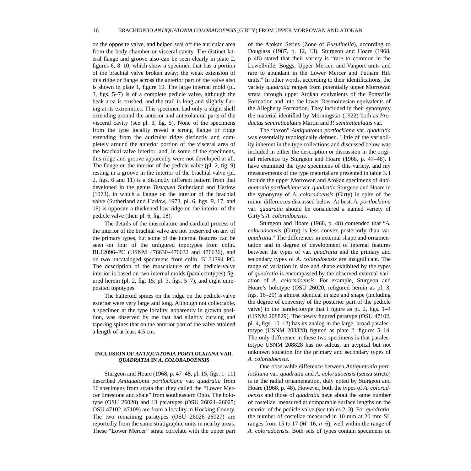<span id="page-21-0"></span>on the opposite valve, and helped seal off the auricular area from the body chamber or visceral cavity. The distinct lateral flange and groove also can be seen clearly in plate 2, figures 6, 8–10, which show a specimen that has a portion of the brachial valve broken away; the weak extension of this ridge or flange across the anterior part of the valve also is shown in plate 1, figure 19. The large internal mold (pl. 3, figs. 5–7) is of a complete pedicle valve, although the beak area is crushed, and the trail is long and slightly flaring at its extremities. This specimen had only a slight shelf extending around the anterior and anterolateral parts of the visceral cavity (see pl. 3, fig. 5). None of the specimens from the type locality reveal a strong flange or ridge extending from the auricular ridge distinctly and completely around the anterior portion of the visceral area of the brachial-valve interior, and, in some of the specimens, this ridge and groove apparently were not developed at all. The flange on the interior of the pedicle valve (pl. 2, fig. 9) resting in a groove in the interior of the brachial valve (pl. 2, figs. 6 and 11) is a distinctly different pattern from that developed in the genus *Tesuquea* Sutherland and Harlow (1973), in which a flange on the interior of the brachial valve (Sutherland and Harlow, 1973, pl. 6, figs. 9, 17, and 18) is opposite a thickened low ridge on the interior of the pedicle valve (their pl. 6, fig. 18).

The details of the musculature and cardinal process of the interior of the brachial valve are not preserved on any of the primary types, but some of the internal features can be seen on four of the unfigured topotypes from colln. BL12096–PC (USNM 476630–476632 and 476636), and on two uncataloged specimens from colln. BL31394–PC. The description of the musculature of the pedicle-valve interior is based on two internal molds (paralectotypes) figured herein (pl. 2, fig. 15; pl. 3, figs. 5–7), and eight unreposited topotypes.

The halteroid spines on the ridge on the pedicle-valve exterior were very large and long. Although not collectable, a specimen at the type locality, apparently in growth position, was observed by me that had slightly curving and tapering spines that on the anterior part of the valve attained a length of at least 4.5 cm.

#### **INCLUSION OF** *ANTIQUATONIA PORTLOCKIANA* **VAR.**  *QUADRATIA* **IN** *A. COLORADOENSIS*

Sturgeon and Hoare (1968, p. 47–48, pl. 15, figs. 1–11) described *Antiquatonia portlockiana* var. *quadratia* from 16 specimens from strata that they called the "Lower Mercer limestone and shale" from southeastern Ohio. The holotype (OSU 26020) and 13 paratypes (OSU 26021–26025; OSU 47102–47109) are from a locality in Hocking County. The two remaining paratypes (OSU 26026–26027) are reportedly from the same stratigraphic units in nearby areas. These "Lower Mercer" strata correlate with the upper part of the Atokan Series (Zone of *Fusulinella*), according to Douglass (1987, p. 12, 13). Sturgeon and Hoare (1968, p. 48) stated that their variety is "rare to common in the Lowellville, Boggs, Upper Mercer, and Vanport units and rare to abundant in the Lower Mercer and Putnam Hill units." In other words, according to their identifications, the variety *quadratia* ranges from potentially upper Morrowan strata through upper Atokan equivalents of the Pottsville Formation and into the lower Desmoinesian equivalents of the Allegheny Formation. They included in their synonymy the material identified by Morningstar (1922) both as *Productus semireticulatus* Martin and *P. semireticulatus* var.

The "taxon" *Antiquatonia portlockiana* var. *quadratia* was essentially typologically defined. Little of the variability inherent in the type collections and discussed below was included in either the description or discussion in the original reference by Sturgeon and Hoare (1968, p. 47–48). I have examined the type specimens of this variety, and my measurements of the type material are presented in table 3. I include the upper Morrowan and Atokan specimens of *Antiquatonia portlockiana* var. *quadratia* Sturgeon and Hoare in the synonymy of *A. coloradoensis* (Girty) in spite of the minor differences discussed below. At best, *A. portlockiana* var. *quadratia* should be considered a named variety of Girty's *A. coloradoensis*.

Sturgeon and Hoare (1968, p. 48) contended that "*A. coloradoensis* (Girty) is less convex posteriorly than var. *quadratia*." The differences in external shape and ornamentation and in degree of development of internal features between the types of var. *quadratia* and the primary and secondary types of *A. coloradoensis* are insignificant. The range of variation in size and shape exhibited by the types of *quadratia* is encompassed by the observed external variation of *A. coloradoensis*. For example, Sturgeon and Hoare's holotype (OSU 26020, refigured herein as pl. 3, figs. 16–20) is almost identical in size and shape (including the degree of convexity of the posterior part of the pedicle valve) to the paralectotype that I figure as pl. 2, figs. 1–4 (USNM 208829). The newly figured paratype (OSU 47102, pl. 4, figs. 10–12) has its analog in the large, broad paralectotype (USNM 208828) figured as plate 2, figures 5–14. The only difference in these two specimens is that paralectotype USNM 208828 has no sulcus, an atypical but not unknown situation for the primary and secondary types of *A. coloradoensis*.

One observable difference between *Antiquatonia portlockiana* var. *quadratia* and *A. coloradoensis* (sensu stricto) is in the radial ornamentation, duly noted by Sturgeon and Hoare (1968, p. 48). However, both the types of *A. coloradoensis* and those of *quadratia* have about the same number of costellae, measured at comparable surface lengths on the exterior of the pedicle valve (see tables 2, 3). For *quadratia*, the number of costellae measured in 10 mm at 20 mm SL ranges from 15 to 17 (*M*=16, *n*=6), well within the range of *A. coloradoensis.* Both sets of types contain specimens on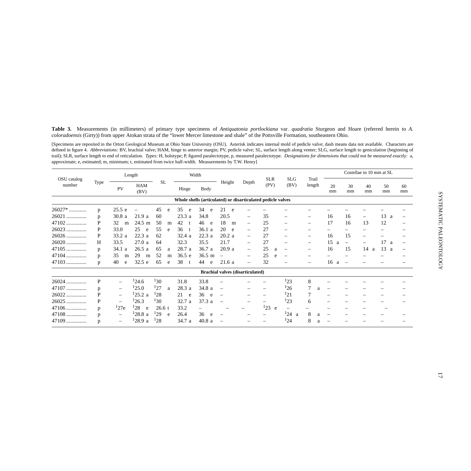<span id="page-22-0"></span>**Table 3.** Measurements (in millimeters) of primary type specimens of *Antiquatonia portlockiana* var. *quadratia* Sturgeon and Hoare (referred herein to *A. coloradoensis* (Girty)) from upper Atokan strata of the "lower Mercer limestone and shale" of the Pottsville Formation, southeastern Ohio.

[Specimens are reposited in the Orton Geological Museum at Ohio State University (OSU). Asterisk indicates internal mold of pedicle valve; dash means data not available. Characters are defined in figure 4. Abbreviations: BV, brachial valve; HAM, hinge to anterior margin; PV, pedicle valve; SL, surface length along venter; SLG, surface length to geniculation (beginning of trail); SLR, surface length to end of reticulation. *Types:* H, holotype; P, figured paralectotype, p, measured paralectotype. *Designations for dimensions that could not be measured exactly:* a, approximate; e, estimated; m, minimum; t, estimated from twice half-width. Measurements by T.W. Henry]

|                       |      | Length                   |                    |           |   |          | Width                                                       |                                         |                          |                          |                          |                          |                          |                          | Costellae in 10 mm at SL |          |          |
|-----------------------|------|--------------------------|--------------------|-----------|---|----------|-------------------------------------------------------------|-----------------------------------------|--------------------------|--------------------------|--------------------------|--------------------------|--------------------------|--------------------------|--------------------------|----------|----------|
| OSU catalog<br>number | Type | PV                       | <b>HAM</b><br>(BV) | <b>SL</b> |   | Hinge    | <b>Body</b>                                                 | Height                                  | Depth                    | <b>SLR</b><br>(PV)       | <b>SLG</b><br>(BV)       | Trail<br>length          | 20<br>mm                 | 30<br>mm                 | 40<br>mm                 | 50<br>mm | 60<br>mm |
|                       |      |                          |                    |           |   |          | Whole shells (articulated) or disarticulated pedicle valves |                                         |                          |                          |                          |                          |                          |                          |                          |          |          |
| 26027*                | p    | 25.5 e                   |                    | 45        | e | 35<br>e  | 34<br>e                                                     | 21<br>e                                 |                          |                          |                          |                          |                          |                          |                          |          |          |
| 26021<br>.            | p    | 30.8a                    | 21.9a              | 60        |   | 23.3a    | 34.8                                                        | 20.5                                    | $\qquad \qquad -$        | 35                       | $\overline{\phantom{m}}$ | $\overline{\phantom{0}}$ | 16                       | 16                       | $\overline{\phantom{m}}$ | 13<br>a  |          |
| 47102<br>.            | P    | 32<br>m                  | $24.5 \text{ m}$   | 50        | m | 42<br>t  | 46<br>e                                                     | 18<br>m                                 | $\qquad \qquad -$        | 25                       | $\overline{\phantom{m}}$ | $\overline{\phantom{0}}$ | 17                       | 16                       | 13                       | 12       |          |
| 26023                 | P    | 33.0                     | 25<br>e            | 55        | e | 36<br>t. | 36.1 a                                                      | 20<br>e                                 | $\overline{\phantom{m}}$ | 27                       | $\qquad \qquad$          | —                        | $\overline{\phantom{0}}$ |                          |                          |          |          |
| 26026                 | P    | 33.2 a                   | 22.3 a             | 62        |   | 32.4a    | 22.3 a                                                      | 20.2a                                   | $\qquad \qquad -$        | 27                       | $\overline{\phantom{m}}$ | $\overline{\phantom{m}}$ | 16                       | 15                       |                          |          |          |
| 26020                 | Н    | 33.5                     | 27.0a              | 64        |   | 32.3     | 35.5                                                        | 21.7                                    | $\overline{\phantom{m}}$ | 27                       | $\qquad \qquad -$        | $\overline{\phantom{m}}$ | 15<br>a                  | $\overline{\phantom{m}}$ |                          | 17<br>a  |          |
| 47105                 | p    | 34.1<br>a                | 26.5a              | 65        | a | 28.7 a   | 36.7 a                                                      | 20.9a                                   | $\overline{\phantom{m}}$ | 25<br>a                  | $\overline{\phantom{m}}$ | $\overline{\phantom{0}}$ | 16                       | 15                       | 14<br>a                  | 13<br>a  |          |
| 47104                 | p    | 35<br>m                  | 29<br>m            | 52        | m | 36.5 e   | $36.5 \text{ m}$                                            | $\overline{\phantom{0}}$                | $\overline{\phantom{m}}$ | 25<br>$\epsilon$         | $\overline{\phantom{m}}$ |                          |                          |                          |                          |          |          |
| $47103$               | p    | 40<br>e                  | 32.5 e             | 65        | e | 38<br>t. | 44<br>e                                                     | 21.6a                                   | $\qquad \qquad -$        | 32                       |                          |                          | 16<br>a                  | $\overline{\phantom{a}}$ |                          |          |          |
|                       |      |                          |                    |           |   |          |                                                             | <b>Brachial valves (disarticulated)</b> |                          |                          |                          |                          |                          |                          |                          |          |          |
| 26024<br>.            | P    | —                        | 124.6              | 130       |   | 31.8     | 33.8                                                        |                                         |                          |                          | 123                      | 8                        |                          |                          |                          |          |          |
| 47107                 | p    | -                        | 125.0              | 127       | a | 28.3 a   | 34.8 a                                                      |                                         |                          | $\overline{\phantom{0}}$ | 126                      | 7<br>a                   |                          |                          |                          |          |          |
| 26022<br>.            | P    | $\overline{\phantom{m}}$ | 125.2 a            | 128       |   | 21<br>e  | 36<br>e                                                     |                                         |                          |                          | 121                      |                          | $\overline{\phantom{0}}$ |                          |                          |          |          |
| 26025                 | P    | $\overline{\phantom{m}}$ | 126.3              | 130       |   | 32.7 a   | 37.3 a                                                      |                                         |                          |                          | 123                      | 6                        | $\overline{\phantom{0}}$ |                          |                          |          |          |
| 47106                 | p    | 127e                     | 128<br>e           | 26.6 t    |   | 33.2     |                                                             |                                         |                          | 123<br>e                 |                          |                          |                          |                          |                          |          |          |
| 47108                 | p    | —                        | 128.8a             | 129       | e | 26.4     | 36<br>e                                                     |                                         |                          |                          | 124a                     | 8                        |                          |                          |                          |          |          |
| 47109                 | p    | -                        | 128.9a             | 128       |   | 34.7 a   | 40.8a                                                       |                                         |                          |                          | 124                      | 8                        |                          |                          |                          |          |          |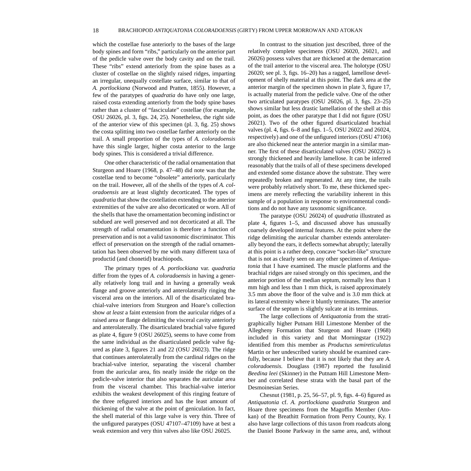which the costellae fuse anteriorly to the bases of the large body spines and form "ribs," particularly on the anterior part of the pedicle valve over the body cavity and on the trail. These "ribs" extend anteriorly from the spine bases as a cluster of costellae on the slightly raised ridges, imparting an irregular, unequally costellate surface, similar to that of *A. portlockiana* (Norwood and Pratten, 1855). However, a few of the paratypes of *quadratia* do have only one large, raised costa extending anteriorly from the body spine bases rather than a cluster of "fasciculate" costellae (for example, OSU 26026, pl. 3, figs. 24, 25). Nonetheless, the right side of the anterior view of this specimen (pl. 3, fig. 25) shows the costa splitting into two costellae farther anteriorly on the trail. A small proportion of the types of *A. coloradoensis* have this single larger, higher costa anterior to the large body spines. This is considered a trivial difference.

One other characteristic of the radial ornamentation that Sturgeon and Hoare (1968, p. 47–48) did note was that the costellae tend to become "obsolete" anteriorly, particularly on the trail. However, all of the shells of the types of *A. coloradoensis* are at least slightly decorticated. The types of *quadratia* that show the costellation extending to the anterior extremities of the valve are also decorticated or worn. All of the shells that have the ornamentation becoming indistinct or subdued are well preserved and not decorticated at all. The strength of radial ornamentation is therefore a function of preservation and is not a valid taxonomic discriminator. This effect of preservation on the strength of the radial ornamentation has been observed by me with many different taxa of productid (and chonetid) brachiopods.

The primary types of *A. portlockiana* var. *quadratia* differ from the types of *A. coloradoensis* in having a generally relatively long trail and in having a generally weak flange and groove anteriorly and anterolaterally ringing the visceral area on the interiors. All of the disarticulated brachial-valve interiors from Sturgeon and Hoare's collection show *at least* a faint extension from the auricular ridges of a raised area or flange delimiting the visceral cavity anteriorly and anterolaterally. The disarticulated brachial valve figured as plate 4, figure 9 (OSU 26025), seems to have come from the same individual as the disarticulated pedicle valve figured as plate 3, figures 21 and 22 (OSU 26023). The ridge that continues anterolaterally from the cardinal ridges on the brachial-valve interior, separating the visceral chamber from the auricular area, fits neatly inside the ridge on the pedicle-valve interior that also separates the auricular area from the visceral chamber. This brachial-valve interior exhibits the weakest development of this ringing feature of the three refigured interiors and has the least amount of thickening of the valve at the point of geniculation. In fact, the shell material of this large valve is very thin. Three of the unfigured paratypes (OSU 47107–47109) have at best a weak extension and very thin valves also like OSU 26025.

In contrast to the situation just described, three of the relatively complete specimens (OSU 26020, 26021, and 26026) possess valves that are thickened at the demarcation of the trail anterior to the visceral area. The holotype (OSU 26020; see pl. 3, figs. 16–20) has a ragged, lamellose development of shelly material at this point. The dark area at the anterior margin of the specimen shown in plate 3, figure 17, is actually material from the pedicle valve. One of the other two articulated paratypes (OSU 26026, pl. 3, figs. 23–25) shows similar but less drastic lamellation of the shell at this point, as does the other paratype that I did not figure (OSU 26021). Two of the other figured disarticulated brachial valves (pl. 4, figs. 6–8 and figs. 1–5, OSU 26022 and 26024, respectively) and one of the unfigured interiors (OSU 47106) are also thickened near the anterior margin in a similar manner. The first of these disarticulated valves (OSU 26022) is strongly thickened and heavily lamellose. It can be inferred reasonably that the trails of all of these specimens developed and extended some distance above the substrate. They were repeatedly broken and regenerated. At any time, the trails were probably relatively short. To me, these thickened specimens are merely reflecting the variability inherent in this sample of a population in response to environmental conditions and do not have any taxonomic significance.

The paratype (OSU 26024) of *quadratia* illustrated as plate 4, figures 1–5, and discussed above has unusually coarsely developed internal features. At the point where the ridge delimiting the auricular chamber extends anterolaterally beyond the ears, it deflects somewhat abruptly; laterally at this point is a rather deep, concave "socket-like" structure that is not as clearly seen on any other specimen of *Antiquatonia* that I have examined. The muscle platforms and the brachial ridges are raised strongly on this specimen, and the anterior portion of the median septum, normally less than 1 mm high and less than 1 mm thick, is raised approximately 3.5 mm above the floor of the valve and is 3.0 mm thick at its lateral extremity where it bluntly terminates. The anterior surface of the septum is slightly sulcate at its terminus.

The large collections of *Antiquatonia* from the stratigraphically higher Putnam Hill Limestone Member of the Allegheny Formation that Sturgeon and Hoare (1968) included in this variety and that Morningstar (1922) identified from this member as *Productus semireticulatus* Martin or her undescribed variety should be examined carefully, because I believe that it is not likely that they are *A. coloradoensis.* Douglass (1987) reported the fusulinid *Beedina leei* (Skinner) in the Putnam Hill Limestone Member and correlated these strata with the basal part of the Desmoinesian Series.

Chesnut (1981, p. 25, 56–57, pl. 9, figs. 4–6) figured as *Antiquatonia* cf. *A. portlockiana quadratia* Sturgeon and Hoare three specimens from the Magoffin Member (Atokan) of the Breathitt Formation from Perry County, Ky. I also have large collections of this taxon from roadcuts along the Daniel Boone Parkway in the same area, and, without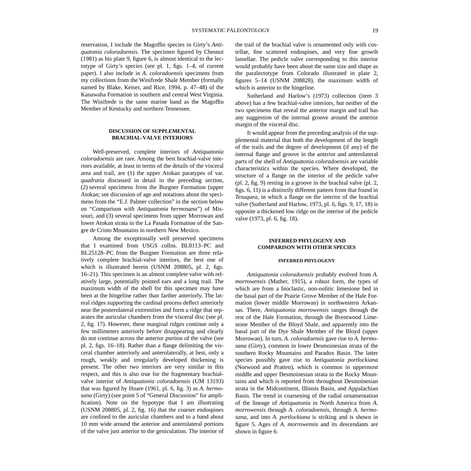<span id="page-24-0"></span>reservation, I include the Magoffin species in Girty's *Antiquatonia coloradoensis*. The specimen figured by Chesnut (1981) as his plate 9, figure 6, is almost identical to the lectotype of Girty's species (see pl. 1, figs. 1–4, of current paper). I also include in *A*. *coloradoensis* specimens from my collections from the Winifrede Shale Member (formally named by Blake, Keiser, and Rice, 1994, p. 47–48) of the Kanawaha Formation in southern and central West Virginia. The Winifrede is the same marine band as the Magoffin Member of Kentucky and northern Tennessee.

#### **DISCUSSION OF SUPPLEMENTAL BRACHIAL-VALVE INTERIORS**

Well-preserved, complete interiors of *Antiquatonia coloradoensis* are rare. Among the best brachial-valve interiors available, at least in terms of the details of the visceral area and trail, are (1) the upper Atokan paratypes of var. *quadratia* discussed in detail in the preceding section, (2) several specimens from the Burgner Formation (upper Atokan; see discussion of age and notations about the specimens from the "E.J. Palmer collection" in the section below on "Comparison with *Antiquatonia hermosana*") of Missouri, and (3) several specimens from upper Morrowan and lower Atokan strata in the La Pasada Formation of the Sangre de Cristo Mountains in northern New Mexico.

Among the exceptionally well preserved specimens that I examined from USGS collns. BL8113–PC and BL25128–PC from the Burgner Formation are three relatively complete brachial-valve interiors, the best one of which is illustrated herein (USNM 208805, pl. 2, figs. 16–21). This specimen is an almost complete valve with relatively large, potentially pointed ears and a long trail. The maximum width of the shell for this specimen may have been at the hingeline rather than farther anteriorly. The lateral ridges supporting the cardinal process deflect anteriorly near the posterolateral extremities and form a ridge that separates the auricular chambers from the visceral disc (see pl. 2, fig. 17). However, these marginal ridges continue only a few millimeters anteriorly before disappearing and clearly do not continue across the anterior portion of the valve (see pl. 2, figs. 16–18). Rather than a flange delimiting the visceral chamber anteriorly and anterolaterally, at best, only a rough, weakly and irregularly developed thickening is present. The other two interiors are very similar in this respect, and this is also true for the fragmentary brachialvalve interior of *Antiquatonia coloradoensis* (UM 13193) that was figured by Hoare (1961, pl. 6, fig. 3) as *A. hermosana* (Girty) (see point 5 of "General Discussion" for amplification). Note on the hypotype that I am illustrating (USNM 208805, pl. 2, fig. 16) that the coarser endospines are confined to the auricular chambers and to a band about 10 mm wide around the anterior and anterolateral portions of the valve just anterior to the geniculation. The interior of the trail of the brachial valve is ornamented only with costellae, fine scattered endospines, and very fine growth lamellae. The pedicle valve corresponding to this interior would probably have been about the same size and shape as the paralectotype from Colorado illustrated in plate 2, figures 5–14 (USNM 208828), the maximum width of which is anterior to the hingeline.

Sutherland and Harlow's (1973) collection (item 3 above) has a few brachial-valve interiors, but neither of the two specimens that reveal the anterior margin and trail has any suggestion of the internal groove around the anterior margin of the visceral disc.

It would appear from the preceding analysis of the supplemental material that both the development of the length of the trails and the degree of development (if any) of the internal flange and groove in the anterior and anterolateral parts of the shell of *Antiquatonia coloradoensis* are variable characteristics within the species. Where developed, the structure of a flange on the interior of the pedicle valve (pl. 2, fig. 9) resting in a groove in the brachial valve (pl. 2, figs. 6, 11) is a distinctly different pattern from that found in *Tesuquea*, in which a flange on the interior of the brachial valve (Sutherland and Harlow, 1973, pl. 6, figs. 9, 17, 18) is opposite a thickened low ridge on the interior of the pedicle valve (1973, pl. 6, fig. 18).

#### **INFERRED PHYLOGENY AND COMPARISON WITH OTHER SPECIES**

#### **INFERRED PHYLOGENY**

*Antiquatonia coloradoensis* probably evolved from *A. morrowensis* (Mather, 1915), a robust form, the types of which are from a bioclastic, non-oolitic limestone bed in the basal part of the Prairie Grove Member of the Hale Formation (lower middle Morrowan) in northwestern Arkansas. There, *Antiquatonia morrowensis* ranges through the rest of the Hale Formation, through the Brentwood Limestone Member of the Bloyd Shale, and apparently into the basal part of the Dye Shale Member of the Bloyd (upper Morrowan). In turn, *A. coloradoensis* gave rise to *A. hermosana* (Girty), common in lower Desmoinesian strata of the southern Rocky Mountains and Paradox Basin. The latter species possibly gave rise to *Antiquatonia portlockiana* (Norwood and Pratten), which is common in uppermost middle and upper Desmoinesian strata in the Rocky Mountains and which is reported from throughout Desmoinesian strata in the Midcontinent, Illinois Basin, and Appalachian Basin. The trend in coarsening of the radial ornamentation of the lineage of *Antiquatonia* in North America from *A. morrowensis* through *A. coloradoensis*, through *A. hermosana*, and into *A. portlockiana* is striking and is shown in figure 5. Ages of *A. morrowensis* and its descendants are shown in figure 6.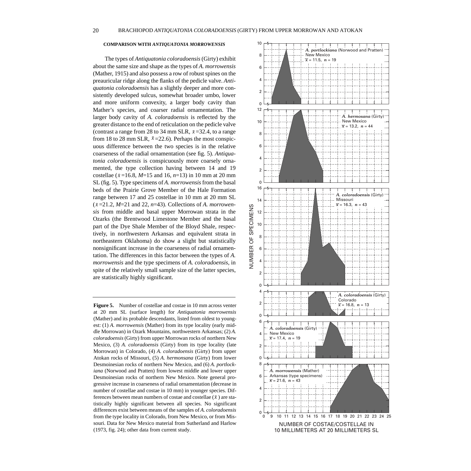#### <span id="page-25-0"></span>**COMPARISON WITH** *ANTIQUATONIA MORROWENSIS*

The types of *Antiquatonia coloradoensis* (Girty) exhibit about the same size and shape as the types of *A. morrowensis* (Mather, 1915) and also possess a row of robust spines on the preauricular ridge along the flanks of the pedicle valve. *Antiquatonia coloradoensis* has a slightly deeper and more consistently developed sulcus, somewhat broader umbo, lower and more uniform convexity, a larger body cavity than Mather's species, and coarser radial ornamentation. The larger body cavity of *A. coloradoensis* is reflected by the greater distance to the end of reticulation on the pedicle valve (contrast a range from 28 to 34 mm SLR,  $\bar{x}$ =32.4, to a range from 18 to 28 mm SLR,  $\bar{x}$ =22.6). Perhaps the most conspicuous difference between the two species is in the relative coarseness of the radial ornamentation (see fig. 5). *Antiquatonia coloradoensis* is conspicuously more coarsely ornamented, the type collection having between 14 and 19 costellae ( $\bar{x}$ =16.8, *M*=15 and 16, *n*=13) in 10 mm at 20 mm SL (fig. 5). Type specimens of *A. morrowensis* from the basal beds of the Prairie Grove Member of the Hale Formation range between 17 and 25 costellae in 10 mm at 20 mm SL  $(\bar{x} = 21.2, M=21 \text{ and } 22, n=43)$ . Collections of *A. morrowensis* from middle and basal upper Morrowan strata in the Ozarks (the Brentwood Limestone Member and the basal part of the Dye Shale Member of the Bloyd Shale, respectively, in northwestern Arkansas and equivalent strata in northeastern Oklahoma) do show a slight but statistically nonsignificant increase in the coarseness of radial ornamentation. The differences in this factor between the types of *A. morrowensis* and the type specimens of *A. coloradoensis*, in spite of the relatively small sample size of the latter species, are statistically highly significant.

**Figure 5.** Number of costellae and costae in 10 mm across venter at 20 mm SL (surface length) for *Antiquatonia morrowensis* (Mather) and its probable descendants, listed from oldest to youngest: (1) *A. morrowensis* (Mather) from its type locality (early middle Morrowan) in Ozark Mountains, northwestern Arkansas; (2) *A. coloradoensis* (Girty) from upper Morrowan rocks of northern New Mexico, (3) *A. coloradoensis* (Girty) from its type locality (late Morrowan) in Colorado, (4) *A. coloradoensis* (Girty) from upper Atokan rocks of Missouri, (5) *A. hermonsana* (Girty) from lower Desmoinesian rocks of northern New Mexico, and (6) *A. portlockiana* (Norwood and Pratten) from lowest middle and lower upper Desmoinesian rocks of northern New Mexico. Note general progressive increase in coarseness of radial ornamentation (decrease in number of costellae and costae in 10 mm) in younger species. Differences between mean numbers of costae and costellae  $(\bar{x})$  are statistically highly significant between all species. No significant differences exist between means of the samples of *A. coloradoensis* from the type locality in Colorado, from New Mexico, or from Missouri. Data for New Mexico material from Sutherland and Harlow (1973, fig. 24); other data from current study.

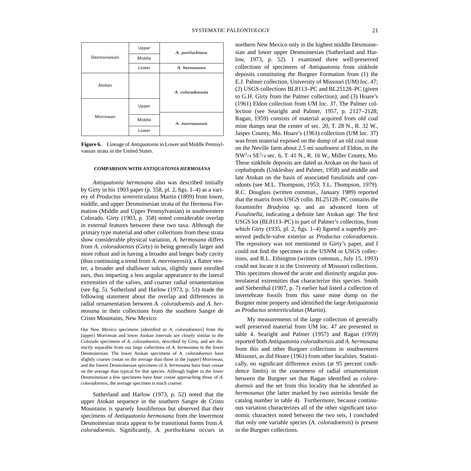<span id="page-26-0"></span>

**Figure 6.** Lineage of *Antiquatonia* in Lower and Middle Pennsylvanian strata in the United States.

#### **COMPARISON WITH** *ANTIQUATONIA HERMOSANA*

*Antiquatonia hermosana* also was described initially by Girty in his 1903 paper (p. 358, pl. 2, figs. 1–4) as a variety of *Productus semireticulatus* Martin (1809) from lower, middle, and upper Desmoinesian strata of the Hermosa Formation (Middle and Upper Pennsylvanian) in southwestern Colorado. Girty (1903, p. 358) noted considerable overlap in external features between these two taxa. Although the primary type material and other collections from these strata show considerable physical variation, *A. hermosana* differs from *A. coloradoensis* (Girty) in being generally larger and more robust and in having a broader and longer body cavity (thus continuing a trend from *A. morrowensis*), a flatter venter, a broader and shallower sulcus, slightly more enrolled ears, thus imparting a less angular appearance to the lateral extremities of the valves, and coarser radial ornamentation (see fig. 5). Sutherland and Harlow (1973, p. 51) made the following statement about the overlap and differences in radial ornamentation between *A. coloradoensis* and *A. hermosana* in their collections from the southern Sangre de Cristo Mountains, New Mexico:

Our New Mexico specimens [identified as *A. coloradoensis*] from the [upper] Morrowan and lower Atokan intervals are closely similar to the Colorado specimens of *A. coloradoensis*, described by Girty, and are distinctly separable from our large collections of *A. hermosana* in the lower Desmoinesian. The lower Atokan specimens of *A. coloradoensis* have slightly coarser costae on the average than those in the [upper] Morrowan, and the lowest Desmoinesian specimens of *A. hermosana* have finer costae on the average than typical for that species. Although higher in the lower Desmoinesian a few specimens have finer costae approaching those of *A. coloradoensis*, the average specimen is much coarser.

Sutherland and Harlow (1973, p. 52) noted that the upper Atokan sequence in the southern Sangre de Cristo Mountains is sparsely fossiliferous but observed that their specimens of *Antiquatonia hermosana* from the lowermost Desmoinesian strata appear to be transitional forms from *A. coloradoensis*. Significantly, *A. portlockiana* occurs in

northern New Mexico only in the highest middle Desmoinesian and lower upper Desmoinesian (Sutherland and Harlow, 1973, p. 52). I examined three well-preserved collections of specimens of *Antiquatonia* from sinkhole deposits constituting the Burgner Formation from (1) the E.J. Palmer collection, University of Missouri (UM) loc. 47; (2) USGS collections BL8113–PC and BL25128–PC (given to G.H. Girty from the Palmer collection); and (3) Hoare's (1961) Eldon collection from UM loc. 37. The Palmer collection (see Searight and Palmer, 1957, p. 2127–2128; Ragan, 1959) consists of material acquired from old coal mine dumps near the center of sec. 20, T. 28 N., R. 32 W., Jasper County, Mo. Hoare's (1961) collection (UM loc. 37) was from material exposed on the dump of an old coal mine on the Neville farm about 2.5 mi southwest of Eldon, in the NW<sup>1</sup>/4 SE<sup>1</sup>/4 sec. 6, T. 41 N., R. 16 W., Miller County, Mo. These sinkhole deposits are dated as Atokan on the basis of cephalopods (Unklesbay and Palmer, 1958) and middle and late Atokan on the basis of associated fusulinids and conodonts (see M.L. Thompson, 1953; T.L. Thompson, 1979). R.C. Douglass (written commun., January 1989) reported that the matrix from USGS colln. BL25128–PC contains the foraminifer *Bradyina* sp. and an advanced form of *Fusulinella*, indicating a definite late Atokan age. The first USGS lot (BL8113–PC) is part of Palmer's collection, from which Girty (1935, pl. 2, figs. 1–4) figured a superbly preserved pedicle-valve exterior as *Productus coloradoensis*. The repository was not mentioned in Girty's paper, and I could not find the specimen in the USNM or USGS collections, and R.L. Ethington (written commun., July 15, 1993) could not locate it in the University of Missouri collections. This specimen showed the acute and distinctly angular posterolateral extremities that characterize this species. Smith and Siebenthal (1907, p. 7) earlier had listed a collection of invertebrate fossils from this same mine dump on the Burgner mine property and identified the large *Antiquatonia* as *Productus semireticulatus* (Martin).

My measurements of the large collection of generally well preserved material from UM loc. 47 are presented in table 4. Searight and Palmer (1957) and Ragan (1959) reported both *Antiquatonia coloradoensis* and *A. hermosana* from this and other Burgner collections in southwestern Missouri, as did Hoare (1961) from other localities. Statistically, no significant difference exists (at 95 percent confidence limits) in the coarseness of radial ornamentation between the Burgner set that Ragan identified as *coloradoensis* and the set from this locality that he identified as *hermosanus* (the latter marked by two asterisks beside the catalog number in table 4). Furthermore, because continuous variation characterizes all of the other significant taxonomic characters noted between the two sets, I concluded that only one variable species (*A. coloradoensis*) is present in the Burgner collections.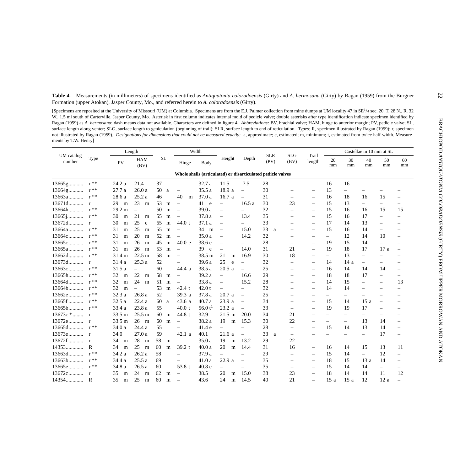<span id="page-27-0"></span>

| <b>Table 4.</b> Measurements (in millimeters) of specimens identified as Antiquatonia coloradoensis (Girty) and A. hermosana (Girty) by Ragan (1959) from the Burgner<br>Formation (upper Atokan), Jasper County, Mo., and referred herein to A. coloradoensis (Girty).                                                                                                                                                                                                                                                                                                                                                                                                                                                                                                                                                                                                                                                                                                                                                        |                   |                  |                          |      |           |                          |                   |                          |                          |                                                             |                          |                          |                          |                          |                          |                          |                          |
|--------------------------------------------------------------------------------------------------------------------------------------------------------------------------------------------------------------------------------------------------------------------------------------------------------------------------------------------------------------------------------------------------------------------------------------------------------------------------------------------------------------------------------------------------------------------------------------------------------------------------------------------------------------------------------------------------------------------------------------------------------------------------------------------------------------------------------------------------------------------------------------------------------------------------------------------------------------------------------------------------------------------------------|-------------------|------------------|--------------------------|------|-----------|--------------------------|-------------------|--------------------------|--------------------------|-------------------------------------------------------------|--------------------------|--------------------------|--------------------------|--------------------------|--------------------------|--------------------------|--------------------------|
| [Specimens are reposited at the University of Missouri (UM) at Columbia. Specimens are from the E.J. Palmer collection from mine dumps at UM locality 47 in SE <sup>1</sup> /4 sec. 20, T. 28 N., R. 32<br>W., 1.5 mi south of Carterville, Jasper County, Mo. Asterisk in first column indicates internal mold of pedicle valve; double asterisks after type identification indicate specimen identified by<br>Ragan (1959) as A. hermosana; dash means data not available. Characters are defined in figure 4. Abbreviations: BV, brachial valve; HAM, hinge to anterior margin; PV, pedicle valve; SL,<br>surface length along venter; SLG, surface length to geniculation (beginning of trail); SLR, surface length to end of reticulation. Types: R, specimen illustrated by Ragan (1959); r, specimen<br>not illustrated by Ragan (1959). Designations for dimensions that could not be measured exactly: a, approximate; e, estimated; m, minimum; t, estimated from twice half-width. Measure-<br>ments by T.W. Henry] |                   |                  |                          |      |           |                          |                   |                          |                          |                                                             |                          |                          |                          |                          |                          |                          |                          |
|                                                                                                                                                                                                                                                                                                                                                                                                                                                                                                                                                                                                                                                                                                                                                                                                                                                                                                                                                                                                                                |                   |                  | Length                   |      |           |                          | Width             |                          |                          | <b>SLR</b>                                                  |                          |                          |                          |                          |                          | Costellae in 10 mm at SL |                          |
| UM catalog<br>number                                                                                                                                                                                                                                                                                                                                                                                                                                                                                                                                                                                                                                                                                                                                                                                                                                                                                                                                                                                                           | Type              | PV               | <b>HAM</b><br>(BV)       |      | <b>SL</b> | Hinge                    | <b>Body</b>       | Height                   | Depth                    | (PV)                                                        | <b>SLG</b><br>(BV)       | Trail<br>length          | 20<br>mm                 | 30<br>mm                 | 40<br>mm                 | 50<br>mm                 | 60<br>mm                 |
|                                                                                                                                                                                                                                                                                                                                                                                                                                                                                                                                                                                                                                                                                                                                                                                                                                                                                                                                                                                                                                |                   |                  |                          |      |           |                          |                   |                          |                          | Whole shells (articulated) or disarticulated pedicle valves |                          |                          |                          |                          |                          |                          |                          |
|                                                                                                                                                                                                                                                                                                                                                                                                                                                                                                                                                                                                                                                                                                                                                                                                                                                                                                                                                                                                                                |                   | 24.2 a           | 21.4                     | 37   |           |                          | 32.7 a            | 11.5                     | 7.5                      | 28                                                          |                          |                          | 16                       | 16                       |                          |                          |                          |
| $13664$ g                                                                                                                                                                                                                                                                                                                                                                                                                                                                                                                                                                                                                                                                                                                                                                                                                                                                                                                                                                                                                      | $r^{**}$          | 27.7 a           | 26.0a                    | 50   | a         | $\overline{\phantom{m}}$ | 35.5 a            | 18.9 a                   | $\equiv$                 | 30                                                          |                          |                          | 13                       | $\overline{\phantom{m}}$ |                          |                          |                          |
|                                                                                                                                                                                                                                                                                                                                                                                                                                                                                                                                                                                                                                                                                                                                                                                                                                                                                                                                                                                                                                |                   | 28.6 a           | 25.2a                    | 46   |           | 40<br>m                  | 37.0a             | 16.7 a                   | $\overline{\phantom{m}}$ | 31                                                          |                          | $\overline{\phantom{0}}$ | 16                       | 18                       | 16                       | 15                       |                          |
|                                                                                                                                                                                                                                                                                                                                                                                                                                                                                                                                                                                                                                                                                                                                                                                                                                                                                                                                                                                                                                |                   | 29 m             | 23<br>m                  | 53   | m         | $\overline{\phantom{a}}$ | 41 e              | $\qquad \qquad -$        | 16.5a                    | 30                                                          | 23                       | $\overline{\phantom{0}}$ | 15                       | 13                       | $\qquad \qquad -$        | $\overline{\phantom{0}}$ | $\overline{\phantom{0}}$ |
| 13664h                                                                                                                                                                                                                                                                                                                                                                                                                                                                                                                                                                                                                                                                                                                                                                                                                                                                                                                                                                                                                         | $r^{**}$          | $29.2 \text{ m}$ | $\overline{\phantom{0}}$ | 50   | m         | $\overline{\phantom{m}}$ | 39.0 a            | $\equiv$                 | $\equiv$                 | 32                                                          |                          | L,                       | 15                       | 16                       | 16                       | 15                       | 15                       |
|                                                                                                                                                                                                                                                                                                                                                                                                                                                                                                                                                                                                                                                                                                                                                                                                                                                                                                                                                                                                                                |                   | 30<br>m          | 21<br>${\rm m}$          | 55   | m         | $\overline{\phantom{m}}$ | 37.8 a            | $\overline{\phantom{m}}$ | 13.4                     | 35                                                          |                          | $\equiv$                 | 15                       | 16                       | 17                       | $\equiv$                 |                          |
|                                                                                                                                                                                                                                                                                                                                                                                                                                                                                                                                                                                                                                                                                                                                                                                                                                                                                                                                                                                                                                |                   | 30<br>m          | 25<br>$\mathbf{e}$       | 65   | m         | 44.0 t                   | 37.1 a            | $\equiv$                 |                          | 33                                                          |                          |                          | 17                       | 14                       | 13                       |                          |                          |
| 13664a                                                                                                                                                                                                                                                                                                                                                                                                                                                                                                                                                                                                                                                                                                                                                                                                                                                                                                                                                                                                                         | $r$ **            | 31<br>${\bf m}$  | $25\,$<br>${\rm m}$      | 55   | m         | $\overline{\phantom{m}}$ | 34 m              | $\overline{\phantom{a}}$ | 15.0                     | 33<br>a                                                     | -                        | $\overline{\phantom{0}}$ | 15                       | 16                       | 14                       |                          |                          |
|                                                                                                                                                                                                                                                                                                                                                                                                                                                                                                                                                                                                                                                                                                                                                                                                                                                                                                                                                                                                                                |                   | 31<br>${\bf m}$  | 20<br>m                  | 52   | m         | $\overline{\phantom{m}}$ | 35.0 a            | $\overline{\phantom{m}}$ | 14.2                     | 32                                                          |                          |                          | $\frac{1}{2}$            | 12                       | 14                       | 10                       |                          |
| 13665c                                                                                                                                                                                                                                                                                                                                                                                                                                                                                                                                                                                                                                                                                                                                                                                                                                                                                                                                                                                                                         | $\mathbf{r}^{**}$ | 31<br>m          | 26<br>m                  | 45   | m         | 40.0 e                   | 38.6 e            | $\equiv$                 | Ξ,                       | 28                                                          | $\overline{\phantom{m}}$ | $\equiv$                 | 19                       | 15                       | 14                       | $\equiv$                 |                          |
| 13665a                                                                                                                                                                                                                                                                                                                                                                                                                                                                                                                                                                                                                                                                                                                                                                                                                                                                                                                                                                                                                         | $r^{\ast\ast}$    | 31<br>m          | 26<br>m                  | 53   | m         | $\overline{\phantom{m}}$ | 39 e              | $\overline{\phantom{m}}$ | 14.0                     | 31                                                          | 21                       | $\overline{\phantom{0}}$ | 19                       | $18\,$                   | 17                       | 17 a                     | $\overline{\phantom{0}}$ |
|                                                                                                                                                                                                                                                                                                                                                                                                                                                                                                                                                                                                                                                                                                                                                                                                                                                                                                                                                                                                                                |                   | 31.4 m           | $22.5 \text{ m}$         | 58   | m         | $\equiv$                 | 38.5 m            | 21<br>m                  | 16.9                     | 30                                                          | 18                       |                          |                          | 13                       | $\overline{\phantom{0}}$ |                          |                          |
| 13673d                                                                                                                                                                                                                                                                                                                                                                                                                                                                                                                                                                                                                                                                                                                                                                                                                                                                                                                                                                                                                         | $\mathbf{r}$      | 31.4 a           | 25.3a                    | 52   |           | $\overline{\phantom{0}}$ | 39.6 a            | 25<br>e                  | $\equiv$                 | 32                                                          |                          | $\overline{\phantom{0}}$ | 14                       | 14 a                     | $\overline{\phantom{0}}$ |                          |                          |
| 13663c                                                                                                                                                                                                                                                                                                                                                                                                                                                                                                                                                                                                                                                                                                                                                                                                                                                                                                                                                                                                                         | $\mathbf{r}^{**}$ | 31.5 a           | $\overline{\phantom{0}}$ | 60   |           | 44.4 a                   | 38.5 a            | 20.5a                    | $\equiv$                 | 25                                                          | $\overline{\phantom{0}}$ |                          | 16                       | 14                       | 14                       | 14                       | $\frac{1}{2}$            |
| 13665h                                                                                                                                                                                                                                                                                                                                                                                                                                                                                                                                                                                                                                                                                                                                                                                                                                                                                                                                                                                                                         | $r^{**}$          | $32 \quad m$     | 22<br>m                  | 58 m |           | $\overline{\phantom{0}}$ | 39.2 a            | $\equiv$                 | 16.6                     | 29                                                          |                          |                          | 18                       | 18                       | 17                       | $\overline{\phantom{0}}$ | $\overline{\phantom{0}}$ |
|                                                                                                                                                                                                                                                                                                                                                                                                                                                                                                                                                                                                                                                                                                                                                                                                                                                                                                                                                                                                                                |                   | 32<br>${\rm m}$  | 24<br>m                  | 51   | m         | $\overline{\phantom{m}}$ | 33.8 a            | $\qquad \qquad -$        | 15.2                     | 28                                                          |                          | $\overline{\phantom{0}}$ | 14                       | 15                       | $\equiv$                 |                          | 13                       |
| 13664b                                                                                                                                                                                                                                                                                                                                                                                                                                                                                                                                                                                                                                                                                                                                                                                                                                                                                                                                                                                                                         | $r^{**}$          | 32<br>m          | $\overline{\phantom{0}}$ | 53   | m         | 42.4 t                   | 42.0t             | $\equiv$                 | $\equiv$                 | 32                                                          |                          | $\overline{\phantom{0}}$ | 14                       | 14                       | $\overline{\phantom{0}}$ |                          |                          |
| 13662e                                                                                                                                                                                                                                                                                                                                                                                                                                                                                                                                                                                                                                                                                                                                                                                                                                                                                                                                                                                                                         | $r^{**}$          | 32.3 a           | 26.8 a                   | 52   |           | 39.3 a                   | 37.8 a            | 20.7a                    | $\overline{\phantom{a}}$ | 25                                                          |                          |                          |                          | $\overline{\phantom{0}}$ |                          |                          |                          |
| 13665f  r**                                                                                                                                                                                                                                                                                                                                                                                                                                                                                                                                                                                                                                                                                                                                                                                                                                                                                                                                                                                                                    |                   | 32.5 a           | 22.4a                    | 60   | a         | 43.6a                    | 40.7 a            | 23.9 a                   | $\equiv$                 | 34                                                          |                          | $\equiv$                 | 15                       | 14                       | 15a                      | $\overline{\phantom{m}}$ |                          |
| 13665b                                                                                                                                                                                                                                                                                                                                                                                                                                                                                                                                                                                                                                                                                                                                                                                                                                                                                                                                                                                                                         | $\mathbf{r}^{**}$ | 33.4 a           | 23.8 a                   | 55   |           | 40.0 t                   | 56.0 $t^1$        | 23.2a                    | $\overline{\phantom{m}}$ | 33                                                          |                          |                          | 19                       | 19                       | 17                       |                          |                          |
| 13673c *  r                                                                                                                                                                                                                                                                                                                                                                                                                                                                                                                                                                                                                                                                                                                                                                                                                                                                                                                                                                                                                    |                   | 33.5 m           | $25.5 \text{ m}$         | 60   | m         | 44.8 t                   | 32.9              | $21.5 \text{ m}$         | 20.0                     | 34                                                          | 21                       |                          | $\overline{\phantom{0}}$ | $\overline{\phantom{0}}$ | $\overline{\phantom{0}}$ |                          |                          |
|                                                                                                                                                                                                                                                                                                                                                                                                                                                                                                                                                                                                                                                                                                                                                                                                                                                                                                                                                                                                                                |                   | 33.5 m           | $26 \text{ m}$           | 60   | m         | $\overline{\phantom{m}}$ | 38.2 a            | 19<br>m                  | 15.3                     | $30\,$                                                      | 22                       |                          | $\equiv$                 | $\overline{\phantom{m}}$ | 13                       | 14                       |                          |
| 13665d                                                                                                                                                                                                                                                                                                                                                                                                                                                                                                                                                                                                                                                                                                                                                                                                                                                                                                                                                                                                                         | $\mathbf{r}^{**}$ | 34.0 a           | 24.4 a                   | 55   |           | $\qquad \qquad -$        | 41.4e             | $\equiv$                 | $\equiv$                 | 28                                                          | $\overline{\phantom{m}}$ |                          | 15                       | 14                       | 13                       | 14                       | $\overline{\phantom{0}}$ |
|                                                                                                                                                                                                                                                                                                                                                                                                                                                                                                                                                                                                                                                                                                                                                                                                                                                                                                                                                                                                                                |                   | 34.0             | 27.0 a                   | 59   |           | 42.1a                    | 40.1              | 21.6 a                   | $\overline{\phantom{0}}$ | 33<br>a                                                     | $\overline{\phantom{m}}$ |                          |                          | $\overline{\phantom{0}}$ | $\overline{\phantom{0}}$ | 17                       | $\overline{\phantom{0}}$ |
| 13672f  r                                                                                                                                                                                                                                                                                                                                                                                                                                                                                                                                                                                                                                                                                                                                                                                                                                                                                                                                                                                                                      |                   | 34 m             | 28<br>m                  | 58   | m         | $\equiv$                 | 35.0a             | 19<br>${\rm m}$          | 13.2                     | 29                                                          | 22                       |                          |                          | $\overline{\phantom{0}}$ | $\overline{\phantom{0}}$ | $\overline{\phantom{0}}$ |                          |
| 14353                                                                                                                                                                                                                                                                                                                                                                                                                                                                                                                                                                                                                                                                                                                                                                                                                                                                                                                                                                                                                          | R                 | 34<br>m          | $25 \text{ m}$           | 60   | m         | 39.2 t                   | 40.0a             | 20<br>${\bf m}$          | 14.4                     | 31                                                          | 16                       | $\overline{\phantom{0}}$ | 16                       | 14                       | 15                       | 13                       | 11                       |
| 13663d                                                                                                                                                                                                                                                                                                                                                                                                                                                                                                                                                                                                                                                                                                                                                                                                                                                                                                                                                                                                                         | $r^{**}$          | 34.2 a           | 26.2a                    | 58   |           | $\equiv$                 | 37.9 a            |                          | $\equiv$                 | 29                                                          |                          |                          | 15                       | 14                       | $\equiv$                 | 12                       | $\overline{\phantom{m}}$ |
| 13663b                                                                                                                                                                                                                                                                                                                                                                                                                                                                                                                                                                                                                                                                                                                                                                                                                                                                                                                                                                                                                         | $r^{**}$          | 34.4 a           | 25.5a                    | 69   |           | $\qquad \qquad -$        | 41.0 a            | 22.9a                    | $\overline{\phantom{0}}$ | 35                                                          |                          |                          | 18                       | 15                       | 13a                      | 14                       |                          |
| 13665e                                                                                                                                                                                                                                                                                                                                                                                                                                                                                                                                                                                                                                                                                                                                                                                                                                                                                                                                                                                                                         | $r$ **            | 34.8 a           | 26.5a                    | 60   |           | 53.8 t                   | 40.8 <sub>e</sub> | $\equiv$                 | $\overline{\phantom{0}}$ | 35                                                          | $\overline{\phantom{m}}$ | $\overline{\phantom{0}}$ | 15                       | 14                       | 14                       | $\equiv$                 | $\qquad \qquad -$        |
| 13672c                                                                                                                                                                                                                                                                                                                                                                                                                                                                                                                                                                                                                                                                                                                                                                                                                                                                                                                                                                                                                         | $\mathbf{r}$      | 35 m             | 24 m                     | 62   | m         | $\overline{\phantom{m}}$ | 38.5              | 20<br>m                  | 15.0                     | 38                                                          | 23                       | $\qquad \qquad -$        | 18                       | 14                       | 14                       | 11                       | 12                       |
| 14354                                                                                                                                                                                                                                                                                                                                                                                                                                                                                                                                                                                                                                                                                                                                                                                                                                                                                                                                                                                                                          | R                 | 35<br>m          | $25 \text{ m}$           | 60   | m         | $\frac{1}{2}$            | 43.6              | 24<br>m                  | 14.5                     | 40                                                          | 21                       | $\overline{\phantom{0}}$ | 15a                      | 15a                      | 12                       | 12a                      | $\frac{1}{2}$            |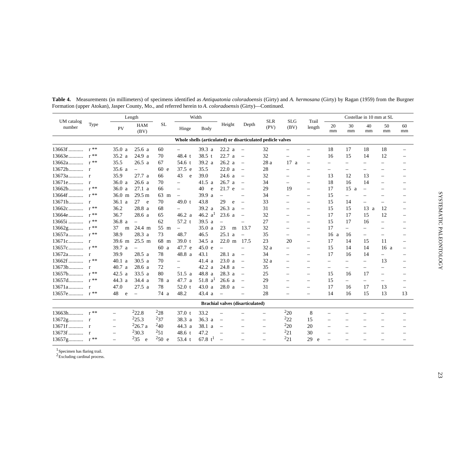|                      | Type              |                          | Length                   |            |                          | Width             |                                         |                          |                                                             |                    |                          |                          |                          | Costellae in 10 mm at SL |                          |          |
|----------------------|-------------------|--------------------------|--------------------------|------------|--------------------------|-------------------|-----------------------------------------|--------------------------|-------------------------------------------------------------|--------------------|--------------------------|--------------------------|--------------------------|--------------------------|--------------------------|----------|
| UM catalog<br>number |                   | <b>PV</b>                | <b>HAM</b><br>(BV)       | <b>SL</b>  | Hinge                    | Body              | Height                                  | Depth                    | <b>SLR</b><br>(PV)                                          | <b>SLG</b><br>(BV) | Trail<br>length          | 20<br>mm                 | 30<br>mm                 | 40<br>mm                 | 50<br>mm                 | 60<br>mm |
|                      |                   |                          |                          |            |                          |                   |                                         |                          | Whole shells (articulated) or disarticulated pedicle valves |                    |                          |                          |                          |                          |                          |          |
| 13663f               | $r$ **            | 35.0<br>a                | 25.6a                    | 60         | $\overline{\phantom{m}}$ | 39.3 <sub>a</sub> | 22.2 a                                  | $\overline{\phantom{a}}$ | 32                                                          |                    |                          | 18                       | 17                       | 18                       | 18                       |          |
| 13663e               | $\mathbf{r}^{**}$ | 35.2 a                   | 24.9 a                   | 70         | 48.4 $t$                 | 38.5 t            | 22.7a                                   | $\overline{\phantom{a}}$ | 32                                                          |                    |                          | 16                       | 15                       | 14                       | 12                       |          |
| 13662a               | $r^*$             | 35.5                     | 26.5a                    | 67         | 54.6 t                   | 39.2 <sub>a</sub> | 26.2a                                   | $\overline{\phantom{a}}$ | 28 a                                                        | 17a                | $\overline{\phantom{m}}$ | $\equiv$                 | $\equiv$                 |                          |                          |          |
|                      |                   | 35.6 a                   | $\equiv$                 | 60 e       | 37.5 e                   | 35.5              | 22.0 a                                  | $\overline{\phantom{0}}$ | 28                                                          | $\equiv$           | $\equiv$                 | $\overline{\phantom{m}}$ | $\overline{\phantom{m}}$ |                          |                          |          |
|                      |                   | 35.9                     | 27.7 a                   | 66         | 43<br>e                  | 39.0              | 24.6 a                                  | $\overline{\phantom{0}}$ | 32                                                          |                    | $\overline{\phantom{m}}$ | 13                       | 12                       | 13                       | $\overline{\phantom{0}}$ |          |
|                      |                   | 36.0a                    | 26.6a                    | 70         | $\overline{\phantom{m}}$ | 41.5 a            | 26.7a                                   | $\overline{\phantom{0}}$ | 34                                                          | $\qquad \qquad -$  | $\qquad \qquad -$        | 18                       | 16                       | 14                       | $\equiv$                 |          |
|                      |                   | 36.0<br>a                | 27.1 a                   | 66         | $\qquad \qquad -$        | 40<br>${\rm e}$   | 21.7 e                                  | $\overline{\phantom{a}}$ | 29                                                          | 19                 | $\overline{\phantom{m}}$ | 17                       | 15<br>a                  | $\overline{\phantom{m}}$ |                          |          |
|                      |                   | 36.0 m                   | $29.5 \text{ m}$         | 63 m       | $\overline{\phantom{m}}$ | 39.9 a            | $\bar{ }$                               |                          | 34                                                          |                    |                          | 15                       | $\qquad \qquad -$        |                          |                          |          |
|                      |                   | 36.1 a                   | 27<br>e e                | 70         | 49.0 $t$                 | 43.8              | 29<br>e                                 | $\overline{\phantom{0}}$ | 33                                                          |                    | $\equiv$                 | 15                       | 14                       |                          |                          |          |
| 13662c               | $r^{**}$          | 36.2                     | 28.8 a                   | 68         |                          | 39.2 a            | 26.3 <sub>a</sub>                       | $\overline{\phantom{0}}$ | 31                                                          |                    | $\overline{\phantom{0}}$ | 15                       | 15                       | 13a                      | 12                       |          |
| 13664e               | $r^{**}$          | 36.7                     | 28.6 a                   | 65         | 46.2 a                   | 46.2 $a^1$        | 23.6 a                                  | $\frac{1}{2}$            | 32                                                          |                    | $\equiv$                 | 17                       | 17                       | 15                       | 12                       |          |
| $13665i$             | $r^*$             | 36.8 <sub>a</sub>        | $\overline{\phantom{m}}$ | 62         | 57.2 t                   | 39.5a             | $\equiv$                                | $\overline{\phantom{0}}$ | 27                                                          | $\equiv$           | $\equiv$                 | 15                       | 17                       | 16                       | $\overline{\phantom{0}}$ |          |
| 13662g               | $r^{**}$          | 37<br>m                  | 24.4 m                   | 55 m       | $\overline{\phantom{m}}$ | 35.0a             | 23<br>m                                 | 13.7                     | 32                                                          |                    | $\overline{\phantom{m}}$ | 17                       | $\qquad \qquad -$        |                          |                          |          |
| $13657a$ r**         |                   | 38.9                     | 28.3 a                   | 73         | 48.7                     | 46.5              | 25.1 a                                  | $\overline{\phantom{0}}$ | 35                                                          | $\qquad \qquad -$  | $\overline{\phantom{m}}$ | 16a                      | 16                       |                          |                          |          |
|                      |                   | 39.6 m                   | $25.5 \text{ m}$         | 68 m       | 39.0 t                   | 34.5 a            | $22.0 \text{ m}$                        | 17.5                     | 23                                                          | 20                 | $\overline{\phantom{0}}$ | 17                       | 14                       | 15                       | 11                       |          |
|                      |                   | 39.7<br>a                | $\overline{\phantom{m}}$ | 60 a       | 47.7 e                   | 45.0 e            | $\equiv$                                | $\overline{\phantom{0}}$ | 32 a                                                        |                    |                          | 15                       | 14                       | 14                       | 16a                      |          |
|                      |                   | 39.9                     | 28.5 a                   | 78         | 48.8 a                   | 43.1              | 28.1 a                                  | $\overline{\phantom{0}}$ | 34                                                          |                    | $\equiv$                 | 17                       | 16                       | 14                       | $\qquad \qquad -$        |          |
| $13662f$ $r$ **      |                   | 40.1 a                   | 30.5a                    | 70         | $\equiv$                 | 41.4 a            | 23.0 a                                  | $\overline{\phantom{a}}$ | 32 a                                                        | $\equiv$           | $\equiv$                 | $\equiv$                 | $\equiv$                 | $\overline{\phantom{0}}$ | 13                       |          |
|                      |                   | 40.7<br>a                | 28.6 a                   | 72         | $\overline{\phantom{0}}$ | 42.2 a            | 24.8 a                                  | $\overline{\phantom{a}}$ | 35                                                          |                    |                          | $\equiv$                 |                          |                          | $\overline{\phantom{0}}$ |          |
|                      |                   | 42.5 a                   | 33.5 a                   | 80         | 51.5 a                   | 48.8 a            | 28.3 a                                  | $\overline{\phantom{a}}$ | 25                                                          | $\equiv$           | $\overline{\phantom{m}}$ | 15                       | 16                       | 17                       | $\equiv$                 |          |
|                      |                   | 44.3 a                   | 34.4 a                   | 78 a       | 47.7 a                   | 51.8 $a^1$        | 26.6a                                   | $\sim$                   | 29                                                          | $\equiv$           | $\overline{\phantom{m}}$ | 15                       | $\overline{\phantom{0}}$ | $=$                      | $\equiv$                 |          |
|                      |                   | 47.0                     | 27.5a                    | 78         | $52.0$ t                 | 43.0a             | 28.0 a                                  | $\overline{\phantom{a}}$ | 31                                                          |                    | $\equiv$                 | 17                       | 16                       | 17                       | 13                       |          |
|                      |                   | 48<br>e                  | $\overline{\phantom{m}}$ | 74 a       | 48.2                     | 43.4 a            | $\overline{\phantom{a}}$                |                          | 28                                                          |                    | $\equiv$                 | 14                       | 16                       | 15                       | 13                       | 13       |
|                      |                   |                          |                          |            |                          |                   | <b>Brachial valves (disarticulated)</b> |                          |                                                             |                    |                          |                          |                          |                          |                          |          |
|                      |                   |                          | $^{2}22.8$               | $^{2}28$   | 37.0 t                   | 33.2              | $\overline{\phantom{0}}$                |                          | $\equiv$                                                    | $^{2}20$           | 8                        |                          |                          |                          |                          |          |
|                      |                   | $\overline{\phantom{m}}$ | $^{2}25.3$               | $^{2}37$   | 38.3 a                   | 36.3 a            | $\overline{\phantom{m}}$                | $\overline{\phantom{0}}$ |                                                             | $^{2}22$           | 15                       |                          |                          |                          |                          |          |
|                      |                   | $\equiv$                 | $^{2}$ 26.7 a            | $^{2}40$   | 44.3 a                   | 38.1 a            | $\overline{\phantom{0}}$                | $\overline{\phantom{0}}$ | $\overline{\phantom{0}}$                                    | $^{2}20$           | 20                       |                          |                          |                          |                          |          |
| 13673f  r            |                   |                          | 230.3                    | $^{2}51$   | 48.6 t                   | 47.2              | $\overline{\phantom{0}}$                |                          | $\equiv$                                                    | $^{2}21$           | 30                       |                          |                          |                          |                          |          |
|                      |                   |                          | $^{2}35$<br>e            | $^{250}$ e | 53.4 t                   | 67.8 $t^1$        | $\overline{\phantom{0}}$                |                          | $\overline{\phantom{0}}$                                    | $^{2}21$           | 29<br>e                  |                          |                          |                          |                          |          |

**Table 4.** Measurements (in millimeters) of specimens identified as *Antiquatonia coloradoensis* (Girty) and *A. hermosana* (Girty) by Ragan (1959) from the Burgner Formation (upper Atokan), Jasper County, Mo., and referred herein to *A. coloradoensis* (Girty)—Continued.

<sup>1</sup> Specimen has flaring trail.

 ${}^{2}$ Excluding cardinal process.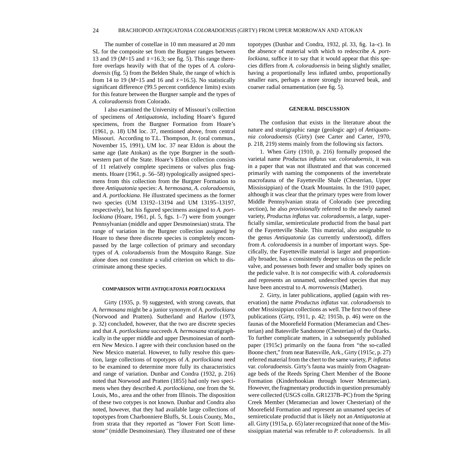<span id="page-29-0"></span>The number of costellae in 10 mm measured at 20 mm SL for the composite set from the Burgner ranges between 13 and 19 ( $M=15$  and  $\bar{x}=16.3$ ; see fig. 5). This range therefore overlaps heavily with that of the types of *A. coloradoensis* (fig. 5) from the Belden Shale, the range of which is from 14 to 19 ( $M=15$  and 16 and  $\bar{x}=16.5$ ). No statistically significant difference (99.5 percent confidence limits) exists for this feature between the Burgner sample and the types of *A. coloradoensis* from Colorado.

I also examined the University of Missouri's collection of specimens of *Antiquatonia*, including Hoare's figured specimens, from the Burgner Formation from Hoare's (1961, p. 18) UM loc. 37, mentioned above, from central Missouri. According to T.L. Thompson, Jr. (oral commun., November 15, 1991), UM loc. 37 near Eldon is about the same age (late Atokan) as the type Burgner in the southwestern part of the State. Hoare's Eldon collection consists of 11 relatively complete specimens or valves plus fragments. Hoare (1961, p. 56–58) typologically assigned specimens from this collection from the Burgner Formation to three *Antiquatonia* species: *A. hermosana*, *A. coloradoensis*, and *A. portlockiana*. He illustrated specimens as the former two species (UM 13192–13194 and UM 13195–13197, respectively), but his figured specimens assigned to *A. portlockiana* (Hoare, 1961, pl. 5, figs. 1–7) were from younger Pennsylvanian (middle and upper Desmoinesian) strata. The range of variation in the Burgner collection assigned by Hoare to these three discrete species is completely encompassed by the large collection of primary and secondary types of *A. coloradoensis* from the Mosquito Range. Size alone does not constitute a valid criterion on which to discriminate among these species.

#### **COMPARISON WITH** *ANTIQUATONIA PORTLOCKIANA*

Girty (1935, p. 9) suggested, with strong caveats, that *A. hermosana* might be a junior synonym of *A. portlockiana* (Norwood and Pratten). Sutherland and Harlow (1973, p. 32) concluded, however, that the two are discrete species and that *A. portlockiana* succeeds *A. hermosana* stratigraphically in the upper middle and upper Desmoinesian of northern New Mexico. I agree with their conclusion based on the New Mexico material. However, to fully resolve this question, large collections of topotypes of *A. portlockiana* need to be examined to determine more fully its characteristics and range of variation. Dunbar and Condra (1932, p. 216) noted that Norwood and Pratten (1855) had only two specimens when they described *A. portlockiana*, one from the St. Louis, Mo., area and the other from Illinois. The disposition of these two cotypes is not known. Dunbar and Condra also noted, however, that they had available large collections of topotypes from Charbonniere Bluffs, St. Louis County, Mo., from strata that they reported as "lower Fort Scott limestone" (middle Desmoinesian). They illustrated one of these topotypes (Dunbar and Condra, 1932, pl. 33, fig. 1a–c). In the absence of material with which to redescribe *A. portlockiana*, suffice it to say that it would appear that this species differs from *A. coloradoensis* in being slightly smaller, having a proportionally less inflated umbo, proportionally smaller ears, perhaps a more strongly incurved beak, and coarser radial ornamentation (see fig. 5).

#### **GENERAL DISCUSSION**

The confusion that exists in the literature about the nature and stratigraphic range (geologic age) of *Antiquatonia coloradoensis* (Girty) (see Carter and Carter, 1970, p. 218, 219) stems mainly from the following six factors.

1. When Girty (1910, p. 216) formally proposed the varietal name *Productus inflatus* var. *coloradoensis*, it was in a paper that was not illustrated and that was concerned primarily with naming the components of the invertebrate macrofauna of the Fayetteville Shale (Chesterian, Upper Mississippian) of the Ozark Mountains. In the 1910 paper, although it was clear that the primary types were from lower Middle Pennsylvanian strata of Colorado (see preceding section), he also *provisionally* referred to the newly named variety, *Productus inflatus* var. *coloradoensis*, a large, superficially similar, semireticulate productid from the basal part of the Fayetteville Shale. This material, also assignable to the genus *Antiquatonia* (as currently understood), differs from *A. coloradoensis* in a number of important ways. Specifically, the Fayetteville material is larger and proportionally broader, has a consistently deeper sulcus on the pedicle valve, and possesses both fewer and smaller body spines on the pedicle valve. It is *not* conspecific with *A. coloradoensis* and represents an unnamed, undescribed species that may have been ancestral to *A. morrowensis* (Mather).

2. Girty, in later publications, applied (again with reservation) the name *Productus inflatus* var. *coloradoensis* to other Mississippian collections as well. The first two of these publications (Girty, 1911, p. 42; 1915b, p. 46) were on the faunas of the Moorefield Formation (Meramecian and Chesterian) and Batesville Sandstone (Chesterian) of the Ozarks. To further complicate matters, in a subsequently published paper (1915c) primarily on the fauna from "the so-called Boone chert," from near Batesville, Ark., Girty (1915c, p. 27) referred material from the chert to the same variety, *P. inflatus* var. *coloradoensis*. Girty's fauna was mainly from Osageanage beds of the Reeds Spring Chert Member of the Boone Formation (Kinderhookian through lower Meramecian). However, the fragmentary productids in question presumably were collected (USGS colln. GR1237B–PC) from the Spring Creek Member (Meramecian and lower Chesterian) of the Moorefield Formation and represent an unnamed species of semireticulate productid that is likely not an *Antiquatonia* at all. Girty (1915a, p. 65) later recognized that none of the Mississippian material was referable to *P. coloradoensis*. In all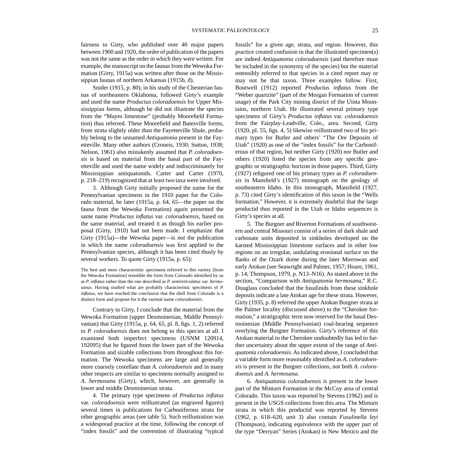fairness to Girty, who published over 40 major papers between 1900 and 1920, the order of publication of the papers was not the same as the order in which they were written. For example, the manuscript on the faunas from the Wewoka Formation (Girty, 1915a) was written after those on the Mississippian faunas of northern Arkansas (1915b, d).

Snider (1915, p. 80), in his study of the Chesterian faunas of northeastern Oklahoma, followed Girty's example and used the name *Productus coloradoensis* for Upper Mississippian forms, although he did not illustrate the species from the "Mayes limestone" (probably Moorefield Formation) thus referred. These Moorefield and Batesville forms, from strata slightly older than the Fayetteville Shale, probably belong to the unnamed *Antiquatonia* present in the Fayetteville. Many other authors (Croneis, 1930; Sutton, 1938; Nelson, 1961) also mistakenly assumed that *P. coloradoensis* is based on material from the basal part of the Fayetteville and used the name widely and indiscriminately for Mississippian antiquatonids. Carter and Carter (1970, p. 218–219) recognized that at least two taxa were involved.

3. Although Girty initially proposed the name for the Pennsylvanian specimens in the 1910 paper for the Colorado material, he later (1915a, p. 64, 65—the paper on the fauna from the Wewoka Formation) *again* presented the same name *Productus inflatus* var. *coloradoensis*, based on the same material, and treated it as though his earlier proposal (Girty, 1910) had not been made. I emphasize that Girty (1915a)—the Wewoka paper—is *not* the publication in which the name *coloradoensis* was first applied to the Pennsylvanian species, although it has been cited thusly by several workers. To quote Girty (1915a, p. 65):

The best and most characteristic specimens referred to this variety [from the Wewoka Formation] resemble the form from Colorado identified by us as *P. inflatus* rather than the one described as *P. semireticulatus* var. *hermosanus*. Having studied what are probably characteristic specimens of *P. inflatus*, we have reached the conclusion that the shell from Colorado is a distinct form and propose for it the varietal name *coloradoensis*.

Contrary to Girty, I conclude that the material from the Wewoka Formation (upper Desmoinesian, Middle Pennsylvanian) that Girty (1915a, p. 64, 65, pl. 8, figs. 1, 2) referred to *P. coloradoensis* does not belong to this species at all. I examined both imperfect specimens (USNM 120914, 192095) that he figured from the lower part of the Wewoka Formation and sizable collections from throughout this formation. The Wewoka specimens are large and generally more coarsely costellate than *A. coloradoensis* and in many other respects are similar to specimens normally assigned to *A. hermosana* (Girty), which, however, are generally in lower and middle Desmoinesian strata.

4. The primary type specimens of *Productus inflatus* var. *coloradoensis* were reillustrated (as engraved figures) several times in publications for Carboniferous strata for other geographic areas (see table 5). Such reillustration was a widespread practice at the time, following the concept of "index fossils" and the convention of illustrating "typical

fossils" for a given age, strata, and region. However, this practice created confusion in that the illustrated specimen(s) are indeed *Antiquatonia coloradoensis* (and therefore must be included in the synonymy of the species) but the material ostensibly referred to that species in a cited report may or may not be that taxon. Three examples follow. First, Boutwell (1912) reported *Productus inflatus* from the "Weber quartzite" (part of the Morgan Formation of current usage) of the Park City mining district of the Uinta Mountains, northern Utah. He illustrated several primary type specimens of Girty's *Productus inflatus* var. *coloradoensis* from the Fairplay-Leadville, Colo., area. Second, Girty (1920, pl. 55, figs. 4, 5) likewise reillustrated two of his primary types for Butler and others' "The Ore Deposits of Utah" (1920) as one of the "index fossils" for the Carboniferous of that region, but neither Girty (1920) nor Butler and others (1920) listed the species from any specific geographic or stratigraphic horizon in those papers. Third, Girty (1927) refigured one of his primary types as *P. coloradoensis* in Mansfield's (1927) monograph on the geology of southeastern Idaho. In this monograph, Mansfield (1927, p. 73) cited Girty's identification of this taxon in the "Wells formation." However, it is extremely doubtful that the large productid thus reported in the Utah or Idaho sequences is Girty's species at all.

5. The Burgner and Riverton Formations of southwestern and central Missouri consist of a series of dark shale and carbonate units deposited in sinkholes developed on the karsted Mississippian limestone surfaces and in other low regions on an irregular, undulating erosional surface on the flanks of the Ozark dome during the later Morrowan and early Atokan (see Seawright and Palmer, 1957; Hoare, 1961, p. 14; Thompson, 1979, p. N13–N16). As stated above in the section, "Comparison with *Antiquatonia hermosana*," R.C. Douglass concluded that the fusulinids from these sinkhole deposits indicate a late Atokan age for these strata. However, Girty (1935, p. 8) referred the upper Atokan Burgner strata at the Palmer locality (discussed above) to the "Cherokee formation," a stratigraphic term now reserved for the basal Desmoinesian (Middle Pennsylvanian) coal-bearing sequence overlying the Burgner Formation. Girty's reference of this Atokan material to the Cherokee undoubtedly has led to further uncertainty about the upper extent of the range of *Antiquatonia coloradoensis*. As indicated above, I concluded that a variable form more reasonably identified as *A. coloradoensis* is present in the Burgner collections, not both *A. coloradoensis* and *A. hermosana*.

6. *Antiquatonia coloradoensis* is present in the lower part of the Minturn Formation in the McCoy area of central Colorado. This taxon was reported by Stevens (1962) and is present in the USGS collections from this area. The Minturn strata in which this productid was reported by Stevens (1962, p. 618–620, unit 3) also contain *Fusulinella leyi* (Thompson), indicating equivalence with the upper part of the type "Derryan" Series (Atokan) in New Mexico and the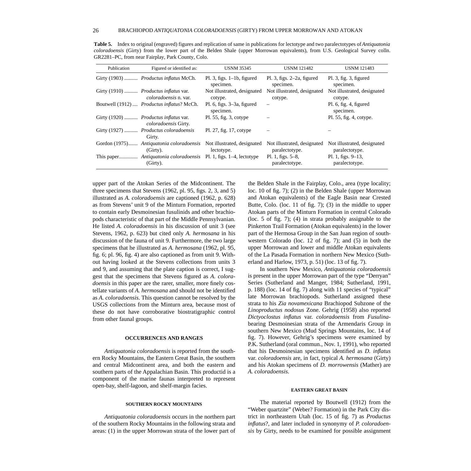| Publication | Figured or identified as:                                                        | <b>USNM 35345</b>                             | <b>USNM 121482</b>                            | <b>USNM 121483</b>                            |
|-------------|----------------------------------------------------------------------------------|-----------------------------------------------|-----------------------------------------------|-----------------------------------------------|
|             | Girty (1903) <i>Productus inflatus</i> McCh.                                     | $Pl. 3$ , figs. $1-1b$ , figured<br>specimen. | $Pl. 3$ , figs. $2-2a$ , figured<br>specimen. | $Pl. 3$ , fig. 3, figured<br>specimen.        |
|             | Girty (1910) <i>Productus inflatus</i> var.<br><i>coloradoensis</i> n. var.      | Not illustrated, designated<br>cotype.        | Not illustrated, designated<br>cotype.        | Not illustrated, designated<br>cotype.        |
|             | Boutwell (1912) <i>Productus inflatus</i> ? McCh.                                | Pl. 6, figs. $3-3a$ , figured<br>specimen.    | —                                             | $Pl. 6$ , fig. 4, figured<br>specimen.        |
|             | Girty (1920) <i>Productus inflatus</i> var.<br>coloradoensis Girty.              | $Pl. 55$ , fig. 3, cotype                     |                                               | Pl. 55, fig. 4, cotype.                       |
|             | Girty (1927)  Productus coloradoensis<br>Girty.                                  | Pl. 27, fig. 17, cotype                       |                                               |                                               |
|             | Gordon (1975) Antiquatonia coloradoensis Not illustrated, designated<br>(Girty). | lectotype.                                    | Not illustrated, designated<br>paralectotype. | Not illustrated, designated<br>paralectotype. |
|             | This paper Antiquatonia coloradoensis Pl. 1, figs. 1–4, lectotype<br>(Girty).    |                                               | Pl. 1, figs. $5-8$ ,<br>paralectotype.        | Pl. 1, figs. $9-13$ ,<br>paralectotype.       |

<span id="page-31-0"></span>**Table 5.** Index to original (engraved) figures and replication of same in publications for lectotype and two paralectotypes of *Antiquatonia coloradoensis* (Girty) from the lower part of the Belden Shale (upper Morrowan equivalents), from U.S. Geological Survey colln. GR2281–PC, from near Fairplay, Park County, Colo.

upper part of the Atokan Series of the Midcontinent. The three specimens that Stevens (1962, pl. 95, figs. 2, 3, and 5) illustrated as *A. coloradoensis* are captioned (1962, p. 628) as from Stevens' unit 9 of the Minturn Formation, reported to contain early Desmoinesian fusulinids and other brachiopods characteristic of that part of the Middle Pennsylvanian. He listed *A. coloradoensis* in his discussion of unit 3 (see Stevens, 1962, p. 623) but cited only *A. hermosana* in his discussion of the fauna of unit 9. Furthermore, the two large specimens that he illustrated as *A. hermosana* (1962, pl. 95, fig. 6; pl. 96, fig. 4) are also captioned as from unit 9. Without having looked at the Stevens collections from units 3 and 9, and assuming that the plate caption is correct, I suggest that the specimens that Stevens figured as *A. coloradoensis* in this paper are the rarer, smaller, more finely costellate variants of *A. hermosana* and should not be identified as *A. coloradoensis*. This question cannot be resolved by the USGS collections from the Minturn area, because most of these do not have corroborative biostratigraphic control from other faunal groups.

#### **OCCURRENCES AND RANGES**

*Antiquatonia coloradoensis* is reported from the southern Rocky Mountains, the Eastern Great Basin, the southern and central Midcontinent area, and both the eastern and southern parts of the Appalachian Basin. This productid is a component of the marine faunas interpreted to represent open-bay, shelf-lagoon, and shelf-margin facies.

#### **SOUTHERN ROCKY MOUNTAINS**

*Antiquatonia coloradoensis* occurs in the northern part of the southern Rocky Mountains in the following strata and areas: (1) in the upper Morrowan strata of the lower part of the Belden Shale in the Fairplay, Colo., area (type locality; loc. 10 of fig. 7); (2) in the Belden Shale (upper Morrowan and Atokan equivalents) of the Eagle Basin near Crested Butte, Colo. (loc. 11 of fig. 7); (3) in the middle to upper Atokan parts of the Minturn Formation in central Colorado (loc. 5 of fig. 7); (4) in strata probably assignable to the Pinkerton Trail Formation (Atokan equivalents) in the lower part of the Hermosa Group in the San Juan region of southwestern Colorado (loc. 12 of fig. 7); and (5) in both the upper Morrowan and lower and middle Atokan equivalents of the La Pasada Formation in northern New Mexico (Sutherland and Harlow, 1973, p. 51) (loc. 13 of fig. 7).

In southern New Mexico, *Antiquatonia coloradoensis* is present in the upper Morrowan part of the type "Derryan" Series (Sutherland and Manger, 1984; Sutherland, 1991, p. 188) (loc. 14 of fig. 7) along with 11 species of "typical" late Morrowan brachiopods. Sutherland assigned these strata to his *Zia novamexicana* Brachiopod Subzone of the *Linoproductus nodosus* Zone. Gehrig (1958) also reported *Dictyoclostus inflatus* var. *coloradoensis* from *Fusulina*bearing Desmoinesian strata of the Armendaris Group in southern New Mexico (Mud Springs Mountains, loc. 14 of fig. 7). However, Gehrig's specimens were examined by P.K. Sutherland (oral commun., Nov. 1, 1991), who reported that his Desmoinesian specimens identified as *D. inflatus* var. *coloradoensis* are, in fact, typical *A. hermosana* (Girty) and his Atokan specimens of *D. morrowensis* (Mather) are *A. coloradoensis*.

#### **EASTERN GREAT BASIN**

The material reported by Boutwell (1912) from the "Weber quartzite" (Weber? Formation) in the Park City district in northeastern Utah (loc. 15 of fig. 7) as *Productus inflatus*?, and later included in synonymy of *P. coloradoensis* by Girty, needs to be examined for possible assignment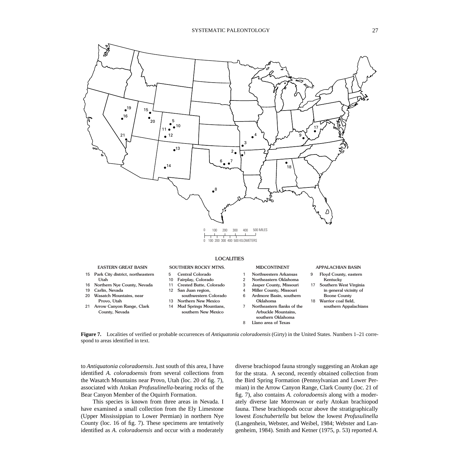<span id="page-32-0"></span>

- 
- 15 Park City district, northeastern Utah
- 16 Northern Nye County, Nevada
- 19 Carlin, Nevada
- 20 Wasatch Mountains, near
- Provo, Utah
- 21 Arrow Canyon Range, Clark County, Nevada
- 
- 5 10 Central Colorado
- Fairplay, Colorado
- 11 12 Crested Butte, Colorado San Juan region,
- southwestern Colorado
- 13 Northern New Mexico
- 14 Mud Springs Mountians,
	- southern New Mexico

#### EASTERN GREAT BASIN SOUTHERN ROCKY MTNS. MIDCONTINENT APPALACHIAN BASIN

- 1 Northwestern Arkansas
- 2 Northeastern Oklahoma
- 3 Jasper County, Missouri
	- Miller County, Missouri
- 6 Ardmore Basin, southern
- Oklahoma Northeastern flanks of the Arbuckle Mountains,
- 18
	- southern Oklahoma Llano area of Texas

- 9 Floyd County, eastern Kentucky
- 17 Southern West Virginia in general vicinity of Boone County
	- Warrior coal field, southern Appalachians

**Figure 7.** Localities of verified or probable occurrences of *Antiquatonia coloradoensis* (Girty) in the United States. Numbers 1–21 correspond to areas identified in text.

4

7

8

to *Antiquatonia coloradoensis*. Just south of this area, I have identified *A. coloradoensis* from several collections from the Wasatch Mountains near Provo, Utah (loc. 20 of fig. 7), associated with Atokan *Profusulinella*-bearing rocks of the Bear Canyon Member of the Oquirrh Formation.

This species is known from three areas in Nevada. I have examined a small collection from the Ely Limestone (Upper Mississippian to Lower Permian) in northern Nye County (loc. 16 of fig. 7). These specimens are tentatively identified as *A. coloradoensis* and occur with a moderately diverse brachiopod fauna strongly suggesting an Atokan age for the strata. A second, recently obtained collection from the Bird Spring Formation (Pennsylvanian and Lower Permian) in the Arrow Canyon Range, Clark County (loc. 21 of fig. 7), also contains *A. coloradoensis* along with a moderately diverse late Morrowan or early Atokan brachiopod fauna. These brachiopods occur above the stratigraphically lowest *Eoschubertella* but below the lowest *Profusulinella* (Langenhein, Webster, and Weibel, 1984; Webster and Langenheim, 1984). Smith and Ketner (1975, p. 53) reported *A.*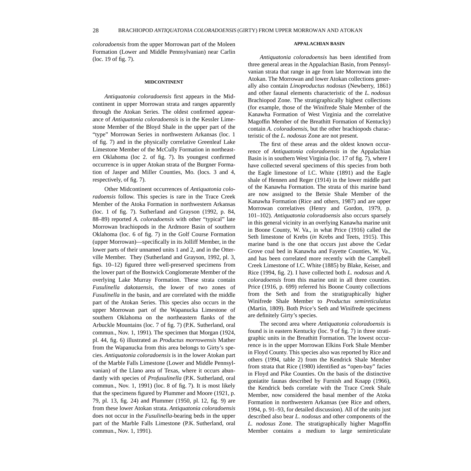<span id="page-33-0"></span>*coloradoensis* from the upper Morrowan part of the Moleen Formation (Lower and Middle Pennsylvanian) near Carlin (loc. 19 of fig. 7).

#### **MIDCONTINENT**

*Antiquatonia coloradoensis* first appears in the Midcontinent in upper Morrowan strata and ranges apparently through the Atokan Series. The oldest confirmed appearance of *Antiquatonia coloradoensis* is in the Kessler Limestone Member of the Bloyd Shale in the upper part of the "type" Morrowan Series in northwestern Arkansas (loc. 1 of fig. 7) and in the physically correlative Greenleaf Lake Limestone Member of the McCully Formation in northeastern Oklahoma (loc 2. of fig. 7). Its youngest confirmed occurrence is in upper Atokan strata of the Burgner Formation of Jasper and Miller Counties, Mo. (locs. 3 and 4, respectively, of fig. 7).

Other Midcontinent occurrences of *Antiquatonia coloradoensis* follow. This species is rare in the Trace Creek Member of the Atoka Formation in northwestern Arkansas (loc. 1 of fig. 7). Sutherland and Grayson (1992, p. 84, 88–89) reported *A. coloradoensis* with other "typical" late Morrowan brachiopods in the Ardmore Basin of southern Oklahoma (loc. 6 of fig. 7) in the Golf Course Formation (upper Morrowan)—specifically in its Jolliff Member, in the lower parts of their unnamed units 1 and 2, and in the Otterville Member. They (Sutherland and Grayson, 1992, pl. 3, figs. 10–12) figured three well-preserved specimens from the lower part of the Bostwick Conglomerate Member of the overlying Lake Murray Formation. These strata contain *Fusulinella dakotaensis*, the lower of two zones of *Fusulinella* in the basin, and are correlated with the middle part of the Atokan Series. This species also occurs in the upper Morrowan part of the Wapanucka Limestone of southern Oklahoma on the northeastern flanks of the Arbuckle Mountains (loc. 7 of fig. 7) (P.K. Sutherland, oral commun., Nov. 1, 1991). The specimen that Morgan (1924, pl. 44, fig. 6) illustrated as *Productus morrowensis* Mather from the Wapanucka from this area belongs to Girty's species. *Antiquatonia coloradoensis* is in the lower Atokan part of the Marble Falls Limestone (Lower and Middle Pennsylvanian) of the Llano area of Texas, where it occurs abundantly with species of *Profusulinella* (P.K. Sutherland, oral commun., Nov. 1, 1991) (loc. 8 of fig. 7). It is most likely that the specimens figured by Plummer and Moore (1921, p. 79, pl. 13, fig. 24) and Plummer (1950, pl. 12, fig. 9) are from these lower Atokan strata. *Antiquatonia coloradoensis* does not occur in the *Fusulinella*-bearing beds in the upper part of the Marble Falls Limestone (P.K. Sutherland, oral commun., Nov. 1, 1991).

#### **APPALACHIAN BASIN**

*Antiquatonia coloradoensis* has been identified from three general areas in the Appalachian Basin, from Pennsylvanian strata that range in age from late Morrowan into the Atokan. The Morrowan and lower Atokan collections generally also contain *Linoproductus nodosus* (Newberry, 1861) and other faunal elements characteristic of the *L. nodosus* Brachiopod Zone. The stratigraphically highest collections (for example, those of the Winifrede Shale Member of the Kanawha Formation of West Virginia and the correlative Magoffin Member of the Breathitt Formation of Kentucky) contain *A. coloradoensis,* but the other brachiopods characteristic of the *L. nodosus* Zone are not present.

The first of these areas and the oldest known occurrence of *Antiquatonia coloradoensis* in the Appalachian Basin is in southern West Virginia (loc. 17 of fig. 7), where I have collected several specimens of this species from both the Eagle limestone of I.C. White (1891) and the Eagle shale of Hennen and Reger (1914) in the lower middle part of the Kanawha Formation. The strata of this marine band are now assigned to the Betsie Shale Member of the Kanawha Formation (Rice and others, 1987) and are upper Morrowan correlatives (Henry and Gordon, 1979, p. 101–102). *Antiquatonia coloradoensis* also occurs sparsely in this general vicinity in an overlying Kanawha marine unit in Boone County, W. Va., in what Price (1916) called the Seth limestone of Krebs (*in* Krebs and Teets, 1915). This marine band is the one that occurs just above the Cedar Grove coal bed in Kanawha and Fayette Counties, W. Va., and has been correlated more recently with the Campbell Creek Limestone of I.C. White (1885) by Blake, Keiser, and Rice (1994, fig. 2). I have collected both *L. nodosus* and *A. coloradoensis* from this marine unit in all three counties. Price (1916, p. 699) referred his Boone County collections from the Seth and from the stratigraphically higher Winifrede Shale Member to *Productus semireticulatus* (Martin, 1809). Both Price's Seth and Winifrede specimens are definitely Girty's species.

The second area where *Antiquatonia coloradoensis* is found is in eastern Kentucky (loc. 9 of fig. 7) in three stratigraphic units in the Breathitt Formation. The lowest occurrence is in the upper Morrowan Elkins Fork Shale Member in Floyd County. This species also was reported by Rice and others (1994, table 2) from the Kendrick Shale Member from strata that Rice (1980) identified as "open-bay" facies in Floyd and Pike Counties. On the basis of the distinctive goniatite faunas described by Furnish and Knapp (1966), the Kendrick beds correlate with the Trace Creek Shale Member, now considered the basal member of the Atoka Formation in northwestern Arkansas (see Rice and others, 1994, p. 91–93, for detailed discussion). All of the units just described also bear *L. nodosus* and other components of the *L. nodosus* Zone. The stratigraphically higher Magoffin Member contains a medium to large semireticulate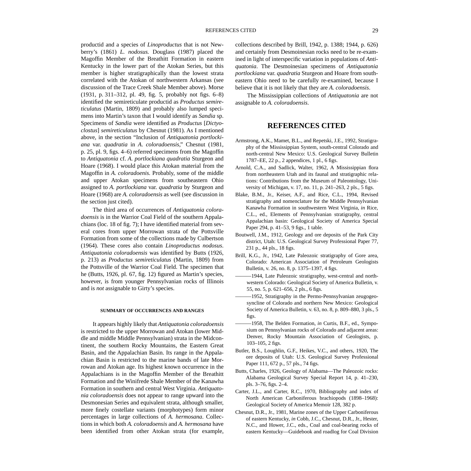<span id="page-34-0"></span>productid and a species of *Linoproductus* that is not Newberry's (1861) *L. nodosus.* Douglass (1987) placed the Magoffin Member of the Breathitt Formation in eastern Kentucky in the lower part of the Atokan Series, but this member is higher stratigraphically than the lowest strata correlated with the Atokan of northwestern Arkansas (see discussion of the Trace Creek Shale Member above). Morse (1931, p. 311–312, pl. 49, fig. 5, probably not figs. 6–8) identified the semireticulate productid as *Productus semireticulatus* (Martin, 1809) and probably also lumped specimens into Martin's taxon that I would identify as *Sandia* sp. Specimens of *Sandia* were identified as *Productus* [*Dictyoclostus*] *semireticulatus* by Chesnut (1981). As I mentioned above, in the section "Inclusion of *Antiquatonia portlockiana* var. *quadratia* in *A*. *coloradoensis*," Chesnut (1981, p. 25, pl. 9, figs. 4–6) referred specimens from the Magoffin to *Antiquatonia* cf. *A. portlockiana quadratia* Sturgeon and Hoare (1968). I would place this Atokan material from the Magoffin in *A. coloradoenis.* Probably, some of the middle and upper Atokan specimens from southeastern Ohio assigned to *A. portlockiana* var. *quadratia* by Sturgeon and Hoare (1968) are *A. coloradoensis* as well (see discussion in the section just cited).

The third area of occurrences of *Antiquatonia coloradoensis* is in the Warrior Coal Field of the southern Appalachians (loc. 18 of fig. 7); I have identified material from several cores from upper Morrowan strata of the Pottsville Formation from some of the collections made by Culbertson (1964). These cores also contain *Linoproductus nodosus*. *Antiquatonia coloradoensis* was identified by Butts (1926, p. 213) as *Productus semireticulatus* (Martin, 1809) from the Pottsville of the Warrior Coal Field. The specimen that he (Butts, 1926, pl. 67, fig. 12) figured as Martin's species, however, is from younger Pennsylvanian rocks of Illinois and is *not* assignable to Girty's species.

#### **SUMMARY OF OCCURRENCES AND RANGES**

It appears highly likely that *Antiquatonia coloradoensis* is restricted to the upper Morrowan and Atokan (lower Middle and middle Middle Pennsylvanian) strata in the Midcontinent, the southern Rocky Mountains, the Eastern Great Basin, and the Appalachian Basin. Its range in the Appalachian Basin is restricted to the marine bands of late Morrowan and Atokan age. Its highest known occurrence in the Appalachians is in the Magoffin Member of the Breathitt Formation and the Winifrede Shale Member of the Kanawha Formation in southern and central West Virginia. *Antiquatonia coloradoensis* does not appear to range upward into the Desmonesian Series and equivalent strata, although smaller, more finely costellate variants (morphotypes) form minor percentages in large collections of *A. hermosana*. Collections in which both *A. coloradoensis* and *A. hermosana* have been identified from other Atokan strata (for example,

collections described by Brill, 1942, p. 1388; 1944, p. 626) and certainly from Desmoinesian rocks need to be re-examined in light of interspecific variation in populations of *Antiquatonia*. The Desmoinesian specimens of *Antiquatonia portlockiana* var. *quadratia* Sturgeon and Hoare from southeastern Ohio need to be carefully re-examined, because I believe that it is not likely that they are *A. coloradoensis*.

The Mississippian collections of *Antiquatonia* are not assignable to *A. coloradoensis*.

#### **REFERENCES CITED**

- Armstrong, A.K., Mamet, B.L., and Repetski, J.E., 1992, Stratigraphy of the Mississippian System, south-central Colorado and north-central New Mexico: U.S. Geological Survey Bulletin 1787–EE, 22 p., 2 appendices, 1 pl., 6 figs.
- Arnold, C.A., and Sadlick, Walter, 1962, A Mississippian flora from northeastern Utah and its faunal and stratigraphic relations: Contributions from the Museum of Paleontology, University of Michigan, v. 17, no. 11, p. 241–263, 2 pls., 5 figs.
- Blake, B.M., Jr., Keiser, A.F., and Rice, C.L., 1994, Revised stratigraphy and nomenclature for the Middle Pennsylvanian Kanawha Formation in southwestern West Virginia, *in* Rice, C.L., ed., Elements of Pennsylvanian stratigraphy, central Appalachian basin: Geological Society of America Special Paper 294, p. 41–53, 9 figs., 1 table.
- Boutwell, J.M., 1912, Geology and ore deposits of the Park City district, Utah: U.S. Geological Survey Professional Paper 77, 231 p., 44 pls., 18 figs.
- Brill, K.G., Jr., 1942, Late Paleozoic stratigraphy of Gore area, Colorado: American Association of Petroleum Geologists Bulletin, v. 26, no. 8, p. 1375–1397, 4 figs.
- -1944, Late Paleozoic stratigraphy, west-central and northwestern Colorado: Geological Society of America Bulletin, v. 55, no. 5, p. 621–656, 2 pls., 6 figs.
- $-1952$ , Stratigraphy in the Permo-Pennsylvanian zeugogeosyncline of Colorado and northern New Mexico: Geological Society of America Bulletin, v. 63, no. 8, p. 809–880, 3 pls., 5 figs.
- ———1958, The Belden Formation, *in* Curtis, B.F., ed., Symposium on Pennsylvanian rocks of Colorado and adjacent areas: Denver, Rocky Mountain Association of Geologists, p. 103–105, 2 figs.
- Butler, B.S., Loughlin, G.F., Heikes, V.C., and others, 1920, The ore deposits of Utah: U.S. Geological Survey Professional Paper 111, 672 p., 57 pls., 74 figs.
- Butts, Charles, 1926, Geology of Alabama—The Paleozoic rocks: Alabama Geological Survey Special Report 14, p. 41–230, pls. 3–76, figs. 2–4.
- Carter, J.L., and Carter, R.C., 1970, Bibliography and index of North American Carboniferous brachiopods (1898–1968): Geological Society of America Memoir 128, 382 p.
- Chesnut, D.R., Jr., 1981, Marine zones of the Upper Carboniferous of eastern Kentucky, *in* Cobb, J.C., Chesnut, D.R., Jr., Hester, N.C., and Hower, J.C., eds., Coal and coal-bearing rocks of eastern Kentucky—Guidebook and roadlog for Coal Division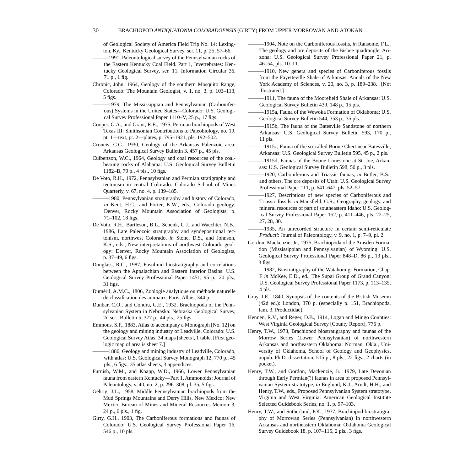of Geological Society of America Field Trip No. 14: Lexington, Ky., Kentucky Geological Survey, ser. 11, p. 25, 57–66.

- ———1991, Paleontological survey of the Pennsylvanian rocks of the Eastern Kentucky Coal Field. Part 1, Invertebrates: Kentucky Geological Survey, ser. 11, Information Circular 36, 71 p., 1 fig.
- Chronic, John, 1964, Geology of the southern Mosquito Range, Colorado: The Mountain Geologist, v. 1, no. 3, p. 103–113, 5 figs.
- ———1979, The Mississippian and Pennsylvanian (Carboniferous) Systems in the United States—Colorado: U.S. Geological Survey Professional Paper 1110–V, 25 p., 17 figs.
- Cooper, G.A., and Grant, R.E., 1975, Permian brachiopods of West Texas III: Smithsonian Contributions to Paleobiology, no. 19, pt. 1—text, pt. 2—plates, p. 795–1921, pls. 192–502.
- Croneis, C.G., 1930, Geology of the Arkansas Paleozoic area: Arkansas Geological Survey Bulletin 3, 457 p., 45 pls.
- Culbertson, W.C., 1964, Geology and coal resources of the coalbearing rocks of Alabama: U.S. Geological Survey Bulletin 1182–B, 79 p., 4 pls., 10 figs.
- De Voto, R.H., 1972, Pennsylvanian and Permian stratigraphy and tectonism in central Colorado: Colorado School of Mines Quarterly, v. 67, no. 4, p. 139–185.
- ———1980, Pennsylvanian stratigraphy and history of Colorado, *in* Kent, H.C., and Porter, K.W., eds., Colorado geology: Denver, Rocky Mountain Association of Geologists, p. 71–102, 18 figs.
- De Voto, R.H., Bartleson, B.L., Schenk, C.J., and Waechter, N.B., 1986, Late Paleozoic stratigraphy and syndepositional tectonism, northwest Colorado, *in* Stone, D.S., and Johnson, K.S., eds., New interpretations of northwest Colorado geology: Denver, Rocky Mountain Association of Geologists, p. 37–49, 6 figs.
- Douglass, R.C., 1987, Fusulinid biostratigraphy and correlations between the Appalachian and Eastern Interior Basins: U.S. Geological Survey Professional Paper 1451, 95 p., 20 pls., 31 figs.
- Duméril, A.M.C., 1806, Zoologie analytique ou méthode naturelle de classification des animaux: Paris, Allais, 344 p.
- Dunbar, C.O., and Condra, G.E., 1932, Brachiopoda of the Pennsylvanian System in Nebraska: Nebraska Geological Survey, 2d ser., Bulletin 5, 377 p., 44 pls., 25 figs.
- Emmons, S.F., 1883, Atlas to accompany a Monograph [No. 12] on the geology and mining industry of Leadville, Colorado: U.S. Geological Survey Atlas, 34 maps [sheets], 1 table. [First geologic map of area is sheet 7.]
- -1886, Geology and mining industry of Leadville, Colorado, with atlas: U.S. Geological Survey Monograph 12, 770 p., 45 pls., 6 figs., 35 atlas sheets, 3 appendices.
- Furnish, W.M., and Knapp, W.D., 1966, Lower Pennsylvanian fauna from eastern Kentucky—Part 1, Ammonoids: Journal of Paleontology, v. 40, no. 2, p. 296–308, pl. 35, 5 figs.
- Gehrig, J.L., 1958, Middle Pennsylvanian brachiopods from the Mud Springs Mountains and Derry Hills, New Mexico: New Mexico Bureau of Mines and Mineral Resources Memoir 3, 24 p., 6 pls., 1 fig.
- Girty, G.H., 1903, The Carboniferous formations and faunas of Colorado: U.S. Geological Survey Professional Paper 16, 546 p., 10 pls.
- ———1904, Note on the Carboniferous fossils, *in* Ransome, F.L., The geology and ore deposits of the Bisbee quadrangle, Arizona: U.S. Geological Survey Professional Paper 21, p. 46–54, pls. 10–11.
- ———1910, New genera and species of Carboniferous fossils from the Fayetteville Shale of Arkansas: Annals of the New York Academy of Sciences, v. 20, no. 3, p. 189–238. [Not illustrated.]
- -1911, The fauna of the Moorefield Shale of Arkansas: U.S. Geological Survey Bulletin 439, 148 p., 15 pls.
- -1915a, Fauna of the Wewoka Formation of Oklahoma: U.S. Geological Survey Bulletin 544, 353 p., 35 pls.
- -1915b, The fauna of the Batesville Sandstone of northern Arkansas: U.S. Geological Survey Bulletin 593, 170 p., 11 pls.
- ———1915c, Fauna of the so-called Boone Chert near Batesville, Arkansas: U.S. Geological Survey Bulletin 595, 45 p., 2 pls.
- ———1915d, Faunas of the Boone Limestone at St. Joe, Arkansas: U.S. Geological Survey Bulletin 598, 50 p., 3 pls.
- ———1920, Carboniferous and Triassic faunas, *in* Butler, B.S., and others, The ore deposits of Utah: U.S. Geological Survey Professional Paper 111, p. 641–647, pls. 52–57.
- ———1927, Descriptions of new species of Carboniferous and Triassic fossils, *in* Mansfield, G.R., Geography, geology, and mineral resources of part of southeastern Idaho: U.S. Geological Survey Professional Paper 152, p. 411–446, pls. 22–25, 27, 28, 30.
- ———1935, An unrecorded structure in certain semi-reticulate *Producti*: Journal of Paleontology, v. 9, no. 1, p. 7–9, pl. 2.
- Gordon, Mackenzie, Jr., 1975, Brachiopoda of the Amsden Formation (Mississippian and Pennsylvanian) of Wyoming: U.S. Geological Survey Professional Paper 848–D, 86 p., 13 pls., 3 figs.
- $-1982$ , Biostratigraphy of the Watahomigi Formation, Chap. F *in* McKee, E.D., ed., The Supai Group of Grand Canyon: U.S. Geological Survey Professional Paper 1173, p. 113–135, 4 pls.
- Gray, J.E., 1840, Synopsis of the contents of the British Museum (42d ed.): London, 370 p. (especially p. 151, Brachiopoda, fam. 3, Productidae).
- Hennen, R.V., and Reger, D.B., 1914, Logan and Mingo Counties: West Virginia Geological Survey [County Report], 776 p.
- Henry, T.W., 1973, Brachiopod biostratigraphy and faunas of the Morrow Series (Lower Pennsylvanian) of northwestern Arkansas and northeastern Oklahoma: Norman, Okla., University of Oklahoma, School of Geology and Geophysics, unpub. Ph.D. dissertation, 515 p., 8 pls., 22 figs., 2 charts (in pocket).
- Henry, T.W., and Gordon, Mackenzie, Jr., 1979, Late Devonian through Early Permian(?) faunas in area of proposed Pennsylvanian System stratotype, *in* Englund, K.J., Arndt, H.H., and Henry, T.W., eds., Proposed Pennsylvanian System stratotype, Virginia and West Virginia: American Geological Institute Selected Guidebook Series, no. 1, p. 97–103.
- Henry, T.W., and Sutherland, P.K., 1977, Brachiopod biostratigraphy of Morrowan Series (Pennsylvanian) in northwestern Arkansas and northeastern Oklahoma: Oklahoma Geological Survey Guidebook 18, p. 107–115, 2 pls., 3 figs.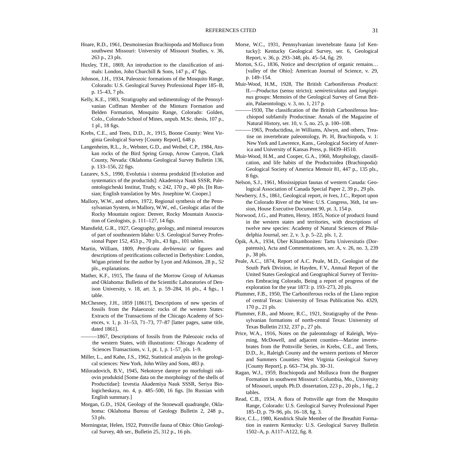- Hoare, R.D., 1961, Desmoinesian Brachiopoda and Mollusca from southwest Missouri: University of Missouri Studies, v. 36, 263 p., 23 pls.
- Huxley, T.H., 1869, An introduction to the classification of animals: London, John Churchill & Sons, 147 p., 47 figs.
- Johnson, J.H., 1934, Paleozoic formations of the Mosquito Range, Colorado: U.S. Geological Survey Professional Paper 185–B, p. 15–43, 7 pls.
- Kelly, K.E., 1983, Stratigraphy and sedimentology of the Pennsylvanian Coffman Member of the Minturn Formation and Belden Formation, Mosquito Range, Colorado: Golden, Colo., Colorado School of Mines, unpub. M.Sc. thesis, 107 p., 1 pl., 18 figs.
- Krebs, C.E., and Teets, D.D., Jr., 1915, Boone County: West Virginia Geological Survey [County Report], 648 p.
- Langenheim, R.L., Jr., Webster, G.D., and Weibel, C.P., 1984, Atokan rocks of the Bird Spring Group, Arrow Canyon, Clark County, Nevada: Oklahoma Geological Survey Bulletin 136, p. 133–156, 22 figs.
- Lazarev, S.S., 1990, Evolutsia i sistema produktid [Evolution and systematics of the productids]: Akademiya Nauk SSSR, Paleontologicheski Institut, Trudy, v. 242, 170 p., 40 pls. [In Russian; English translation by Mrs. Josephine W. Cooper.]
- Mallory, W.W., and others, 1972, Regional synthesis of the Pennsylvanian System, *in* Mallory, W.W., ed., Geologic atlas of the Rocky Mountain region: Denver, Rocky Mountain Association of Geologists, p. 111–127, 14 figs.
- Mansfield, G.R., 1927, Geography, geology, and mineral resources of part of southeastern Idaho: U.S. Geological Survey Professional Paper 152, 453 p., 70 pls., 43 figs., 101 tables.
- Martin, William, 1809, *Petrificata derbiensia*: or figures and descriptions of petrifications collected in Derbyshire: London, Wigan printed for the author by Lyon and Atkinson, 28 p., 52 pls., explanations.
- Mather, K.F., 1915, The fauna of the Morrow Group of Arkansas and Oklahoma: Bulletin of the Scientific Laboratories of Denison University, v. 18, art. 3, p. 59–284, 16 pls., 4 figs., 1 table.
- McChesney, J.H., 1859 [1861?], Descriptions of new species of fossils from the Palaeozoic rocks of the western States: Extracts of the Transactions of the Chicago Academy of Sciences, v. 1, p. 31–53, 71–73, 77–87 [latter pages, same title, dated 1861].
- ———1867, Descriptions of fossils from the Paleozoic rocks of the western States, with illustrations: Chicago Academy of Sciences Transactions, v. 1, pt. 1, p. 1–57, pls. 1–9.
- Miller, L., and Kahn, J.S., 1962, Statistical analysis in the geological sciences: New York, John Wiley and Sons, 483 p.
- Miloradovich, B.V., 1945, Nekotorye dannye po morfologii rakovin produktid [Some data on the morphology of the shells of Productidae]: Izvestia Akademiya Nauk SSSR, Seriya Biologicheskaya, no. 4, p. 485–500, 16 figs. [In Russian with English summary.]
- Morgan, G.D., 1924, Geology of the Stonewall quadrangle, Oklahoma: Oklahoma Bureau of Geology Bulletin 2, 248 p., 53 pls.
- Morningstar, Helen, 1922, Pottsville fauna of Ohio: Ohio Geological Survey, 4th ser., Bulletin 25, 312 p., 16 pls.
- Morse, W.C., 1931, Pennsylvanian invertebrate fauna [of Kentucky]: Kentucky Geological Survey, ser. 6, Geological Report, v. 36, p. 293–348, pls. 45–54, fig. 29.
- Morton, S.G., 1836, Notice and description of organic remains… [valley of the Ohio]: American Journal of Science, v. 29, p. 149–154.
- Muir-Wood, H.M., 1928, The British Carboniferous *Producti*: II.—*Productus* (sensu stricto); *semireticulatus* and *longispinus* groups: Memoirs of the Geological Survey of Great Britain, Palaeontology, v. 3, no. 1, 217 p.
- ———1930, The classification of the British Carboniferous brachiopod subfamily Productinae: Annals of the Magazine of Natural History, ser. 10, v. 5, no. 25, p. 100–108.
- -1965, Productidina, *in* Williams, Alwyn, and others, Treatise on invertebrate paleontology, Pt. H, Brachiopoda, v. 1: New York and Lawrence, Kans., Geological Society of America and University of Kansas Press, p. H439–H510.
- Muir-Wood, H.M., and Cooper, G.A., 1960, Morphology, classification, and life habits of the Productoidea (Brachiopoda): Geological Society of America Memoir 81, 447 p., 135 pls., 8 figs.
- Nelson, S.J., 1961, Mississippian faunas of western Canada: Geological Association of Canada Special Paper 2, 39 p., 29 pls.
- Newberry, J.S., 1861, Geological report, *in* Ives, J.C., Report upon the Colorado River of the West: U.S. Congress, 36th, 1st session, House Executive Document 90, pt. 3, 154 p.
- Norwood, J.G., and Pratten, Henry, 1855, Notice of producti found in the western states and territories, with descriptions of twelve new species: Academy of Natural Sciences of Philadelphia Journal, ser. 2, v. 3, p. 5–22, pls. 1, 2.
- Öpik, A.A., 1934, Über Klitamboniten: Tartu Universitatis (Dorpatensis), Acta and Commentationes, ser. A, v. 26, no. 3, 239 p., 38 pls.
- Peale, A.C., 1874, Report of A.C. Peale, M.D., Geologist of the South Park Division, *in* Hayden, F.V., Annual Report of the United States Geological and Geographical Survey of Territories Embracing Colorado, Being a report of progress of the exploration for the year 1873: p. 193–273, 20 pls.
- Plummer, F.B., 1950, The Carboniferous rocks of the Llano region of central Texas: University of Texas Publication No. 4329, 170 p., 21 pls.
- Plummer, F.B., and Moore, R.C., 1921, Stratigraphy of the Pennsylvanian formations of north-central Texas: University of Texas Bulletin 2132, 237 p., 27 pls.
- Price, W.A., 1916, Notes on the paleontology of Raleigh, Wyoming, McDowell, and adjacent counties—Marine invertebrates from the Pottsville Series, *in* Krebs, C.E., and Teets, D.D., Jr., Raleigh County and the western portions of Mercer and Summers Counties: West Virginia Geological Survey [County Report], p. 663–734, pls. 30–31.
- Ragan, W.J., 1959, Brachiopoda and Mollusca from the Burgner Formation in southwest Missouri: Columbia, Mo., University of Missouri, unpub. Ph.D. dissertation, 223 p., 20 pls., 1 fig., 2 tables.
- Read, C.B., 1934, A flora of Pottsville age from the Mosquito Range, Colorado: U.S. Geological Survey Professional Paper 185–D, p. 79–96, pls. 16–18, fig. 3.
- Rice, C.L., 1980, Kendrick Shale Member of the Breathitt Formation in eastern Kentucky: U.S. Geological Survey Bulletin 1502–A, p. A117–A122, fig. 8.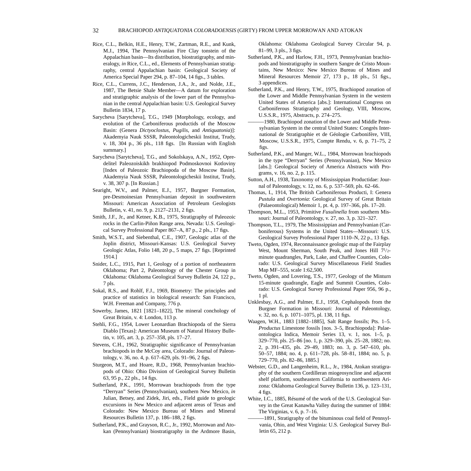- Rice, C.L., Belkin, H.E., Henry, T.W., Zartman, R.E., and Kunk, M.J., 1994, The Pennsylvanian Fire Clay tonstein of the Appalachian basin—Its distribution, biostratigraphy, and mineralogy, *in* Rice, C.L., ed., Elements of Pennsylvanian stratigraphy, central Appalachian basin: Geological Society of America Special Paper 294, p. 87–104, 14 figs., 3 tables.
- Rice, C.L., Currens, J.C., Henderson, J.A., Jr., and Nolde, J.E., 1987, The Betsie Shale Member—A datum for exploration and stratigraphic analysis of the lower part of the Pennsylvanian in the central Appalachian basin: U.S. Geological Survey Bulletin 1834, 17 p.
- Sarycheva [Sarytcheva], T.G., 1949 [Morphology, ecology, and evolution of the Carboniferous productids of the Moscow Basin: (Genera *Dictyoclostus*, *Pugilis*, and *Antiquatonia*)]: Akademyia Nauk SSSR, Paleontologicheskii Institut, Trudy, v. 18, 304 p., 36 pls., 118 figs. [In Russian with English summary.]
- Sarycheva [Sarytcheva], T.G., and Sokolskaya, A.N., 1952, Opredelitel Paleozoiskikh brakhiopod Podmoskovnoi Kotloviny [Index of Paleozoic Brachiopoda of the Moscow Basin]. Akademyia Nauk SSSR, Paleontologicheskii Institut, Trudy, v. 38, 307 p. [In Russian.]
- Searight, W.V., and Palmer, E.J., 1957, Burgner Formation, pre-Desmoinesian Pennsylvanian deposit in southwestern Missouri: American Association of Petroleum Geologists Bulletin, v. 41, no. 9, p. 2127–2131, 2 figs.
- Smith, J.F., Jr., and Ketner, K.B., 1975, Stratigraphy of Paleozoic rocks in the Carlin-Piñon Range area, Nevada: U.S. Geological Survey Professional Paper 867–A, 87 p., 2 pls., 17 figs.
- Smith, W.S.T., and Siebenthal, C.E., 1907, Geologic atlas of the Joplin district, Missouri-Kansas: U.S. Geological Survey Geologic Atlas, Folio 148, 20 p., 5 maps, 27 figs. [Reprinted 1914.]
- Snider, L.C., 1915, Part 1, Geology of a portion of northeastern Oklahoma; Part 2, Paleontology of the Chester Group in Oklahoma: Oklahoma Geological Survey Bulletin 24, 122 p., 7 pls.
- Sokal, R.S., and Rohlf, F.J., 1969, Biometry: The principles and practice of statistics in biological research: San Francisco, W.H. Freeman and Company, 776 p.
- Sowerby, James, 1821 [1821–1822], The mineral conchology of Great Britain, v. 4: London, 113 p.
- Stehli, F.G., 1954, Lower Leonardian Brachiopoda of the Sierra Diablo [Texas]: American Museum of Natural History Bulletin, v. 105, art. 3, p. 257–358, pls. 17–27.
- Stevens, C.H., 1962, Stratigraphic significance of Pennsylvanian brachiopods in the McCoy area, Colorado: Journal of Paleontology, v. 36, no. 4, p. 617–629, pls. 91–96, 2 figs.
- Sturgeon, M.T., and Hoare, R.D., 1968, Pennsylvanian brachiopods of Ohio: Ohio Division of Geological Survey Bulletin 63, 95 p., 22 pls., 14 figs.
- Sutherland, P.K., 1991, Morrowan brachiopods from the type "Derryan" Series (Pennsylvanian), southern New Mexico, *in* Julian, Betsey, and Zidek, Jiri, eds., Field guide to geologic excursions in New Mexico and adjacent areas of Texas and Colorado: New Mexico Bureau of Mines and Mineral Resources Bulletin 137, p. 186–188, 2 figs.
- Sutherland, P.K., and Grayson, R.C., Jr., 1992, Morrowan and Atokan (Pennsylvanian) biostratigraphy in the Ardmore Basin,

Oklahoma: Oklahoma Geological Survey Circular 94, p. 81–99, 3 pls., 3 figs.

- Sutherland, P.K., and Harlow, F.H., 1973, Pennsylvanian brachiopods and biostratigraphy in southern Sangre de Cristo Mountains, New Mexico: New Mexico Bureau of Mines and Mineral Resources Memoir 27, 173 p., 18 pls., 51 figs., 3 appendices.
- Sutherland, P.K., and Henry, T.W., 1975, Brachiopod zonation of the Lower and Middle Pennsylvanian System in the western United States of America [abs.]: International Congress on Carboniferous Stratigraphy and Geology, VIII, Moscow, U.S.S.R., 1975, Abstracts, p. 274–275.
- $-1980$ , Brachiopod zonation of the Lower and Middle Pennsylvanian System in the central United States: Congrès International de Stratigraphie et de Géologie Carbonifère, VIII, Moscow, U.S.S.R., 1975, Compte Rendu, v. 6, p. 71–75, 2 figs.
- Sutherland, P.K., and Manger, W.L., 1984, Morrowan brachiopods in the type "Derryan" Series (Pennsylvanian), New Mexico [abs.]: Geological Society of America Abstracts with Programs, v. 16, no. 2, p. 115.
- Sutton, A.H., 1938, Taxonomy of Mississippian Productidae: Journal of Paleontology, v. 12, no. 6, p. 537–569, pls. 62–66.
- Thomas, I., 1914, The British Carboniferous Producti, I: Genera *Pustula* and *Overtonia*: Geological Survey of Great Britain (Palaeontological) Memoir 1, pt. 4, p. 197–366, pls. 17–20.
- Thompson, M.L., 1953, Primitive *Fusulinella* from southern Missouri: Journal of Paleontology, v. 27, no. 3, p. 321–327.
- Thompson, T.L., 1979, The Mississippian and Pennsylvanian (Carboniferous) Systems in the United States—Missouri: U.S. Geological Survey Professional Paper 1110–N, 22 p., 13 figs.
- Tweto, Ogden, 1974, Reconnaissance geologic map of the Fairplay West, Mount Sherman, South Peak, and Jones Hill 7<sup>1</sup>/2minute quadrangles, Park, Lake, and Chaffee Counties, Colorado: U.S. Geological Survey Miscellaneous Field Studies Map MF–555, scale 1:62,500.
- Tweto, Ogden, and Lovering, T.S., 1977, Geology of the Minturn 15-minute quadrangle, Eagle and Summit Counties, Colorado: U.S. Geological Survey Professional Paper 956, 96 p., 1 pl.
- Unklesbay, A.G., and Palmer, E.J., 1958, Cephalopods from the Burgner Formation in Missouri: Journal of Paleontology, v. 32, no. 6, p. 1071–1075, pl. 138, 11 figs.
- Waagen, W.H., 1883 [1882–1885], Salt Range fossils; Pts. 1–5. *Productus* Limestone fossils [nos. 3–5, Brachiopoda]: Palaeontologica Indica, Memoir Series 13, v. 1, nos. 1–5, p. 329–770, pls. 25–86 [no. 1, p. 329–390, pls. 25–28, 1882; no. 2, p. 391–435, pls. 29–49, 1883; no. 3, p. 547–610, pls. 50–57, 1884; no. 4, p. 611–728, pls. 58–81, 1884; no. 5, p. 729–770, pls. 82–86, 1885.]
- Webster, G.D., and Langenheim, R.L., Jr., 1984, Atokan stratigraphy of the southern Cordilleran miogeosyncline and adjacent shelf platform, southeastern California to northwestern Arizona: Oklahoma Geological Survey Bulletin 136, p. 123–131, 4 figs.
- White, I.C., 1885, Résumé of the work of the U.S. Geological Survey in the Great Kanawha Valley during the summer of 1884: The Virginias, v. 6, p. 7–16.
- ———1891, Stratigraphy of the bituminous coal field of Pennsylvania, Ohio, and West Virginia: U.S. Geological Survey Bulletin 65, 212 p.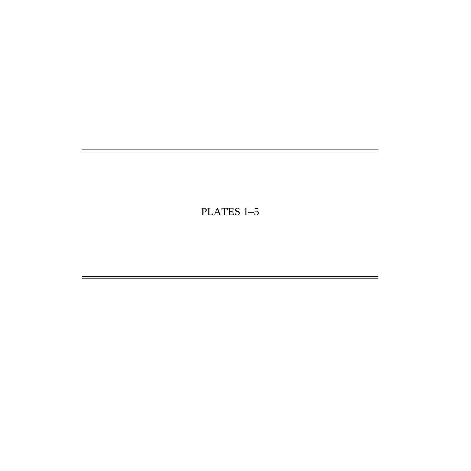# PLATES 1–5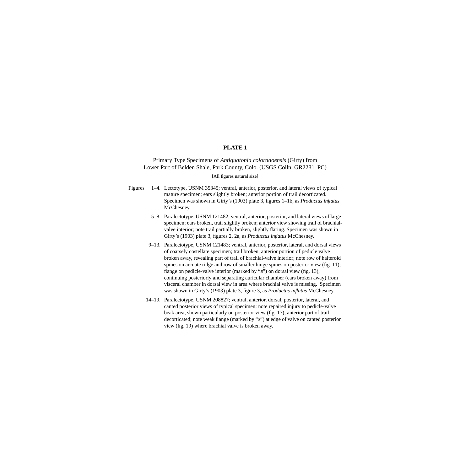#### **PLATE 1**

#### <span id="page-39-0"></span>Primary Type Specimens of *Antiquatonia coloradoensis* (Girty) from Lower Part of Belden Shale, Park County, Colo. (USGS Colln. GR2281–PC)

#### [All figures natural size]

- Figures 1–4. Lectotype, USNM 35345; ventral, anterior, posterior, and lateral views of typical mature specimen; ears slightly broken; anterior portion of trail decorticated. Specimen was shown in Girty's (1903) plate 3, figures 1–1b, as *Productus inflatus* McChesney.
	- 5–8. Paralectotype, USNM 121482; ventral, anterior, posterior, and lateral views of large specimen; ears broken, trail slightly broken; anterior view showing trail of brachialvalve interior; note trail partially broken, slightly flaring. Specimen was shown in Girty's (1903) plate 3, figures 2, 2a, as *Productus inflatus* McChesney.
	- 9–13. Paralectotype, USNM 121483; ventral, anterior, posterior, lateral, and dorsal views of coarsely costellate specimen; trail broken, anterior portion of pedicle valve broken away, revealing part of trail of brachial-valve interior; note row of halteroid spines on arcuate ridge and row of smaller hinge spines on posterior view (fig. 11); flange on pedicle-valve interior (marked by "s") on dorsal view (fig. 13), continuing posteriorly and separating auricular chamber (ears broken away) from visceral chamber in dorsal view in area where brachial valve is missing. Specimen was shown in Girty's (1903) plate 3, figure 3, as *Productus inflatus* McChesney.
	- 14–19. Paralectotype, USNM 208827; ventral, anterior, dorsal, posterior, lateral, and canted posterior views of typical specimen; note repaired injury to pedicle-valve beak area, shown particularly on posterior view (fig. 17); anterior part of trail decorticated; note weak flange (marked by "s") at edge of valve on canted posterior view (fig. 19) where brachial valve is broken away.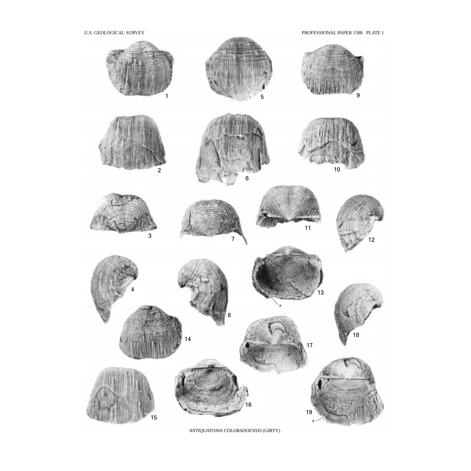U.S. GEOLOGICAL SURVEY PROFESSIONAL PAPER 1588 PLATE 1



*ANTIQUATONIA COLORADOENSIS* (GIRTY)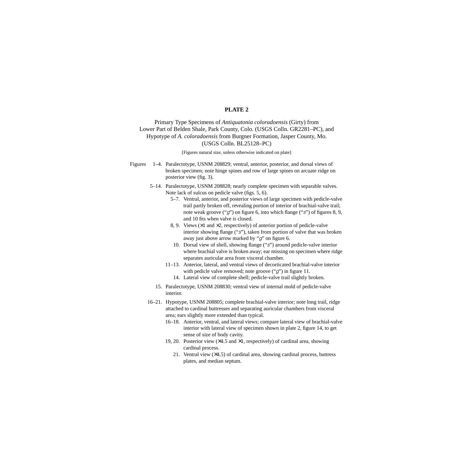#### **PLATE 2**

#### <span id="page-41-0"></span>Primary Type Specimens of *Antiquatonia coloradoensis* (Girty) from Lower Part of Belden Shale, Park County, Colo. (USGS Colln. GR2281–PC), and Hypotype of *A. coloradoensis* from Burgner Formation, Jasper County, Mo. (USGS Colln. BL25128–PC)

#### [Figures natural size, unless otherwise indicated on plate]

- Figures 1–4. Paralectotype, USNM 208829; ventral, anterior, posterior, and dorsal views of broken specimen; note hinge spines and row of large spines on arcuate ridge on posterior view (fig. 3).
	- 5–14. Paralectotype, USNM 208828; nearly complete specimen with separable valves. Note lack of sulcus on pedicle valve (figs. 5, 6).
		- 5–7. Ventral, anterior, and posterior views of large specimen with pedicle-valve trail partly broken off, revealing portion of interior of brachial-valve trail; note weak groove ("g") on figure 6, into which flange ("s") of figures 8, 9, and 10 fits when valve is closed.
		- 8, 9. Views  $(x1 \text{ and } x2, \text{ respectively})$  of anterior portion of pedicle-valve interior showing flange ("s"), taken from portion of valve that was broken away just above arrow marked by "g" on figure 6.
		- 10. Dorsal view of shell, showing flange ("s") around pedicle-valve interior where brachial valve is broken away; ear missing on specimen where ridge separates auricular area from visceral chamber.
		- 11–13. Anterior, lateral, and ventral views of decorticated brachial-valve interior with pedicle valve removed; note groove  $("g")$  in figure 11.
			- 14. Lateral view of complete shell; pedicle-valve trail slightly broken.
		- 15. Paralectotype, USNM 208830; ventral view of internal mold of pedicle-valve interior.
	- 16–21. Hypotype, USNM 208805; complete brachial-valve interior; note long trail, ridge attached to cardinal buttresses and separating auricular chambers from visceral area; ears slightly more extended than typical.
		- 16–18. Anterior, ventral, and lateral views; compare lateral view of brachial-valve interior with lateral view of specimen shown in plate 2, figure 14, to get sense of size of body cavity.
		- 19, 20. Posterior view  $(\times 4.5 \text{ and } \times 1, \text{ respectively})$  of cardinal area, showing cardinal process.
			- 21. Ventral view (×4.5) of cardinal area, showing cardinal process, buttress plates, and median septum.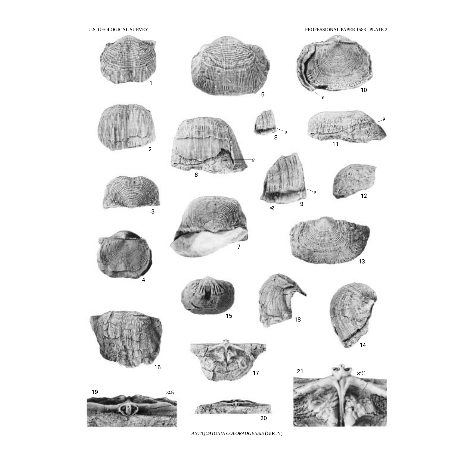U.S. GEOLOGICAL SURVEY PROFESSIONAL PAPER 1588 PLATE 2



*ANTIQUATONIA COLORADOENSIS* (GIRTY)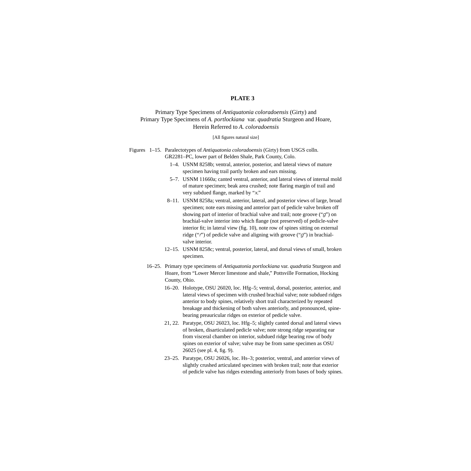#### **PLATE 3**

#### <span id="page-43-0"></span>Primary Type Specimens of *Antiquatonia coloradoensis* (Girty) and Primary Type Specimens of *A. portlockiana* var. *quadratia* Sturgeon and Hoare, Herein Referred to *A. coloradoensis*

#### [All figures natural size]

Figures 1–15. Paralectotypes of *Antiquatonia coloradoensis* (Girty) from USGS colln. GR2281–PC, lower part of Belden Shale, Park County, Colo.

- 1–4. USNM 8258b; ventral, anterior, posterior, and lateral views of mature specimen having trail partly broken and ears missing.
- 5–7. USNM 11660a; canted ventral, anterior, and lateral views of internal mold of mature specimen; beak area crushed; note flaring margin of trail and very subdued flange, marked by "x*.*"
- 8–11. USNM 8258a; ventral, anterior, lateral, and posterior views of large, broad specimen; note ears missing and anterior part of pedicle valve broken off showing part of interior of brachial valve and trail; note groove ("g") on brachial-valve interior into which flange (not preserved) of pedicle-valve interior fit; in lateral view (fig. 10), note row of spines sitting on external ridge (" $t$ ") of pedicle valve and aligning with groove (" $g$ ") in brachialvalve interior.
- 12–15. USNM 8258c; ventral, posterior, lateral, and dorsal views of small, broken specimen.
- 16–25. Primary type specimens of *Antiquatonia portlockiana* var. *quadratia* Sturgeon and Hoare, from "Lower Mercer limestone and shale," Pottsville Formation, Hocking County, Ohio.
	- 16–20. Holotype, OSU 26020, loc. Hfg–5; ventral, dorsal, posterior, anterior, and lateral views of specimen with crushed brachial valve; note subdued ridges anterior to body spines, relatively short trail characterized by repeated breakage and thickening of both valves anteriorly, and pronounced, spinebearing preauricular ridges on exterior of pedicle valve.
	- 21, 22. Paratype, OSU 26023, loc. Hfg–5; slightly canted dorsal and lateral views of broken, disarticulated pedicle valve; note strong ridge separating ear from visceral chamber on interior, subdued ridge bearing row of body spines on exterior of valve; valve may be from same specimen as OSU 26025 (see pl. 4, fig. 9).
	- 23–25. Paratype, OSU 26026, loc. Hs–3; posterior, ventral, and anterior views of slightly crushed articulated specimen with broken trail; note that exterior of pedicle valve has ridges extending anteriorly from bases of body spines.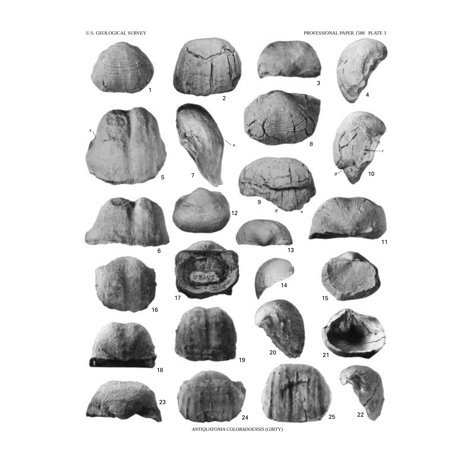U.S. GEOLOGICAL SURVEY PROFESSIONAL PAPER 1588 PLATE 3



*ANTIQUATONIA COLORADOENSIS* (GIRTY)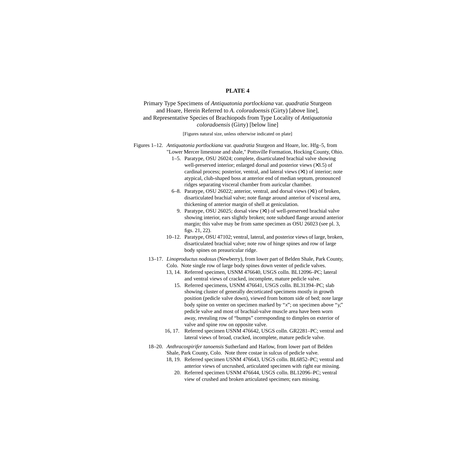#### **PLATE 4**

#### <span id="page-45-0"></span>Primary Type Specimens of *Antiquatonia portlockiana* var. *quadratia* Sturgeon and Hoare, Herein Referred to *A. coloradoensis* (Girty) [above line], and Representative Species of Brachiopods from Type Locality of *Antiquatonia coloradoensis* (Girty) [below line]

[Figures natural size, unless otherwise indicated on plate]

Figures 1–12. *Antiquatonia portlockiana* var. *quadratia* Sturgeon and Hoare, loc. Hfg–5, from "Lower Mercer limestone and shale," Pottsville Formation, Hocking County, Ohio.

- 1–5. Paratype, OSU 26024; complete, disarticulated brachial valve showing well-preserved interior; enlarged dorsal and posterior views  $(\times 3.5)$  of cardinal process; posterior, ventral, and lateral views  $(\times 1)$  of interior; note atypical, club-shaped boss at anterior end of median septum, pronounced ridges separating visceral chamber from auricular chamber.
- 6–8. Paratype, OSU 26022; anterior, ventral, and dorsal views (×1) of broken, disarticulated brachial valve; note flange around anterior of visceral area, thickening of anterior margin of shell at geniculation.
	- 9. Paratype, OSU 26025; dorsal view (×1) of well-preserved brachial valve showing interior, ears slightly broken; note subdued flange around anterior margin; this valve may be from same specimen as OSU 26023 (see pl. 3, figs. 21, 22).
- 10–12. Paratype, OSU 47102; ventral, lateral, and posterior views of large, broken, disarticulated brachial valve; note row of hinge spines and row of large body spines on preauricular ridge.
- 13–17. *Linoproductus nodosus* (Newberry), from lower part of Belden Shale, Park County, Colo. Note single row of large body spines down venter of pedicle valves.
	- 13, 14. Referred specimen, USNM 476640, USGS colln. BL12096–PC; lateral and ventral views of cracked, incomplete, mature pedicle valve.
		- 15. Referred specimens, USNM 476641, USGS colln. BL31394–PC; slab showing cluster of generally decorticated specimens mostly in growth position (pedicle valve down), viewed from bottom side of bed; note large body spine on venter on specimen marked by "x"; on specimen above "y*,*" pedicle valve and most of brachial-valve muscle area have been worn away, revealing row of "bumps" corresponding to dimples on exterior of valve and spine row on opposite valve.
	- 16, 17. Referred specimen USNM 476642, USGS colln. GR2281–PC; ventral and lateral views of broad, cracked, incomplete, mature pedicle valve.
- 18–20. *Anthracospirifer tanoensis* Sutherland and Harlow, from lower part of Belden Shale, Park County, Colo. Note three costae in sulcus of pedicle valve.
	- 18, 19. Referred specimen USNM 476643, USGS colln. BL6852–PC; ventral and anterior views of uncrushed, articulated specimen with right ear missing.
		- 20. Referred specimen USNM 476644, USGS colln. BL12096–PC; ventral view of crushed and broken articulated specimen; ears missing.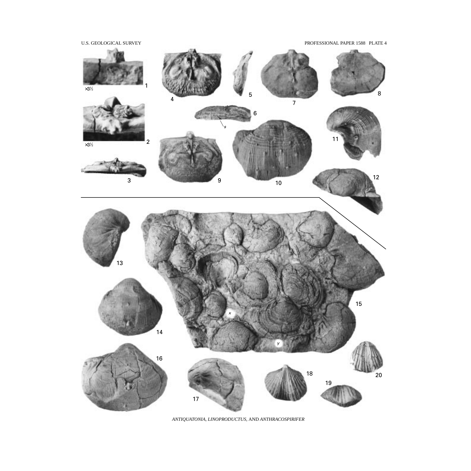

*ANTIQUATONIA, LINOPRODUCTUS,* AND *ANTHRACOSPIRIFER*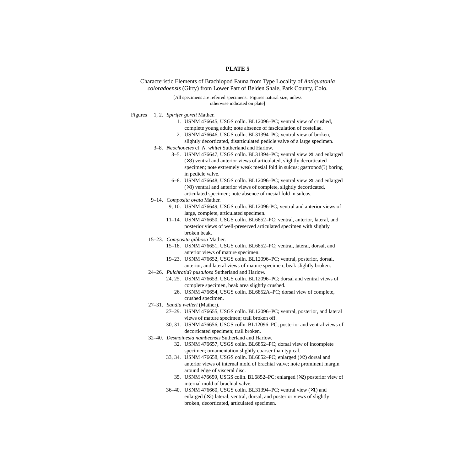#### **PLATE 5**

<span id="page-47-0"></span>Characteristic Elements of Brachiopod Fauna from Type Locality of *Antiquatonia coloradoensis* (Girty) from Lower Part of Belden Shale, Park County, Colo.

> [All specimens are referred specimens. Figures natural size, unless otherwise indicated on plate]

- Figures 1, 2. *Spirifer goreii* Mather.
	- 1. USNM 476645, USGS colln. BL12096–PC; ventral view of crushed, complete young adult; note absence of fasciculation of costellae.
	- 2. USNM 476646, USGS colln. BL31394–PC; ventral view of broken,
	- slightly decorticated, disarticulated pedicle valve of a large specimen. 3–8. *Neochonetes* cf. *N. whitei* Sutherland and Harlow.
		- 3–5. USNM 476647, USGS colln. BL31394–PC; ventral view ×1 and enlarged (×3) ventral and anterior views of articulated, slightly decorticated
			- specimen; note extremely weak mesial fold in sulcus; gastropod(?) boring in pedicle valve.
			- 6–8. USNM 476648, USGS colln. BL12096–PC; ventral view ×1 and enlarged (×3) ventral and anterior views of complete, slightly decorticated, articulated specimen; note absence of mesial fold in sulcus.
	- 9–14. *Composita ovata* Mather.
		- 9, 10. USNM 476649, USGS colln. BL12096-PC; ventral and anterior views of large, complete, articulated specimen.
		- 11–14. USNM 476650, USGS colln. BL6852–PC; ventral, anterior, lateral, and posterior views of well-preserved articulated specimen with slightly broken beak.
	- 15–23. *Composita gibbosa* Mather.
		- 15–18. USNM 476651, USGS colln. BL6852–PC; ventral, lateral, dorsal, and anterior views of mature specimen.
		- 19–23. USNM 476652, USGS colln. BL12096–PC; ventral, posterior, dorsal, anterior, and lateral views of mature specimen; beak slightly broken.
	- 24–26. *Pulchratia*? *pustulosa* Sutherland and Harlow.
		- 24, 25. USNM 476653, USGS colln. BL12096–PC; dorsal and ventral views of complete specimen, beak area slightly crushed.
			- 26. USNM 476654, USGS colln. BL6852A–PC; dorsal view of complete, crushed specimen.
	- 27–31. *Sandia welleri* (Mather).
		- 27–29. USNM 476655, USGS colln. BL12096–PC; ventral, posterior, and lateral views of mature specimen; trail broken off.
		- 30, 31. USNM 476656, USGS colln. BL12096–PC; posterior and ventral views of decorticated specimen; trail broken.
	- 32–40. *Desmoinesia nambeensis* Sutherland and Harlow.
		- 32. USNM 476657, USGS colln. BL6852–PC; dorsal view of incomplete specimen; ornamentation slightly coarser than typical.
		- 33, 34. USNM 476658, USGS colln. BL6852–PC; enlarged (×2) dorsal and anterior views of internal mold of brachial valve; note prominent margin around edge of visceral disc.
			- 35. USNM 476659, USGS colln. BL6852–PC; enlarged (×2) posterior view of internal mold of brachial valve.
		- 36–40. USNM 476660, USGS colln. BL31394–PC; ventral view (×1) and enlarged  $(X2)$  lateral, ventral, dorsal, and posterior views of slightly broken, decorticated, articulated specimen.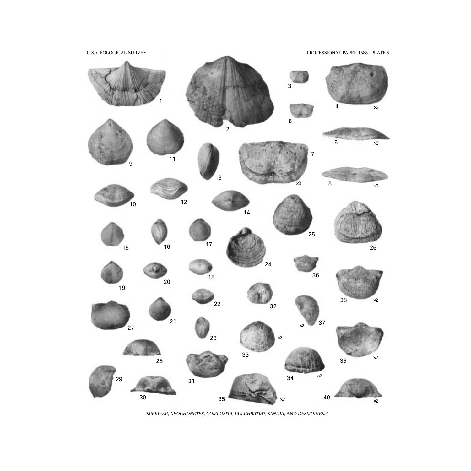

*SPERIFER, NEOCHONETES, COMPOSITA, PULCHRATIA*?*, SANDIA,* AND *DESMOINESIA*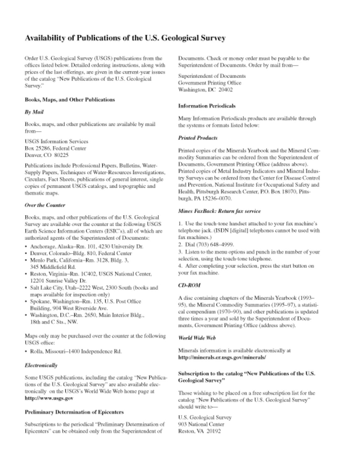# Availability of Publications of the U.S. Geological Survey

Order U.S. Geological Survey (USGS) publications from the offices listed below. Detailed ordering instructions, along with prices of the last offerings, are given in the current-year issues of the catalog "New Publications of the U.S. Geological Survey."

#### **Books, Maps, and Other Publications**

#### **By Mail**

Books, maps, and other publications are available by mail from-

**USGS** Information Services Box 25286, Federal Center Denver, CO 80225

Publications include Professional Papers, Bulletins, Water-Supply Papers, Techniques of Water-Resources Investigations, Circulars, Fact Sheets, publications of general interest, single copies of permanent USGS catalogs, and topographic and thematic maps.

#### Over the Counter

Books, maps, and other publications of the U.S. Geological Survey are available over the counter at the following USGS Earth Science Information Centers (ESIC's), all of which are authorized agents of the Superintendent of Documents:

- · Anchorage, Alaska-Rm, 101, 4230 University Dr.
- · Denver, Colorado-Bldg. 810, Federal Center
- · Menlo Park, California-Rm. 3128, Bldg. 3, 345 Middlefield Rd.
- · Reston, Virginia-Rm. 1C402, USGS National Center, 12201 Sunrise Valley Dr.
- · Salt Lake City, Utah-2222 West, 2300 South (books and maps available for inspection only)
- · Spokane, Washington-Rm. 135, U.S. Post Office Building, 904 West Riverside Ave.
- · Washington, D.C.-Rm. 2650, Main Interior Bldg., 18th and C Sts., NW.

Maps only may be purchased over the counter at the following USGS office:

· Rolla, Missouri-1400 Independence Rd.

#### Electronically

Some USGS publications, including the catalog "New Publications of the U.S. Geological Survey" are also available electronically on the USGS's World Wide Web home page at http://www.usgs.gov

#### **Preliminary Determination of Epicenters**

Subscriptions to the periodical "Preliminary Determination of Epicenters" can be obtained only from the Superintendent of

Documents. Check or money order must be payable to the Superintendent of Documents. Order by mail from-

Superintendent of Documents Government Printing Office Washington, DC 20402

#### **Information Periodicals**

Many Information Periodicals products are available through the systems or formats listed below:

#### **Printed Products**

Printed copies of the Minerals Yearbook and the Mineral Commodity Summaries can be ordered from the Superintendent of Documents, Government Printing Office (address above). Printed copies of Metal Industry Indicators and Mineral Industry Surveys can be ordered from the Center for Disease Control and Prevention, National Institute for Occupational Safety and Health, Pittsburgh Research Center, P.O. Box 18070, Pittsburgh, PA 15236-0070.

#### Mines FaxBack: Return fax service

1. Use the touch-tone handset attached to your fax machine's telephone jack. (ISDN [digital] telephones cannot be used with fax machines.)

2. Dial (703) 648-4999.

3. Listen to the menu options and punch in the number of your selection, using the touch-tone telephone.

4. After completing your selection, press the start button on your fax machine.

#### CD-ROM

A disc containing chapters of the Minerals Yearbook (1993-95), the Mineral Commodity Summaries (1995-97), a statistical compendium (1970-90), and other publications is updated three times a year and sold by the Superintendent of Documents, Government Printing Office (address above).

#### World Wide Web

Minerals information is available electronically at http://minerals.er.usgs.gov/minerals/

#### Subscription to the catalog "New Publications of the U.S. **Geological Survey"**

Those wishing to be placed on a free subscription list for the catalog "New Publications of the U.S. Geological Survey" should write to-

U.S. Geological Survey 903 National Center Reston, VA 20192